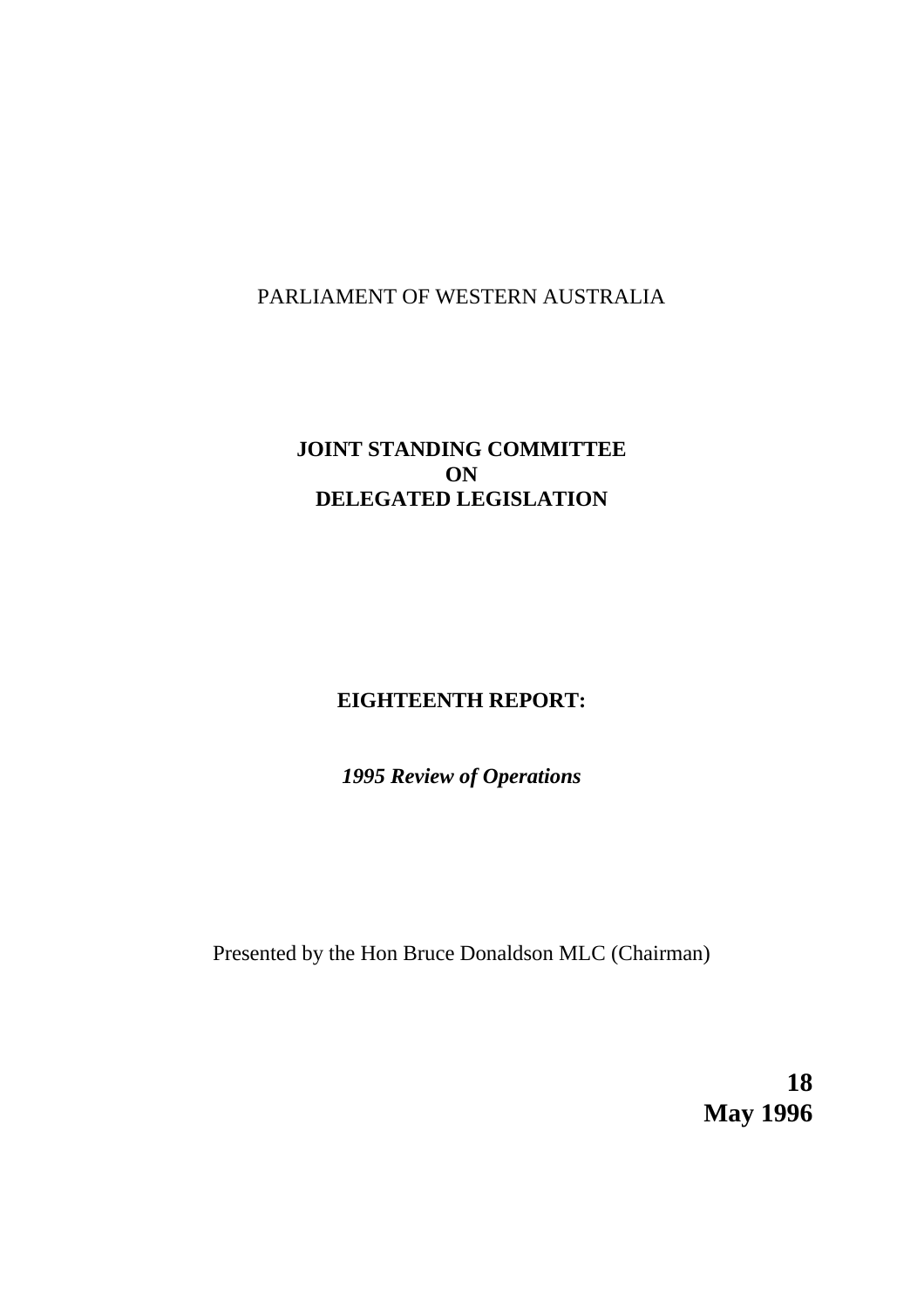# PARLIAMENT OF WESTERN AUSTRALIA

# **JOINT STANDING COMMITTEE ON DELEGATED LEGISLATION**

# **EIGHTEENTH REPORT:**

*1995 Review of Operations*

Presented by the Hon Bruce Donaldson MLC (Chairman)

**18 May 1996**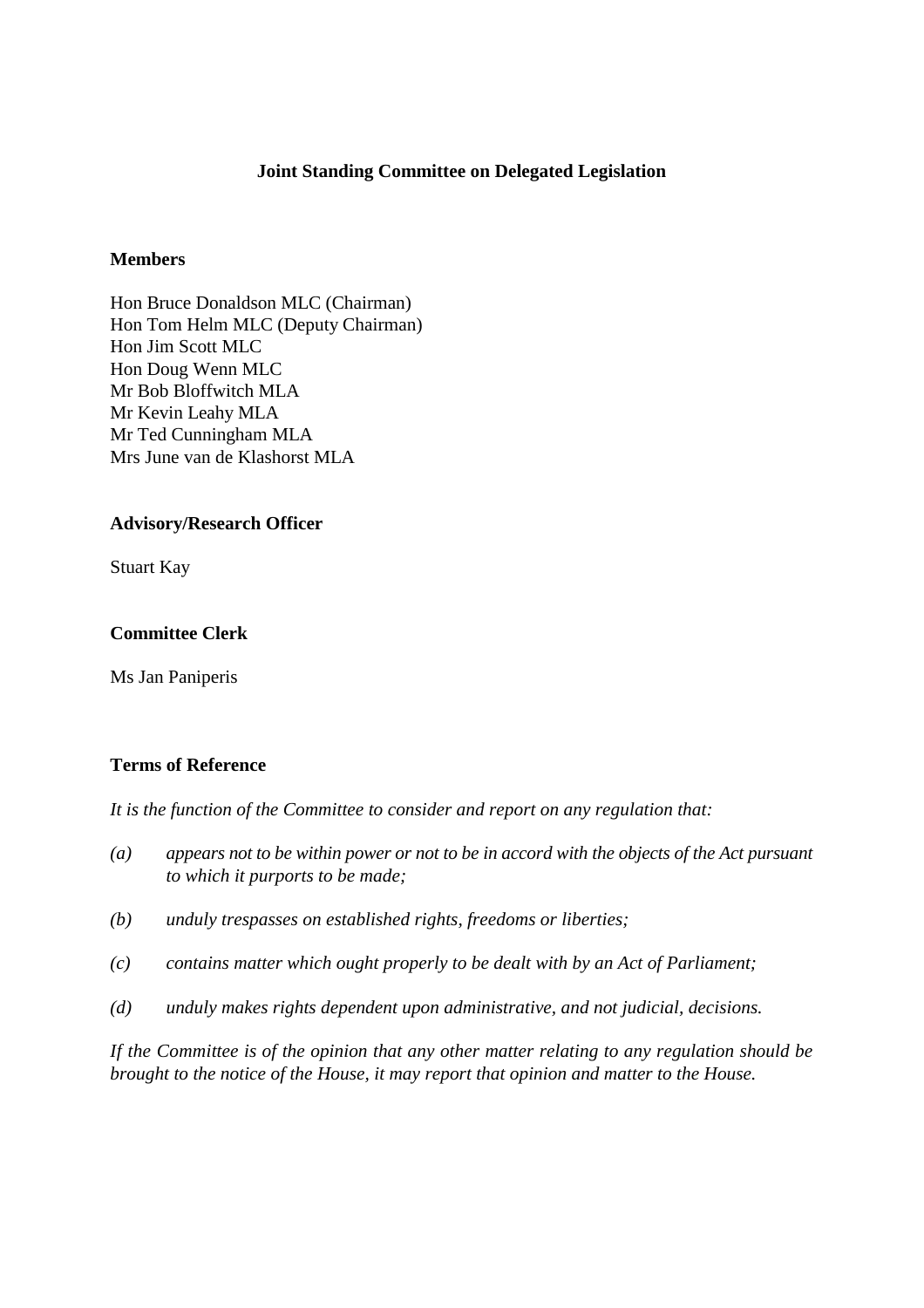### **Joint Standing Committee on Delegated Legislation**

#### **Members**

Hon Bruce Donaldson MLC (Chairman) Hon Tom Helm MLC (Deputy Chairman) Hon Jim Scott MLC Hon Doug Wenn MLC Mr Bob Bloffwitch MLA Mr Kevin Leahy MLA Mr Ted Cunningham MLA Mrs June van de Klashorst MLA

#### **Advisory/Research Officer**

Stuart Kay

#### **Committee Clerk**

Ms Jan Paniperis

## **Terms of Reference**

*It is the function of the Committee to consider and report on any regulation that:*

- *(a) appears not to be within power or not to be in accord with the objects of the Act pursuant to which it purports to be made;*
- *(b) unduly trespasses on established rights, freedoms or liberties;*
- *(c) contains matter which ought properly to be dealt with by an Act of Parliament;*
- *(d) unduly makes rights dependent upon administrative, and not judicial, decisions.*

*If the Committee is of the opinion that any other matter relating to any regulation should be brought to the notice of the House, it may report that opinion and matter to the House.*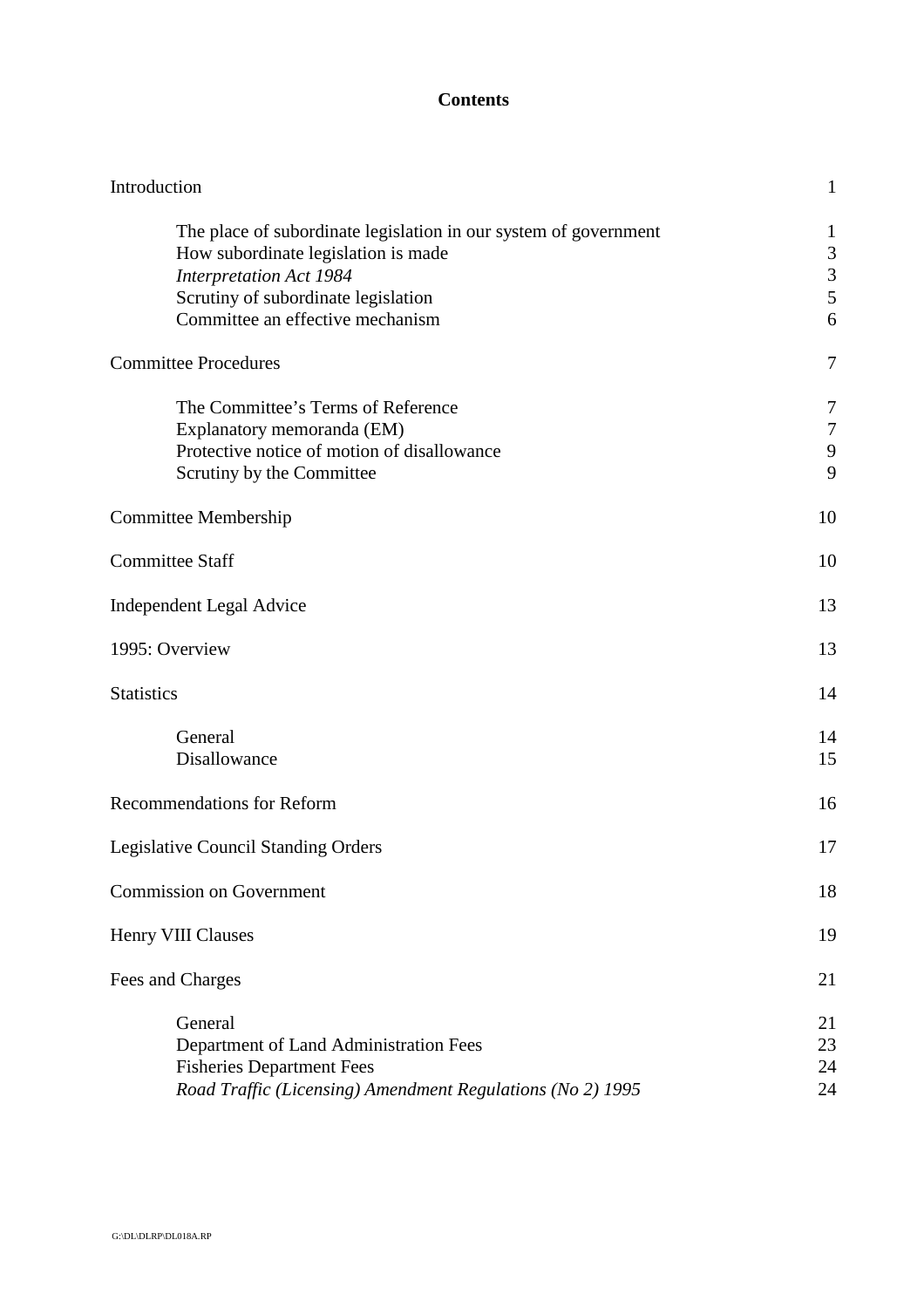## **Contents**

| Introduction                                                                                                                                                                                                         | 1                               |
|----------------------------------------------------------------------------------------------------------------------------------------------------------------------------------------------------------------------|---------------------------------|
| The place of subordinate legislation in our system of government<br>How subordinate legislation is made<br><b>Interpretation Act 1984</b><br>Scrutiny of subordinate legislation<br>Committee an effective mechanism | $\mathbf 1$<br>3<br>3<br>5<br>6 |
| <b>Committee Procedures</b>                                                                                                                                                                                          | 7                               |
| The Committee's Terms of Reference<br>Explanatory memoranda (EM)<br>Protective notice of motion of disallowance<br>Scrutiny by the Committee                                                                         | 7<br>$\overline{7}$<br>9<br>9   |
| <b>Committee Membership</b>                                                                                                                                                                                          | 10                              |
| <b>Committee Staff</b>                                                                                                                                                                                               | 10                              |
| <b>Independent Legal Advice</b>                                                                                                                                                                                      | 13                              |
| 1995: Overview                                                                                                                                                                                                       | 13                              |
| <b>Statistics</b>                                                                                                                                                                                                    | 14                              |
| General<br>Disallowance                                                                                                                                                                                              | 14<br>15                        |
| <b>Recommendations for Reform</b>                                                                                                                                                                                    | 16                              |
| <b>Legislative Council Standing Orders</b>                                                                                                                                                                           | 17                              |
| <b>Commission on Government</b>                                                                                                                                                                                      | 18                              |
| Henry VIII Clauses                                                                                                                                                                                                   | 19                              |
| Fees and Charges                                                                                                                                                                                                     | 21                              |
| General<br>Department of Land Administration Fees<br><b>Fisheries Department Fees</b><br>Road Traffic (Licensing) Amendment Regulations (No 2) 1995                                                                  | 21<br>23<br>24<br>24            |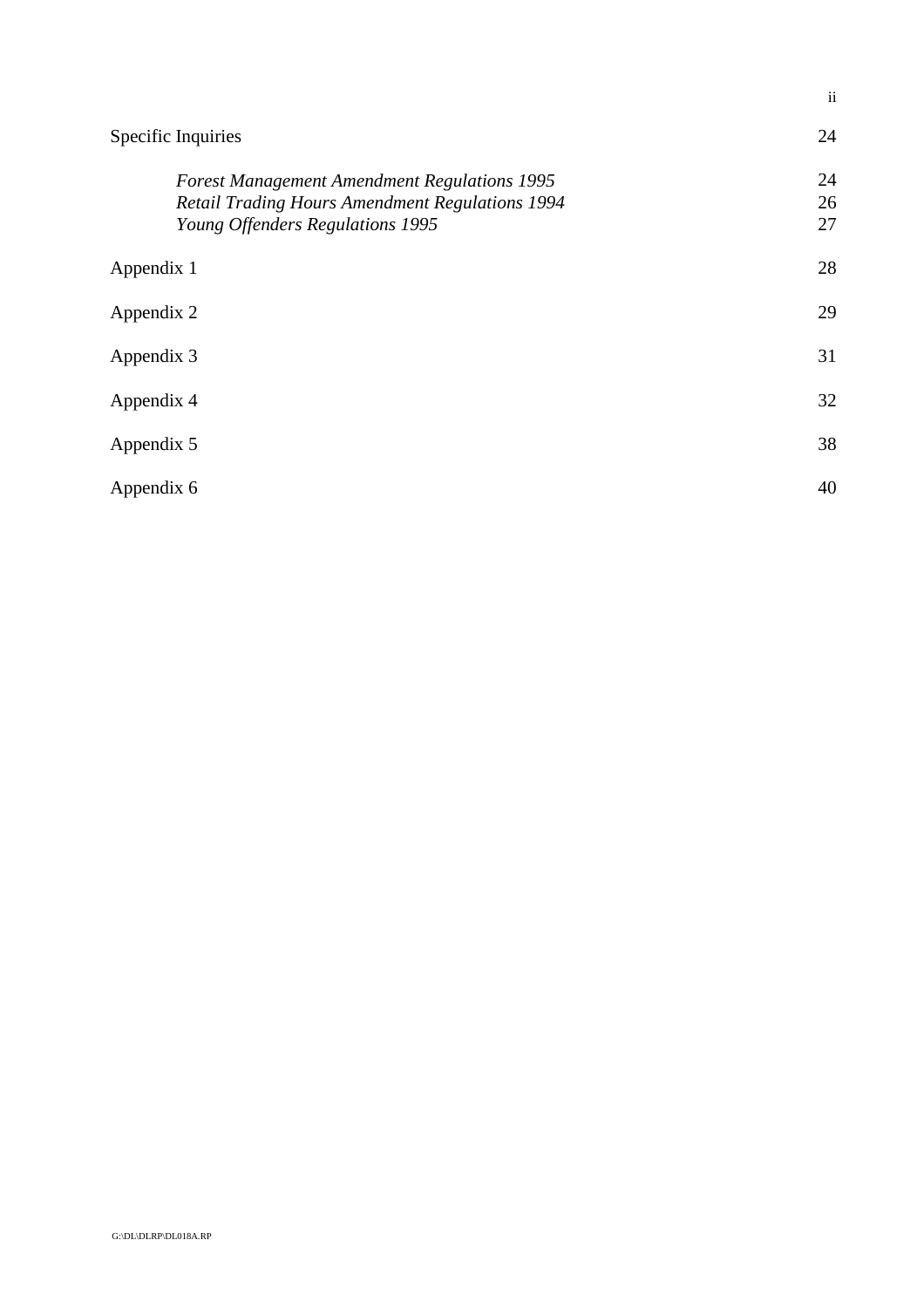|                                                                                                                                                   | $\overline{\mathbf{u}}$ |
|---------------------------------------------------------------------------------------------------------------------------------------------------|-------------------------|
| Specific Inquiries                                                                                                                                | 24                      |
| <b>Forest Management Amendment Regulations 1995</b><br><b>Retail Trading Hours Amendment Regulations 1994</b><br>Young Offenders Regulations 1995 | 24<br>26<br>27          |
| Appendix 1                                                                                                                                        | 28                      |
| Appendix 2                                                                                                                                        | 29                      |
| Appendix 3                                                                                                                                        | 31                      |
| Appendix 4                                                                                                                                        | 32                      |
| Appendix 5                                                                                                                                        | 38                      |
| Appendix 6                                                                                                                                        | 40                      |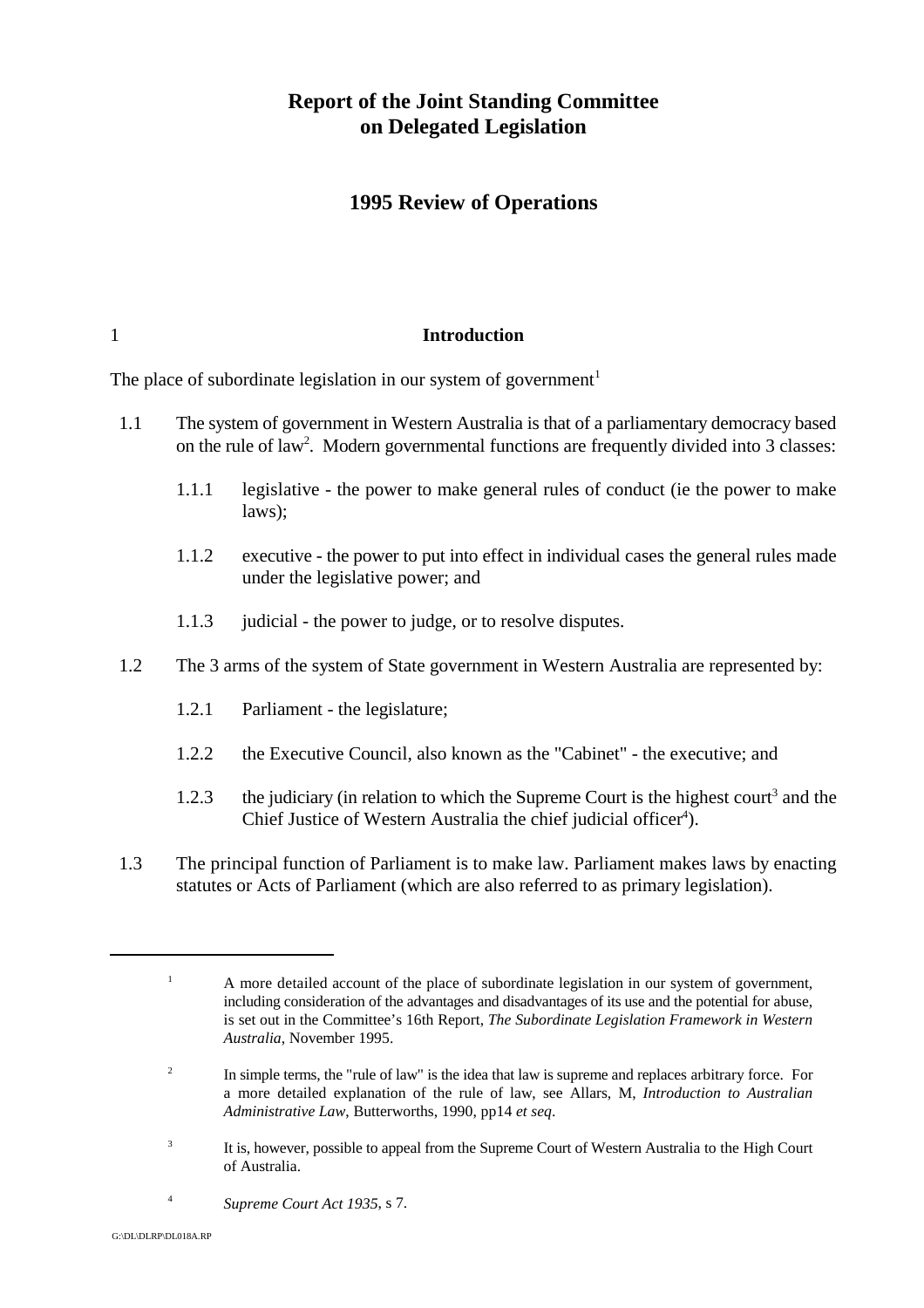# **Report of the Joint Standing Committee on Delegated Legislation**

## **1995 Review of Operations**

#### 1 **Introduction**

The place of subordinate legislation in our system of government<sup>1</sup>

- 1.1 The system of government in Western Australia is that of a parliamentary democracy based on the rule of law<sup>2</sup>. Modern governmental functions are frequently divided into 3 classes:
	- 1.1.1 legislative the power to make general rules of conduct (ie the power to make laws);
	- 1.1.2 executive the power to put into effect in individual cases the general rules made under the legislative power; and
	- 1.1.3 judicial the power to judge, or to resolve disputes.
- 1.2 The 3 arms of the system of State government in Western Australia are represented by:
	- 1.2.1 Parliament the legislature;
	- 1.2.2 the Executive Council, also known as the "Cabinet" the executive; and
	- 1.2.3 the judiciary (in relation to which the Supreme Court is the highest court<sup>3</sup> and the Chief Justice of Western Australia the chief judicial officer<sup>4</sup>).
- 1.3 The principal function of Parliament is to make law. Parliament makes laws by enacting statutes or Acts of Parliament (which are also referred to as primary legislation).

- <sup>3</sup> It is, however, possible to appeal from the Supreme Court of Western Australia to the High Court of Australia.
- *Supreme Court Act 1935*, s 7. <sup>4</sup>

 $A$  more detailed account of the place of subordinate legislation in our system of government, including consideration of the advantages and disadvantages of its use and the potential for abuse, is set out in the Committee's 16th Report, *The Subordinate Legislation Framework in Western Australia*, November 1995.

<sup>&</sup>lt;sup>2</sup> In simple terms, the "rule of law" is the idea that law is supreme and replaces arbitrary force. For a more detailed explanation of the rule of law, see Allars, M, *Introduction to Australian Administrative Law*, Butterworths, 1990, pp14 *et seq*.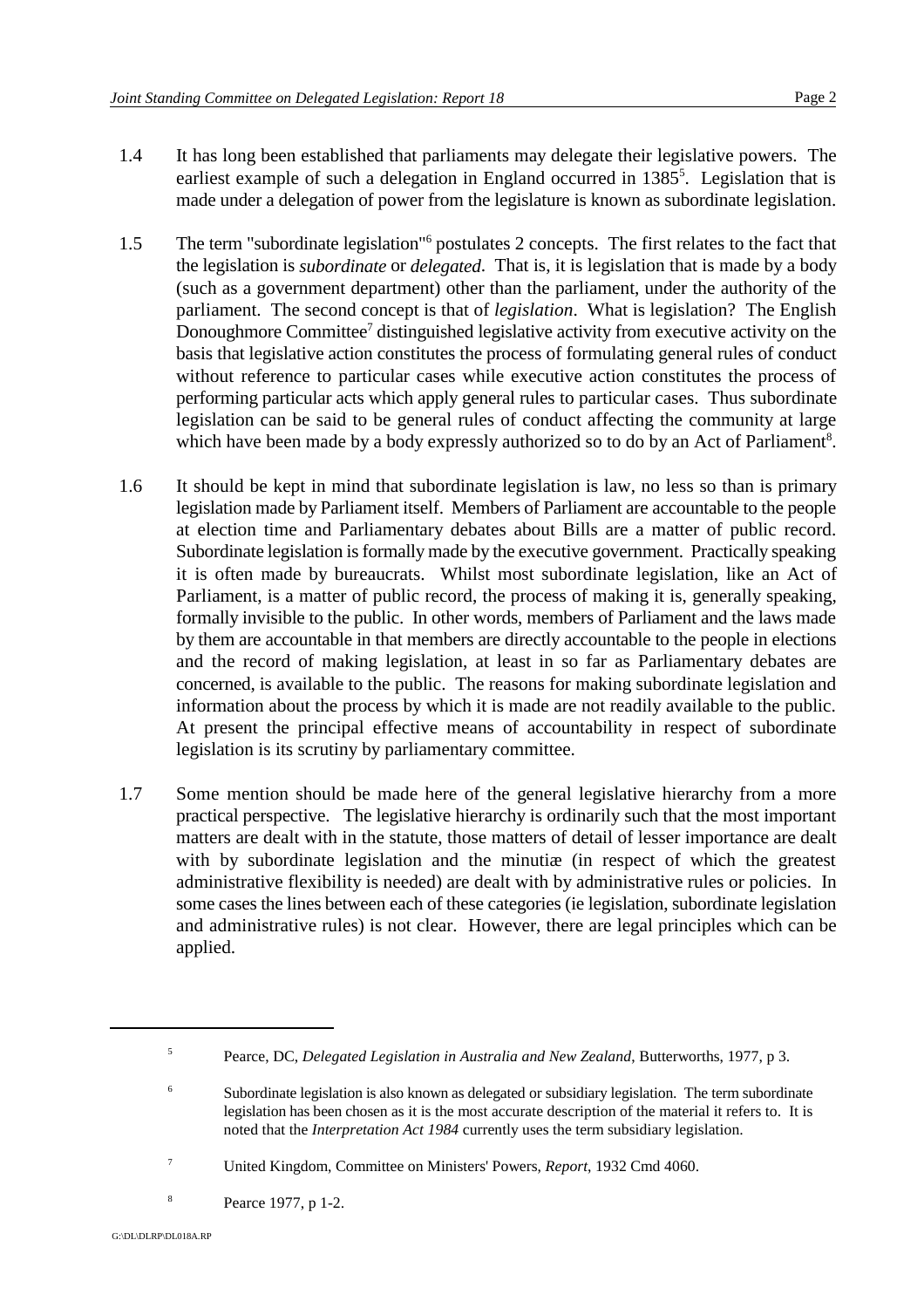- 1.4 It has long been established that parliaments may delegate their legislative powers. The earliest example of such a delegation in England occurred in  $1385<sup>5</sup>$ . Legislation that is made under a delegation of power from the legislature is known as subordinate legislation.
- 1.5 The term "subordinate legislation"<sup>6</sup> postulates 2 concepts. The first relates to the fact that the legislation is *subordinate* or *delegated*. That is, it is legislation that is made by a body (such as a government department) other than the parliament, under the authority of the parliament. The second concept is that of *legislation*. What is legislation? The English Donoughmore Committee<sup> $7$ </sup> distinguished legislative activity from executive activity on the basis that legislative action constitutes the process of formulating general rules of conduct without reference to particular cases while executive action constitutes the process of performing particular acts which apply general rules to particular cases. Thus subordinate legislation can be said to be general rules of conduct affecting the community at large which have been made by a body expressly authorized so to do by an Act of Parliament<sup>8</sup>.
- 1.6 It should be kept in mind that subordinate legislation is law, no less so than is primary legislation made by Parliament itself. Members of Parliament are accountable to the people at election time and Parliamentary debates about Bills are a matter of public record. Subordinate legislation is formally made by the executive government. Practically speaking it is often made by bureaucrats. Whilst most subordinate legislation, like an Act of Parliament, is a matter of public record, the process of making it is, generally speaking, formally invisible to the public. In other words, members of Parliament and the laws made by them are accountable in that members are directly accountable to the people in elections and the record of making legislation, at least in so far as Parliamentary debates are concerned, is available to the public. The reasons for making subordinate legislation and information about the process by which it is made are not readily available to the public. At present the principal effective means of accountability in respect of subordinate legislation is its scrutiny by parliamentary committee.
- 1.7 Some mention should be made here of the general legislative hierarchy from a more practical perspective. The legislative hierarchy is ordinarily such that the most important matters are dealt with in the statute, those matters of detail of lesser importance are dealt with by subordinate legislation and the minutiæ (in respect of which the greatest administrative flexibility is needed) are dealt with by administrative rules or policies. In some cases the lines between each of these categories (ie legislation, subordinate legislation and administrative rules) is not clear. However, there are legal principles which can be applied.

<sup>&</sup>lt;sup>5</sup> Pearce, DC, *Delegated Legislation in Australia and New Zealand*, Butterworths, 1977, p 3.

<sup>&</sup>lt;sup>6</sup> Subordinate legislation is also known as delegated or subsidiary legislation. The term subordinate legislation has been chosen as it is the most accurate description of the material it refers to. It is noted that the *Interpretation Act 1984* currently uses the term subsidiary legislation.

United Kingdom, Committee on Ministers' Powers, *Report*, 1932 Cmd 4060. <sup>7</sup>

Pearce 1977, p 1-2. <sup>8</sup>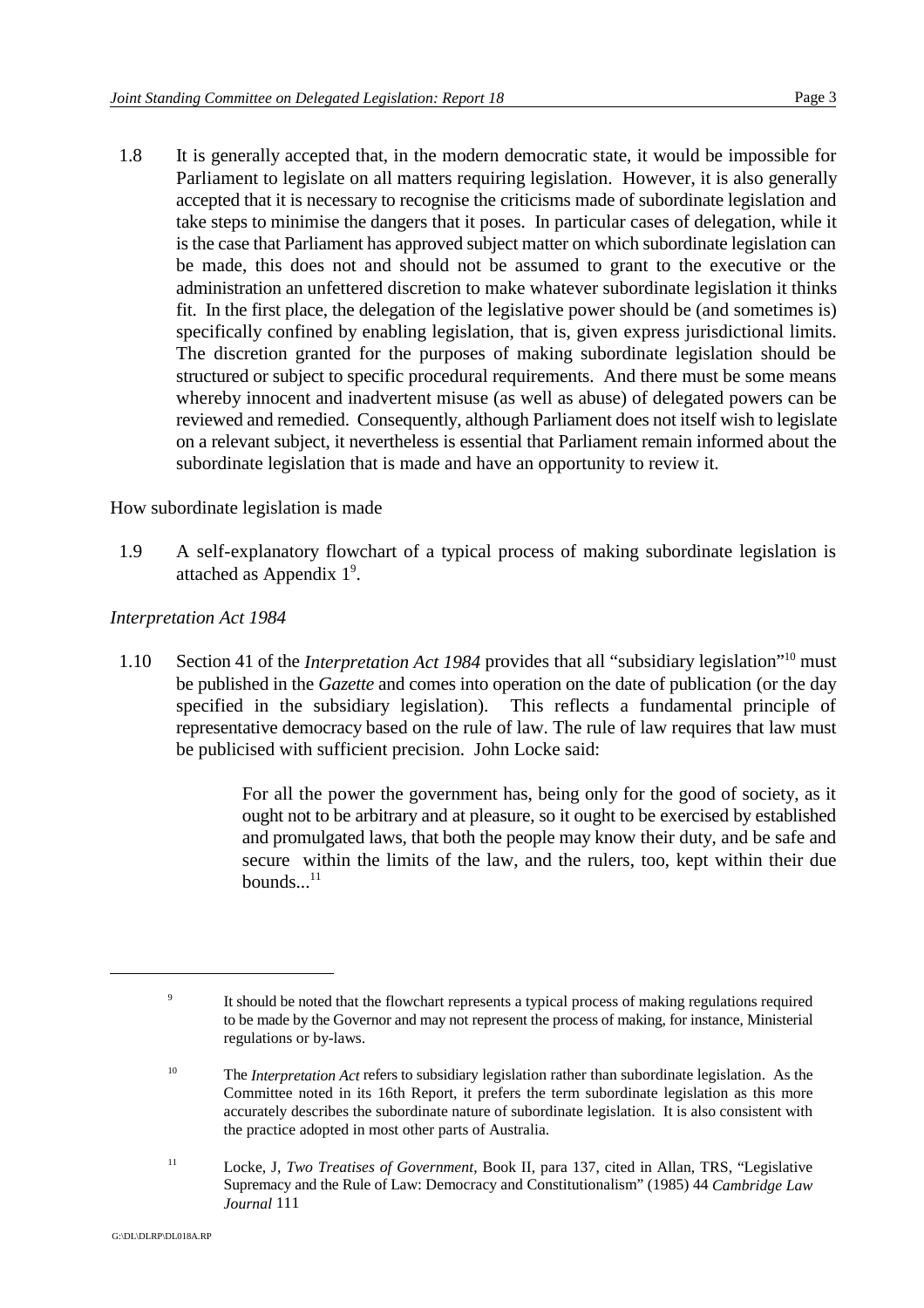1.8 It is generally accepted that, in the modern democratic state, it would be impossible for Parliament to legislate on all matters requiring legislation. However, it is also generally accepted that it is necessary to recognise the criticisms made of subordinate legislation and take steps to minimise the dangers that it poses. In particular cases of delegation, while it is the case that Parliament has approved subject matter on which subordinate legislation can be made, this does not and should not be assumed to grant to the executive or the administration an unfettered discretion to make whatever subordinate legislation it thinks fit. In the first place, the delegation of the legislative power should be (and sometimes is) specifically confined by enabling legislation, that is, given express jurisdictional limits. The discretion granted for the purposes of making subordinate legislation should be structured or subject to specific procedural requirements. And there must be some means whereby innocent and inadvertent misuse (as well as abuse) of delegated powers can be reviewed and remedied. Consequently, although Parliament does not itself wish to legislate on a relevant subject, it nevertheless is essential that Parliament remain informed about the subordinate legislation that is made and have an opportunity to review it.

How subordinate legislation is made

1.9 A self-explanatory flowchart of a typical process of making subordinate legislation is attached as Appendix  $1^9$ .

### *Interpretation Act 1984*

1.10 Section 41 of the *Interpretation Act 1984* provides that all "subsidiary legislation"<sup>10</sup> must be published in the *Gazette* and comes into operation on the date of publication (or the day specified in the subsidiary legislation). This reflects a fundamental principle of representative democracy based on the rule of law. The rule of law requires that law must be publicised with sufficient precision. John Locke said:

> For all the power the government has, being only for the good of society, as it ought not to be arbitrary and at pleasure, so it ought to be exercised by established and promulgated laws, that both the people may know their duty, and be safe and secure within the limits of the law, and the rulers, too, kept within their due bounds $11$

<sup>&</sup>lt;sup>9</sup> It should be noted that the flowchart represents a typical process of making regulations required to be made by the Governor and may not represent the process of making, for instance, Ministerial regulations or by-laws.

<sup>&</sup>lt;sup>10</sup> The *Interpretation Act* refers to subsidiary legislation rather than subordinate legislation. As the Committee noted in its 16th Report, it prefers the term subordinate legislation as this more accurately describes the subordinate nature of subordinate legislation. It is also consistent with the practice adopted in most other parts of Australia.

Locke, J, *Two Treatises of Government*, Book II, para 137, cited in Allan, TRS, "Legislative <sup>11</sup> Supremacy and the Rule of Law: Democracy and Constitutionalism" (1985) 44 *Cambridge Law Journal* 111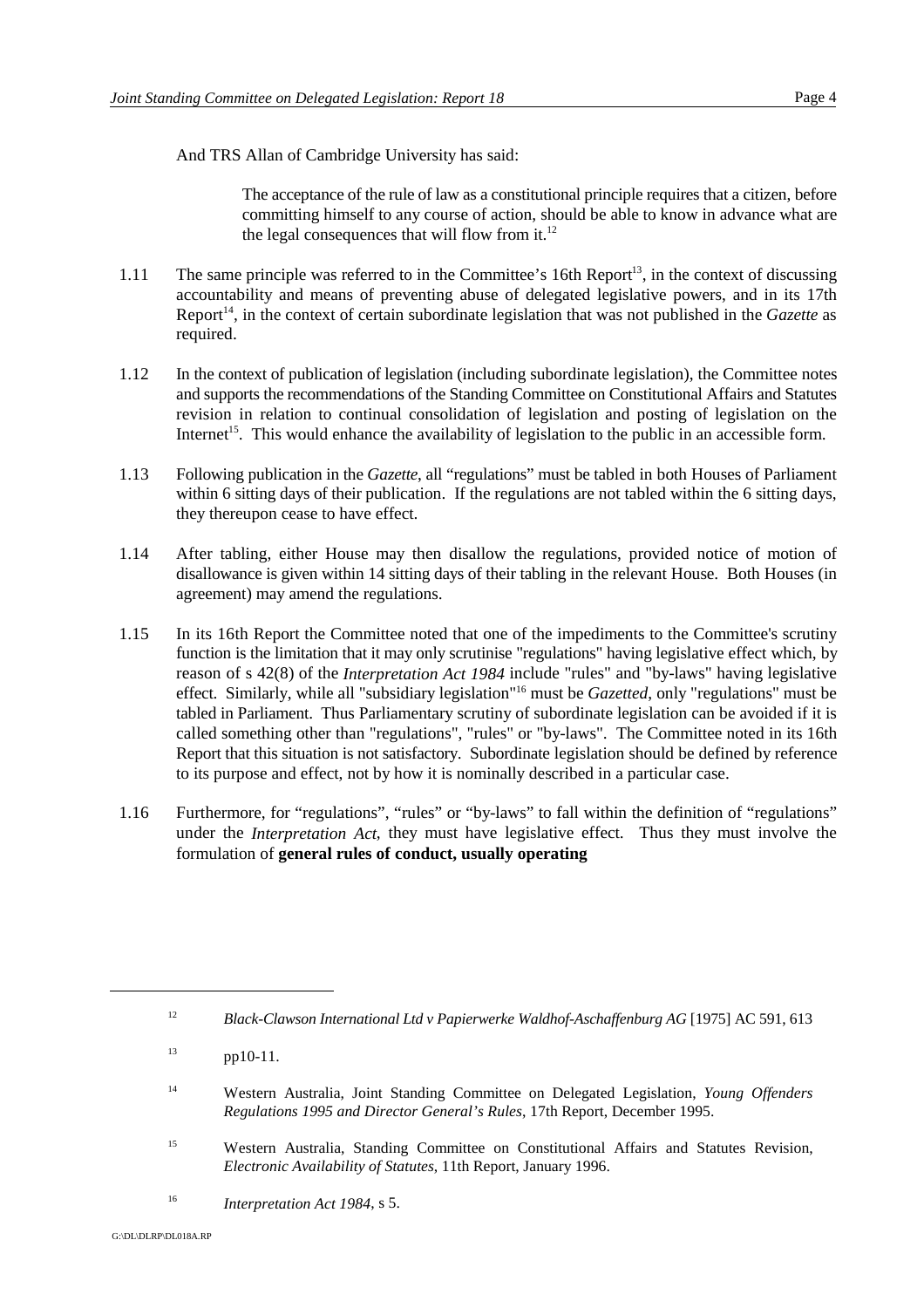And TRS Allan of Cambridge University has said:

The acceptance of the rule of law as a constitutional principle requires that a citizen, before committing himself to any course of action, should be able to know in advance what are the legal consequences that will flow from it. $^{12}$ 

- 1.11 The same principle was referred to in the Committee's 16th Report<sup>13</sup>, in the context of discussing accountability and means of preventing abuse of delegated legislative powers, and in its 17th Report<sup>14</sup>, in the context of certain subordinate legislation that was not published in the *Gazette* as required.
- 1.12 In the context of publication of legislation (including subordinate legislation), the Committee notes and supports the recommendations of the Standing Committee on Constitutional Affairs and Statutes revision in relation to continual consolidation of legislation and posting of legislation on the Internet<sup>15</sup>. This would enhance the availability of legislation to the public in an accessible form.
- 1.13 Following publication in the *Gazette*, all "regulations" must be tabled in both Houses of Parliament within 6 sitting days of their publication. If the regulations are not tabled within the 6 sitting days, they thereupon cease to have effect.
- 1.14 After tabling, either House may then disallow the regulations, provided notice of motion of disallowance is given within 14 sitting days of their tabling in the relevant House. Both Houses (in agreement) may amend the regulations.
- 1.15 In its 16th Report the Committee noted that one of the impediments to the Committee's scrutiny function is the limitation that it may only scrutinise "regulations" having legislative effect which, by reason of s 42(8) of the *Interpretation Act 1984* include "rules" and "by-laws" having legislative effect. Similarly, while all "subsidiary legislation"<sup>16</sup> must be *Gazetted*, only "regulations" must be tabled in Parliament. Thus Parliamentary scrutiny of subordinate legislation can be avoided if it is called something other than "regulations", "rules" or "by-laws". The Committee noted in its 16th Report that this situation is not satisfactory. Subordinate legislation should be defined by reference to its purpose and effect, not by how it is nominally described in a particular case.
- 1.16 Furthermore, for "regulations", "rules" or "by-laws" to fall within the definition of "regulations" under the *Interpretation Act*, they must have legislative effect. Thus they must involve the formulation of **general rules of conduct, usually operating**

<sup>15</sup> Western Australia, Standing Committee on Constitutional Affairs and Statutes Revision, *Electronic Availability of Statutes*, 11th Report, January 1996.

<sup>&</sup>lt;sup>12</sup> Black-Clawson International Ltd v Papierwerke Waldhof-Aschaffenburg AG [1975] AC 591, 613

 $pp10-11$ .

<sup>&</sup>lt;sup>14</sup> Western Australia, Joint Standing Committee on Delegated Legislation, *Young Offenders Regulations 1995 and Director General's Rules*, 17th Report, December 1995.

<sup>&</sup>lt;sup>16</sup> *Interpretation Act 1984, s 5.*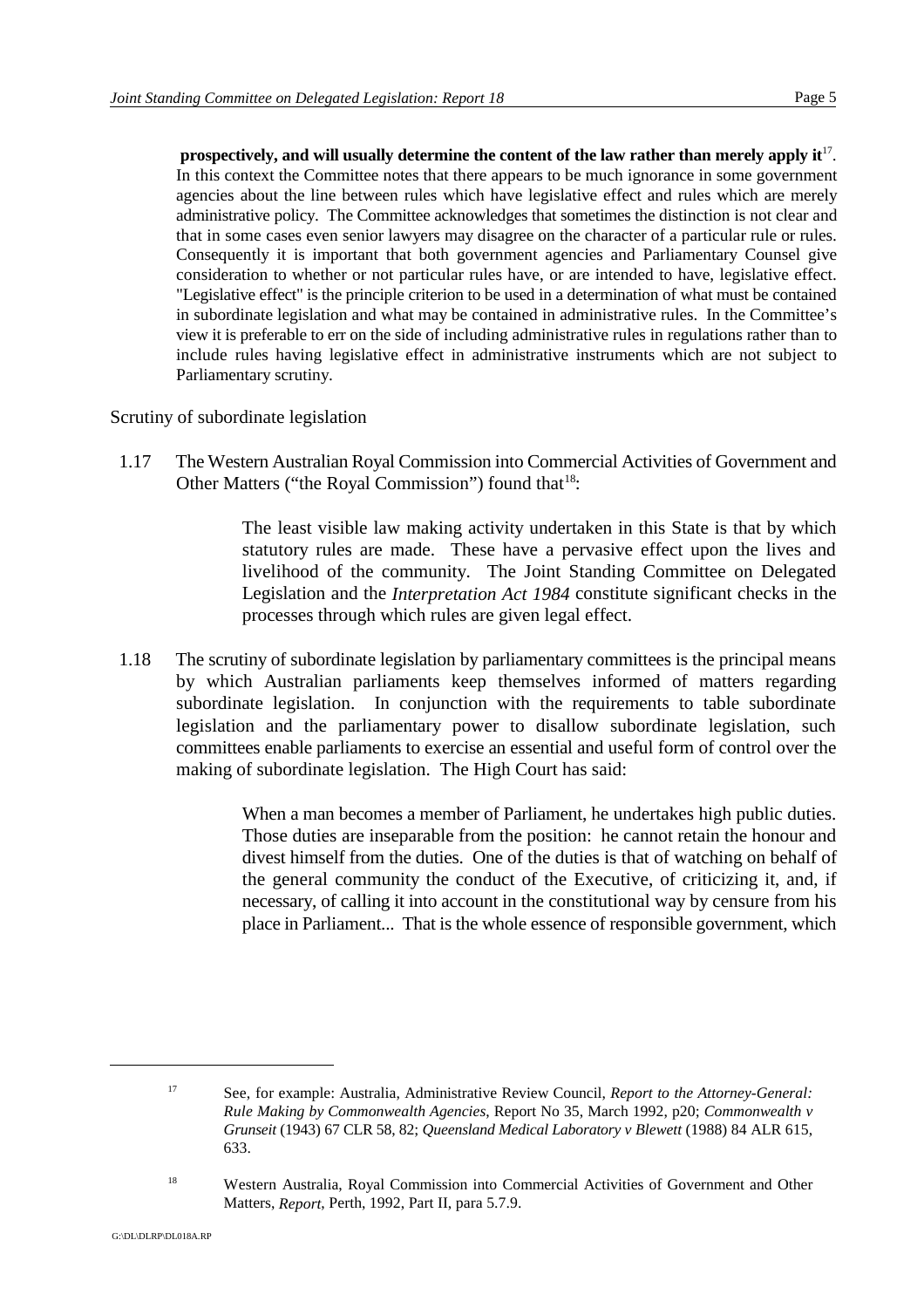**prospectively, and will usually determine the content of the law rather than merely apply it<sup>17</sup>.** In this context the Committee notes that there appears to be much ignorance in some government agencies about the line between rules which have legislative effect and rules which are merely administrative policy. The Committee acknowledges that sometimes the distinction is not clear and that in some cases even senior lawyers may disagree on the character of a particular rule or rules. Consequently it is important that both government agencies and Parliamentary Counsel give consideration to whether or not particular rules have, or are intended to have, legislative effect. "Legislative effect" is the principle criterion to be used in a determination of what must be contained in subordinate legislation and what may be contained in administrative rules. In the Committee's view it is preferable to err on the side of including administrative rules in regulations rather than to include rules having legislative effect in administrative instruments which are not subject to Parliamentary scrutiny.

Scrutiny of subordinate legislation

1.17 The Western Australian Royal Commission into Commercial Activities of Government and Other Matters ("the Royal Commission") found that  $18$ :

> The least visible law making activity undertaken in this State is that by which statutory rules are made. These have a pervasive effect upon the lives and livelihood of the community. The Joint Standing Committee on Delegated Legislation and the *Interpretation Act 1984* constitute significant checks in the processes through which rules are given legal effect.

1.18 The scrutiny of subordinate legislation by parliamentary committees is the principal means by which Australian parliaments keep themselves informed of matters regarding subordinate legislation. In conjunction with the requirements to table subordinate legislation and the parliamentary power to disallow subordinate legislation, such committees enable parliaments to exercise an essential and useful form of control over the making of subordinate legislation. The High Court has said:

> When a man becomes a member of Parliament, he undertakes high public duties. Those duties are inseparable from the position: he cannot retain the honour and divest himself from the duties. One of the duties is that of watching on behalf of the general community the conduct of the Executive, of criticizing it, and, if necessary, of calling it into account in the constitutional way by censure from his place in Parliament... That is the whole essence of responsible government, which

See, for example: Australia, Administrative Review Council, *Report to the Attorney-General:* <sup>17</sup> *Rule Making by Commonwealth Agencies*, Report No 35, March 1992, p20; *Commonwealth v Grunseit* (1943) 67 CLR 58, 82; *Queensland Medical Laboratory v Blewett* (1988) 84 ALR 615, 633.

<sup>&</sup>lt;sup>18</sup> Western Australia, Royal Commission into Commercial Activities of Government and Other Matters, *Report*, Perth, 1992, Part II, para 5.7.9.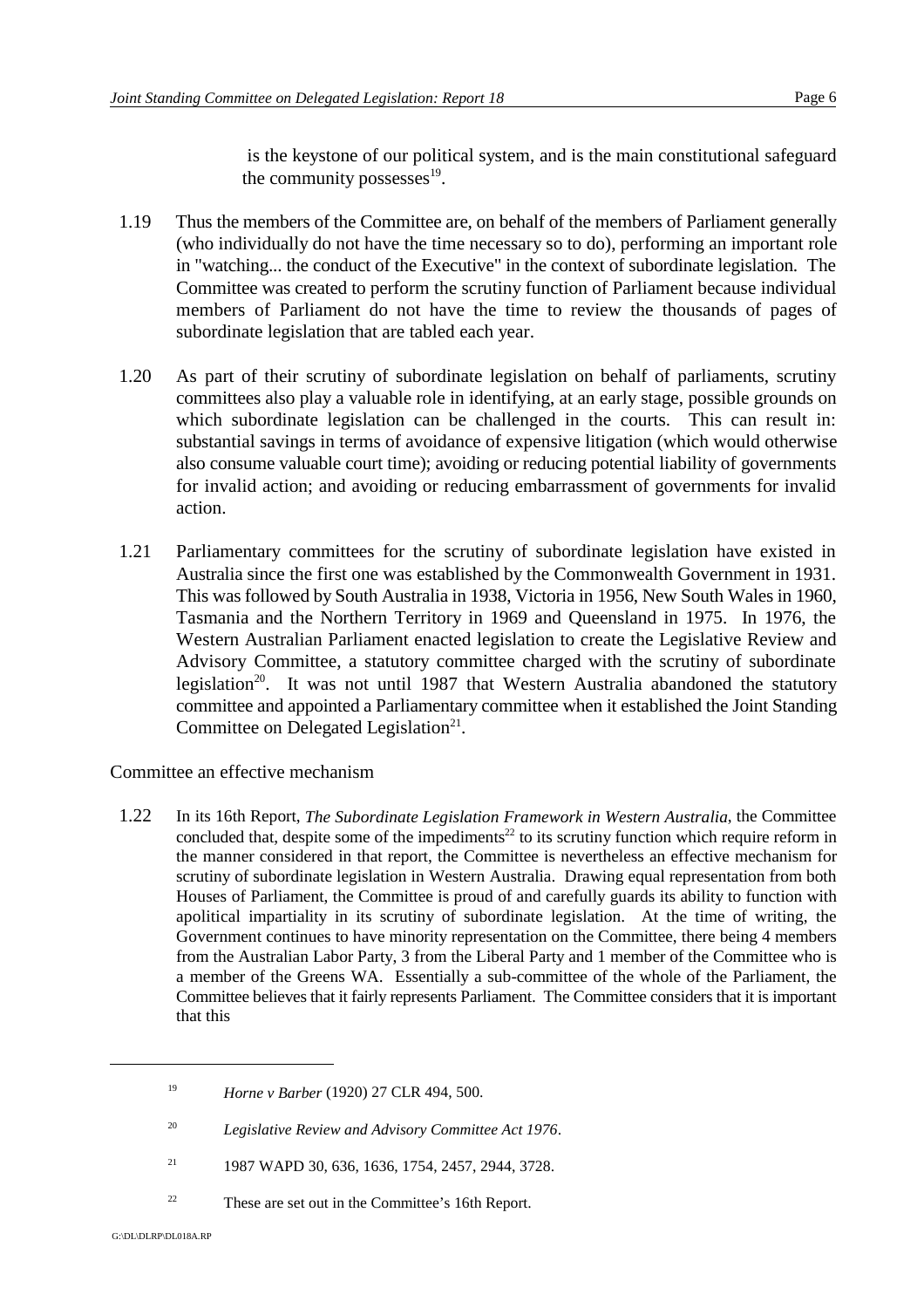is the keystone of our political system, and is the main constitutional safeguard the community possesses $^{19}$ .

- 1.19 Thus the members of the Committee are, on behalf of the members of Parliament generally (who individually do not have the time necessary so to do), performing an important role in "watching... the conduct of the Executive" in the context of subordinate legislation. The Committee was created to perform the scrutiny function of Parliament because individual members of Parliament do not have the time to review the thousands of pages of subordinate legislation that are tabled each year.
- 1.20 As part of their scrutiny of subordinate legislation on behalf of parliaments, scrutiny committees also play a valuable role in identifying, at an early stage, possible grounds on which subordinate legislation can be challenged in the courts. This can result in: substantial savings in terms of avoidance of expensive litigation (which would otherwise also consume valuable court time); avoiding or reducing potential liability of governments for invalid action; and avoiding or reducing embarrassment of governments for invalid action.
- 1.21 Parliamentary committees for the scrutiny of subordinate legislation have existed in Australia since the first one was established by the Commonwealth Government in 1931. This was followed by South Australia in 1938, Victoria in 1956, New South Wales in 1960, Tasmania and the Northern Territory in 1969 and Queensland in 1975. In 1976, the Western Australian Parliament enacted legislation to create the Legislative Review and Advisory Committee, a statutory committee charged with the scrutiny of subordinate legislation<sup>20</sup>. It was not until 1987 that Western Australia abandoned the statutory committee and appointed a Parliamentary committee when it established the Joint Standing Committee on Delegated Legislation<sup> $21$ </sup>.

Committee an effective mechanism

1.22 In its 16th Report, *The Subordinate Legislation Framework in Western Australia*, the Committee concluded that, despite some of the impediments<sup>22</sup> to its scrutiny function which require reform in the manner considered in that report, the Committee is nevertheless an effective mechanism for scrutiny of subordinate legislation in Western Australia. Drawing equal representation from both Houses of Parliament, the Committee is proud of and carefully guards its ability to function with apolitical impartiality in its scrutiny of subordinate legislation. At the time of writing, the Government continues to have minority representation on the Committee, there being 4 members from the Australian Labor Party, 3 from the Liberal Party and 1 member of the Committee who is a member of the Greens WA. Essentially a sub-committee of the whole of the Parliament, the Committee believes that it fairly represents Parliament. The Committee considers that it is important that this

<sup>&</sup>lt;sup>19</sup> *Horne v Barber* (1920) 27 CLR 494, 500.

*Legislative Review and Advisory Committee Act 1976*. <sup>20</sup>

<sup>&</sup>lt;sup>21</sup> 1987 WAPD 30, 636, 1636, 1754, 2457, 2944, 3728.

 $2<sup>22</sup>$  These are set out in the Committee's 16th Report.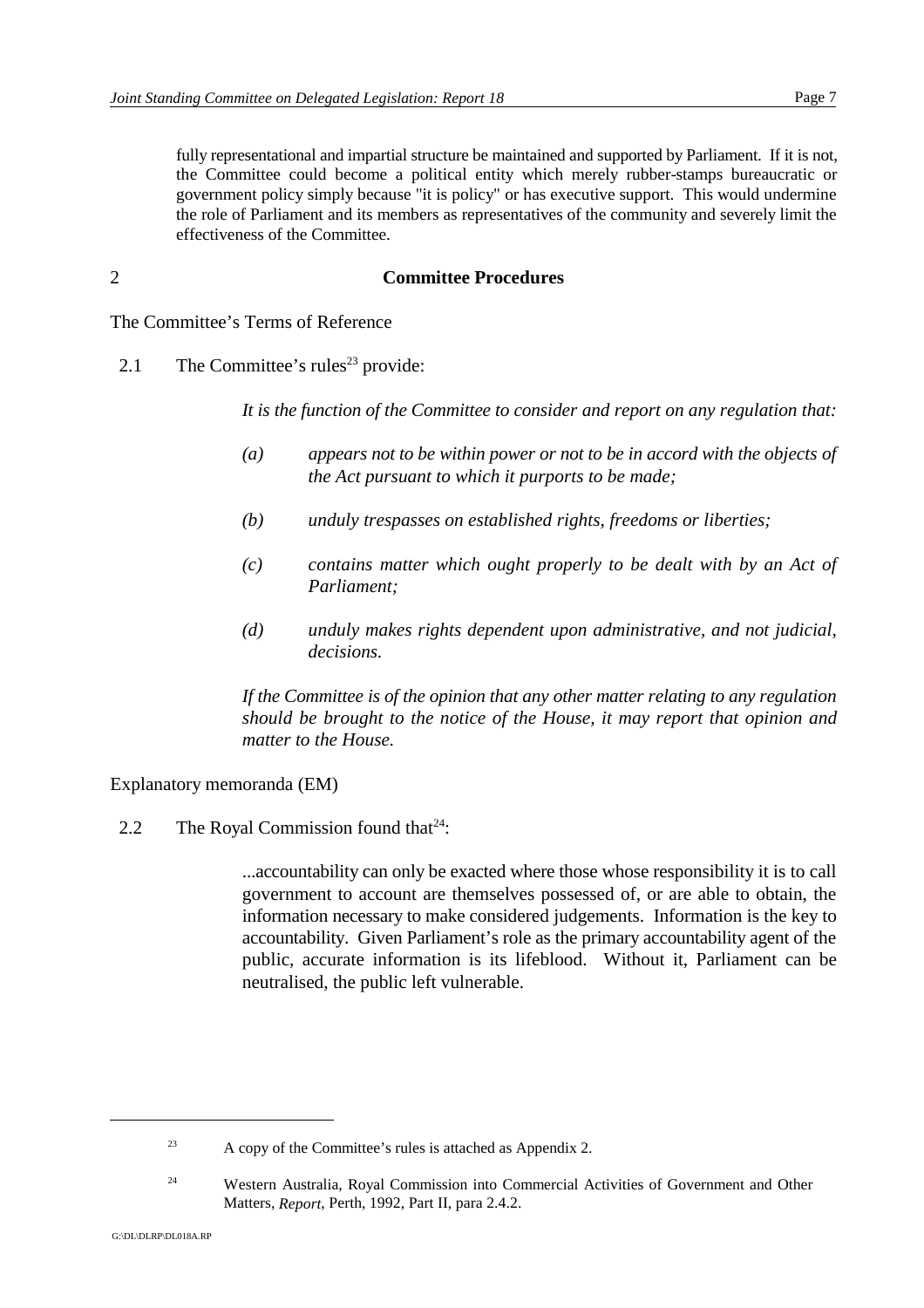fully representational and impartial structure be maintained and supported by Parliament. If it is not, the Committee could become a political entity which merely rubber-stamps bureaucratic or government policy simply because "it is policy" or has executive support. This would undermine the role of Parliament and its members as representatives of the community and severely limit the effectiveness of the Committee.

#### 2 **Committee Procedures**

The Committee's Terms of Reference

2.1 The Committee's rules<sup>23</sup> provide:

*It is the function of the Committee to consider and report on any regulation that:*

- *(a) appears not to be within power or not to be in accord with the objects of the Act pursuant to which it purports to be made;*
- *(b) unduly trespasses on established rights, freedoms or liberties;*
- *(c) contains matter which ought properly to be dealt with by an Act of Parliament;*
- *(d) unduly makes rights dependent upon administrative, and not judicial, decisions.*

*If the Committee is of the opinion that any other matter relating to any regulation should be brought to the notice of the House, it may report that opinion and matter to the House.*

Explanatory memoranda (EM)

2.2 The Royal Commission found that  $24$ :

...accountability can only be exacted where those whose responsibility it is to call government to account are themselves possessed of, or are able to obtain, the information necessary to make considered judgements. Information is the key to accountability. Given Parliament's role as the primary accountability agent of the public, accurate information is its lifeblood. Without it, Parliament can be neutralised, the public left vulnerable.

 $A$  copy of the Committee's rules is attached as Appendix 2.

<sup>&</sup>lt;sup>24</sup> Western Australia, Royal Commission into Commercial Activities of Government and Other Matters, *Report*, Perth, 1992, Part II, para 2.4.2.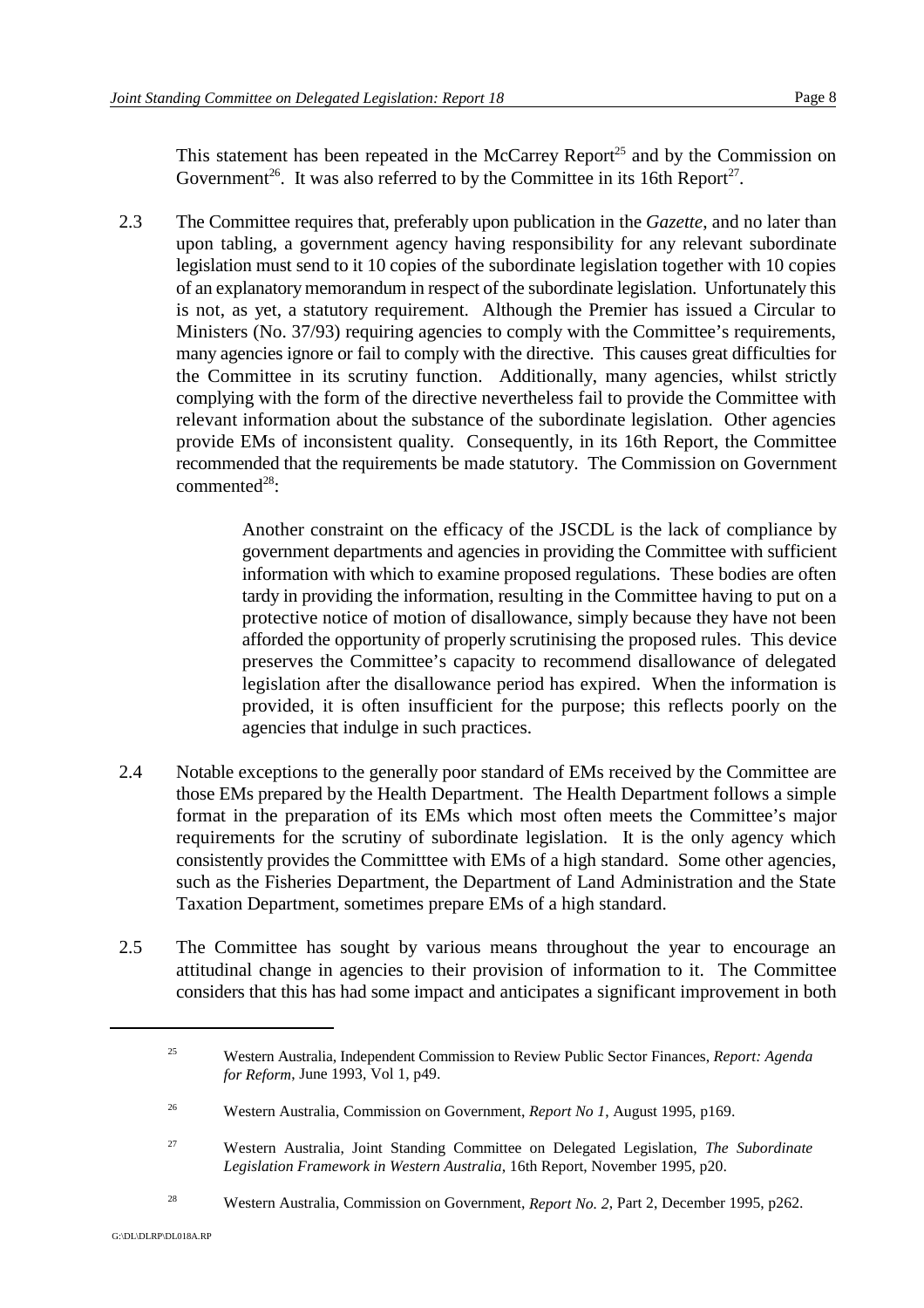This statement has been repeated in the McCarrey Report<sup>25</sup> and by the Commission on Government<sup>26</sup>. It was also referred to by the Committee in its 16th Report<sup>27</sup>.

2.3 The Committee requires that, preferably upon publication in the *Gazette*, and no later than upon tabling, a government agency having responsibility for any relevant subordinate legislation must send to it 10 copies of the subordinate legislation together with 10 copies of an explanatory memorandum in respect of the subordinate legislation. Unfortunately this is not, as yet, a statutory requirement. Although the Premier has issued a Circular to Ministers (No. 37/93) requiring agencies to comply with the Committee's requirements, many agencies ignore or fail to comply with the directive. This causes great difficulties for the Committee in its scrutiny function. Additionally, many agencies, whilst strictly complying with the form of the directive nevertheless fail to provide the Committee with relevant information about the substance of the subordinate legislation. Other agencies provide EMs of inconsistent quality. Consequently, in its 16th Report, the Committee recommended that the requirements be made statutory. The Commission on Government  $commented<sup>28</sup>$ 

> Another constraint on the efficacy of the JSCDL is the lack of compliance by government departments and agencies in providing the Committee with sufficient information with which to examine proposed regulations. These bodies are often tardy in providing the information, resulting in the Committee having to put on a protective notice of motion of disallowance, simply because they have not been afforded the opportunity of properly scrutinising the proposed rules. This device preserves the Committee's capacity to recommend disallowance of delegated legislation after the disallowance period has expired. When the information is provided, it is often insufficient for the purpose; this reflects poorly on the agencies that indulge in such practices.

- 2.4 Notable exceptions to the generally poor standard of EMs received by the Committee are those EMs prepared by the Health Department. The Health Department follows a simple format in the preparation of its EMs which most often meets the Committee's major requirements for the scrutiny of subordinate legislation. It is the only agency which consistently provides the Committtee with EMs of a high standard. Some other agencies, such as the Fisheries Department, the Department of Land Administration and the State Taxation Department, sometimes prepare EMs of a high standard.
- 2.5 The Committee has sought by various means throughout the year to encourage an attitudinal change in agencies to their provision of information to it. The Committee considers that this has had some impact and anticipates a significant improvement in both

Western Australia, Independent Commission to Review Public Sector Finances, *Report: Agenda* <sup>25</sup> *for Reform*, June 1993, Vol 1, p49.

Western Australia, Commission on Government, *Report No 1*, August 1995, p169. <sup>26</sup>

Western Australia, Joint Standing Committee on Delegated Legislation, *The Subordinate* <sup>27</sup> *Legislation Framework in Western Australia*, 16th Report, November 1995, p20.

<sup>&</sup>lt;sup>28</sup> Western Australia, Commission on Government, *Report No.* 2, Part 2, December 1995, p262.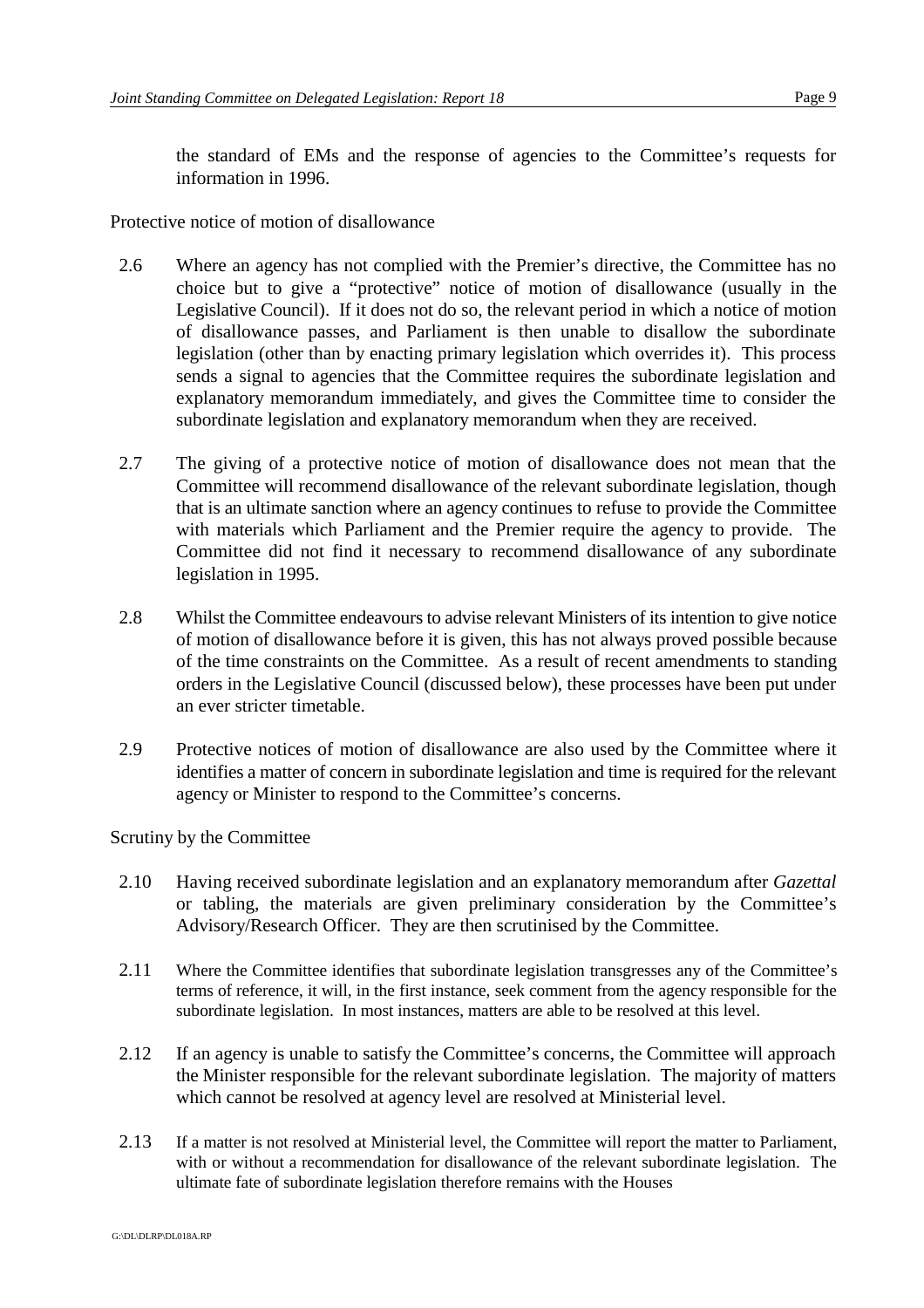the standard of EMs and the response of agencies to the Committee's requests for information in 1996.

Protective notice of motion of disallowance

- 2.6 Where an agency has not complied with the Premier's directive, the Committee has no choice but to give a "protective" notice of motion of disallowance (usually in the Legislative Council). If it does not do so, the relevant period in which a notice of motion of disallowance passes, and Parliament is then unable to disallow the subordinate legislation (other than by enacting primary legislation which overrides it). This process sends a signal to agencies that the Committee requires the subordinate legislation and explanatory memorandum immediately, and gives the Committee time to consider the subordinate legislation and explanatory memorandum when they are received.
- 2.7 The giving of a protective notice of motion of disallowance does not mean that the Committee will recommend disallowance of the relevant subordinate legislation, though that is an ultimate sanction where an agency continues to refuse to provide the Committee with materials which Parliament and the Premier require the agency to provide. The Committee did not find it necessary to recommend disallowance of any subordinate legislation in 1995.
- 2.8 Whilst the Committee endeavours to advise relevant Ministers of its intention to give notice of motion of disallowance before it is given, this has not always proved possible because of the time constraints on the Committee. As a result of recent amendments to standing orders in the Legislative Council (discussed below), these processes have been put under an ever stricter timetable.
- 2.9 Protective notices of motion of disallowance are also used by the Committee where it identifies a matter of concern in subordinate legislation and time is required for the relevant agency or Minister to respond to the Committee's concerns.

Scrutiny by the Committee

- 2.10 Having received subordinate legislation and an explanatory memorandum after *Gazettal* or tabling, the materials are given preliminary consideration by the Committee's Advisory/Research Officer. They are then scrutinised by the Committee.
- 2.11 Where the Committee identifies that subordinate legislation transgresses any of the Committee's terms of reference, it will, in the first instance, seek comment from the agency responsible for the subordinate legislation. In most instances, matters are able to be resolved at this level.
- 2.12 If an agency is unable to satisfy the Committee's concerns, the Committee will approach the Minister responsible for the relevant subordinate legislation. The majority of matters which cannot be resolved at agency level are resolved at Ministerial level.
- 2.13 If a matter is not resolved at Ministerial level, the Committee will report the matter to Parliament, with or without a recommendation for disallowance of the relevant subordinate legislation. The ultimate fate of subordinate legislation therefore remains with the Houses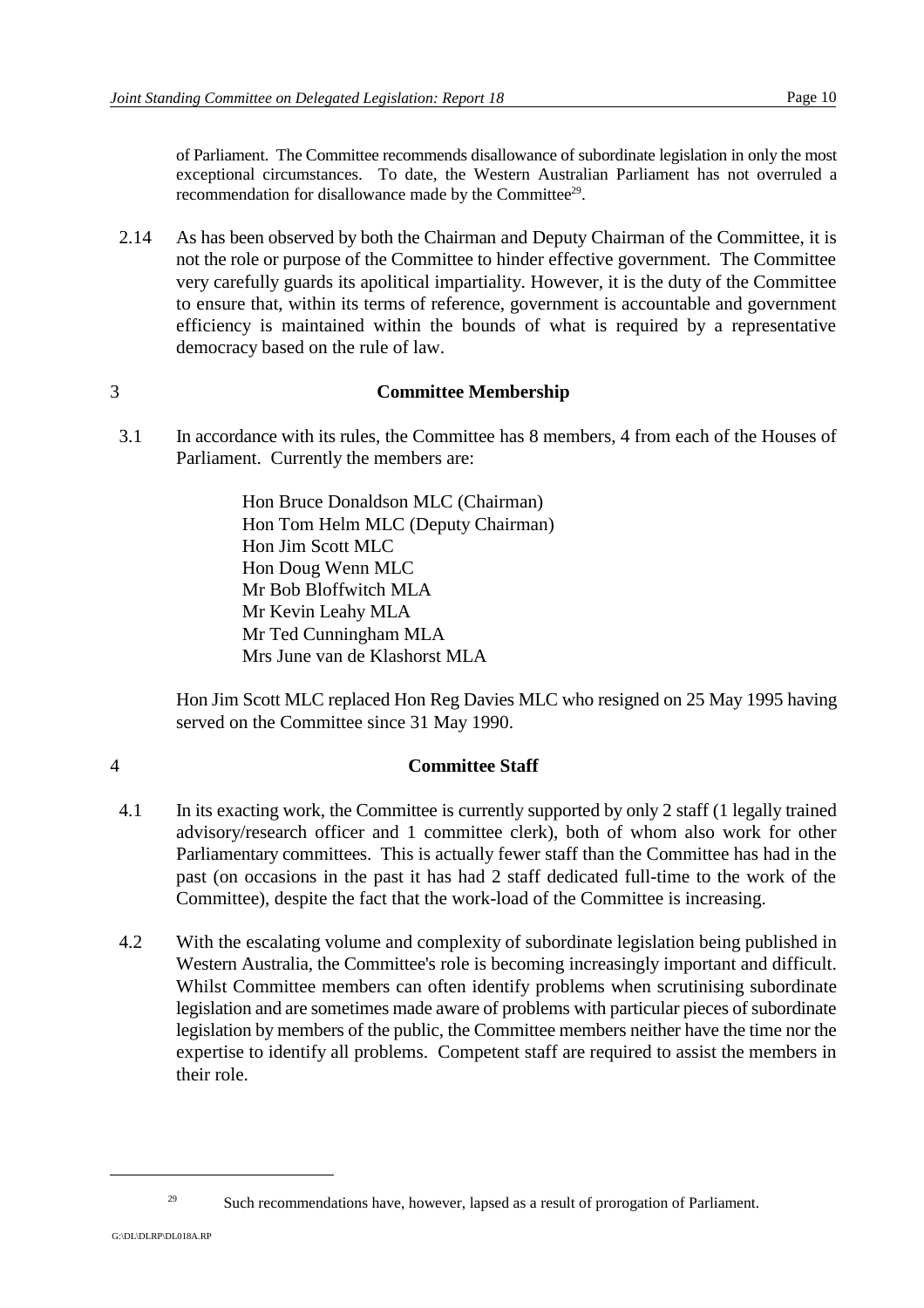of Parliament. The Committee recommends disallowance of subordinate legislation in only the most exceptional circumstances. To date, the Western Australian Parliament has not overruled a recommendation for disallowance made by the Committee<sup>29</sup>.

2.14 As has been observed by both the Chairman and Deputy Chairman of the Committee, it is not the role or purpose of the Committee to hinder effective government. The Committee very carefully guards its apolitical impartiality. However, it is the duty of the Committee to ensure that, within its terms of reference, government is accountable and government efficiency is maintained within the bounds of what is required by a representative democracy based on the rule of law.

## 3 **Committee Membership**

3.1 In accordance with its rules, the Committee has 8 members, 4 from each of the Houses of Parliament. Currently the members are:

> Hon Bruce Donaldson MLC (Chairman) Hon Tom Helm MLC (Deputy Chairman) Hon Jim Scott MLC Hon Doug Wenn MLC Mr Bob Bloffwitch MLA Mr Kevin Leahy MLA Mr Ted Cunningham MLA Mrs June van de Klashorst MLA

Hon Jim Scott MLC replaced Hon Reg Davies MLC who resigned on 25 May 1995 having served on the Committee since 31 May 1990.

## 4 **Committee Staff**

- 4.1 In its exacting work, the Committee is currently supported by only 2 staff (1 legally trained advisory/research officer and 1 committee clerk), both of whom also work for other Parliamentary committees. This is actually fewer staff than the Committee has had in the past (on occasions in the past it has had 2 staff dedicated full-time to the work of the Committee), despite the fact that the work-load of the Committee is increasing.
- 4.2 With the escalating volume and complexity of subordinate legislation being published in Western Australia, the Committee's role is becoming increasingly important and difficult. Whilst Committee members can often identify problems when scrutinising subordinate legislation and are sometimes made aware of problems with particular pieces of subordinate legislation by members of the public, the Committee members neither have the time nor the expertise to identify all problems. Competent staff are required to assist the members in their role.

<sup>&</sup>lt;sup>29</sup> Such recommendations have, however, lapsed as a result of prorogation of Parliament.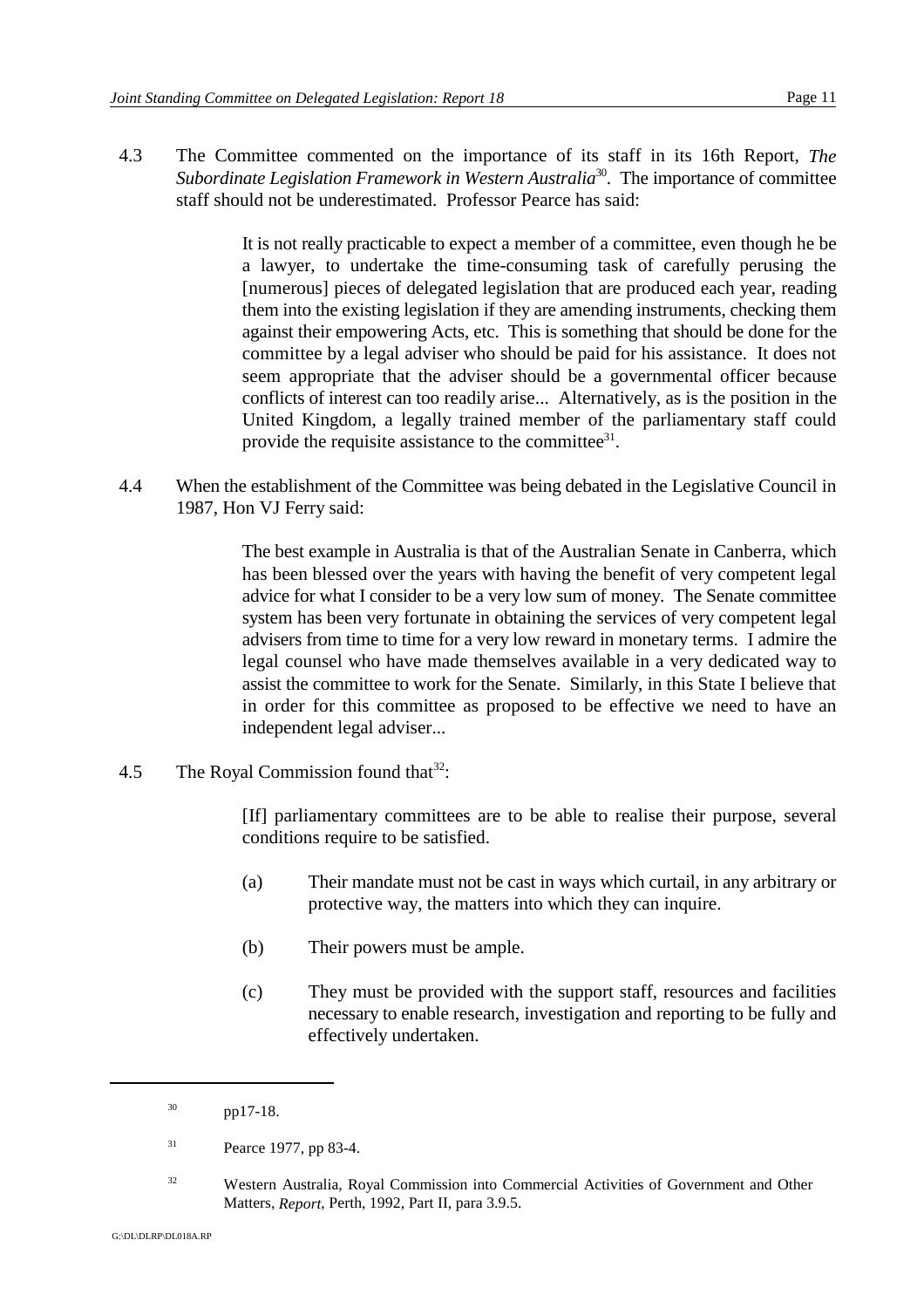4.3 The Committee commented on the importance of its staff in its 16th Report, *The Subordinate Legislation Framework in Western Australia*<sup>30</sup>. The importance of committee staff should not be underestimated. Professor Pearce has said:

> It is not really practicable to expect a member of a committee, even though he be a lawyer, to undertake the time-consuming task of carefully perusing the [numerous] pieces of delegated legislation that are produced each year, reading them into the existing legislation if they are amending instruments, checking them against their empowering Acts, etc. This is something that should be done for the committee by a legal adviser who should be paid for his assistance. It does not seem appropriate that the adviser should be a governmental officer because conflicts of interest can too readily arise... Alternatively, as is the position in the United Kingdom, a legally trained member of the parliamentary staff could provide the requisite assistance to the committee<sup>31</sup>.

4.4 When the establishment of the Committee was being debated in the Legislative Council in 1987, Hon VJ Ferry said:

> The best example in Australia is that of the Australian Senate in Canberra, which has been blessed over the years with having the benefit of very competent legal advice for what I consider to be a very low sum of money. The Senate committee system has been very fortunate in obtaining the services of very competent legal advisers from time to time for a very low reward in monetary terms. I admire the legal counsel who have made themselves available in a very dedicated way to assist the committee to work for the Senate. Similarly, in this State I believe that in order for this committee as proposed to be effective we need to have an independent legal adviser...

4.5 The Royal Commission found that  $32$ :

[If] parliamentary committees are to be able to realise their purpose, several conditions require to be satisfied.

- (a) Their mandate must not be cast in ways which curtail, in any arbitrary or protective way, the matters into which they can inquire.
- (b) Their powers must be ample.
- (c) They must be provided with the support staff, resources and facilities necessary to enable research, investigation and reporting to be fully and effectively undertaken.

 $pp17-18$ .

 $Pearce 1977$ , pp 83-4.

<sup>&</sup>lt;sup>32</sup> Western Australia, Royal Commission into Commercial Activities of Government and Other Matters, *Report*, Perth, 1992, Part II, para 3.9.5.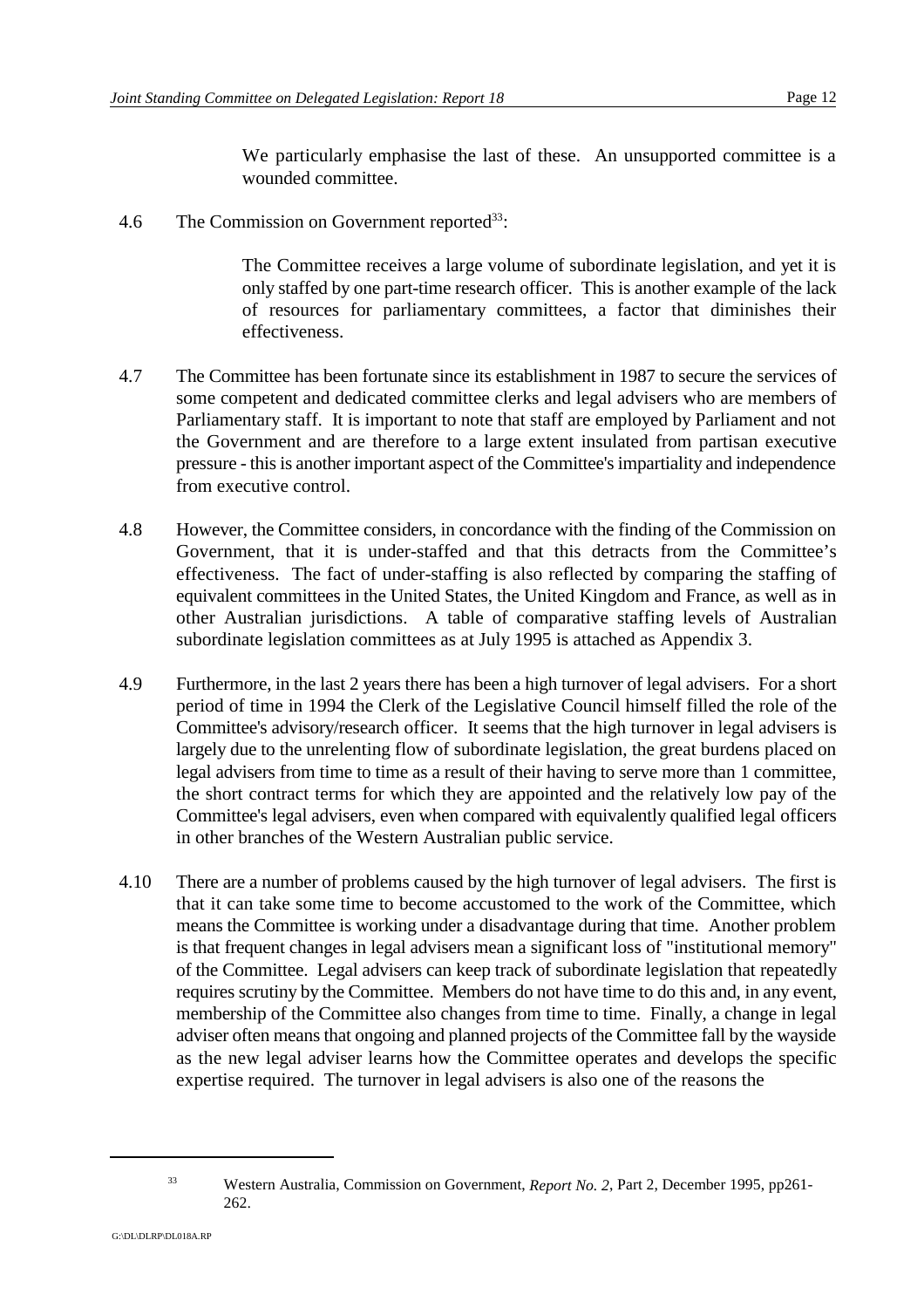We particularly emphasise the last of these. An unsupported committee is a wounded committee.

4.6 The Commission on Government reported $^{33}$ :

The Committee receives a large volume of subordinate legislation, and yet it is only staffed by one part-time research officer. This is another example of the lack of resources for parliamentary committees, a factor that diminishes their effectiveness.

- 4.7 The Committee has been fortunate since its establishment in 1987 to secure the services of some competent and dedicated committee clerks and legal advisers who are members of Parliamentary staff. It is important to note that staff are employed by Parliament and not the Government and are therefore to a large extent insulated from partisan executive pressure - this is another important aspect of the Committee's impartiality and independence from executive control.
- 4.8 However, the Committee considers, in concordance with the finding of the Commission on Government, that it is under-staffed and that this detracts from the Committee's effectiveness. The fact of under-staffing is also reflected by comparing the staffing of equivalent committees in the United States, the United Kingdom and France, as well as in other Australian jurisdictions. A table of comparative staffing levels of Australian subordinate legislation committees as at July 1995 is attached as Appendix 3.
- 4.9 Furthermore, in the last 2 years there has been a high turnover of legal advisers. For a short period of time in 1994 the Clerk of the Legislative Council himself filled the role of the Committee's advisory/research officer. It seems that the high turnover in legal advisers is largely due to the unrelenting flow of subordinate legislation, the great burdens placed on legal advisers from time to time as a result of their having to serve more than 1 committee, the short contract terms for which they are appointed and the relatively low pay of the Committee's legal advisers, even when compared with equivalently qualified legal officers in other branches of the Western Australian public service.
- 4.10 There are a number of problems caused by the high turnover of legal advisers. The first is that it can take some time to become accustomed to the work of the Committee, which means the Committee is working under a disadvantage during that time. Another problem is that frequent changes in legal advisers mean a significant loss of "institutional memory" of the Committee. Legal advisers can keep track of subordinate legislation that repeatedly requires scrutiny by the Committee. Members do not have time to do this and, in any event, membership of the Committee also changes from time to time. Finally, a change in legal adviser often means that ongoing and planned projects of the Committee fall by the wayside as the new legal adviser learns how the Committee operates and develops the specific expertise required. The turnover in legal advisers is also one of the reasons the

Western Australia, Commission on Government, *Report No. 2*, Part 2, December 1995, pp261- <sup>33</sup> 262.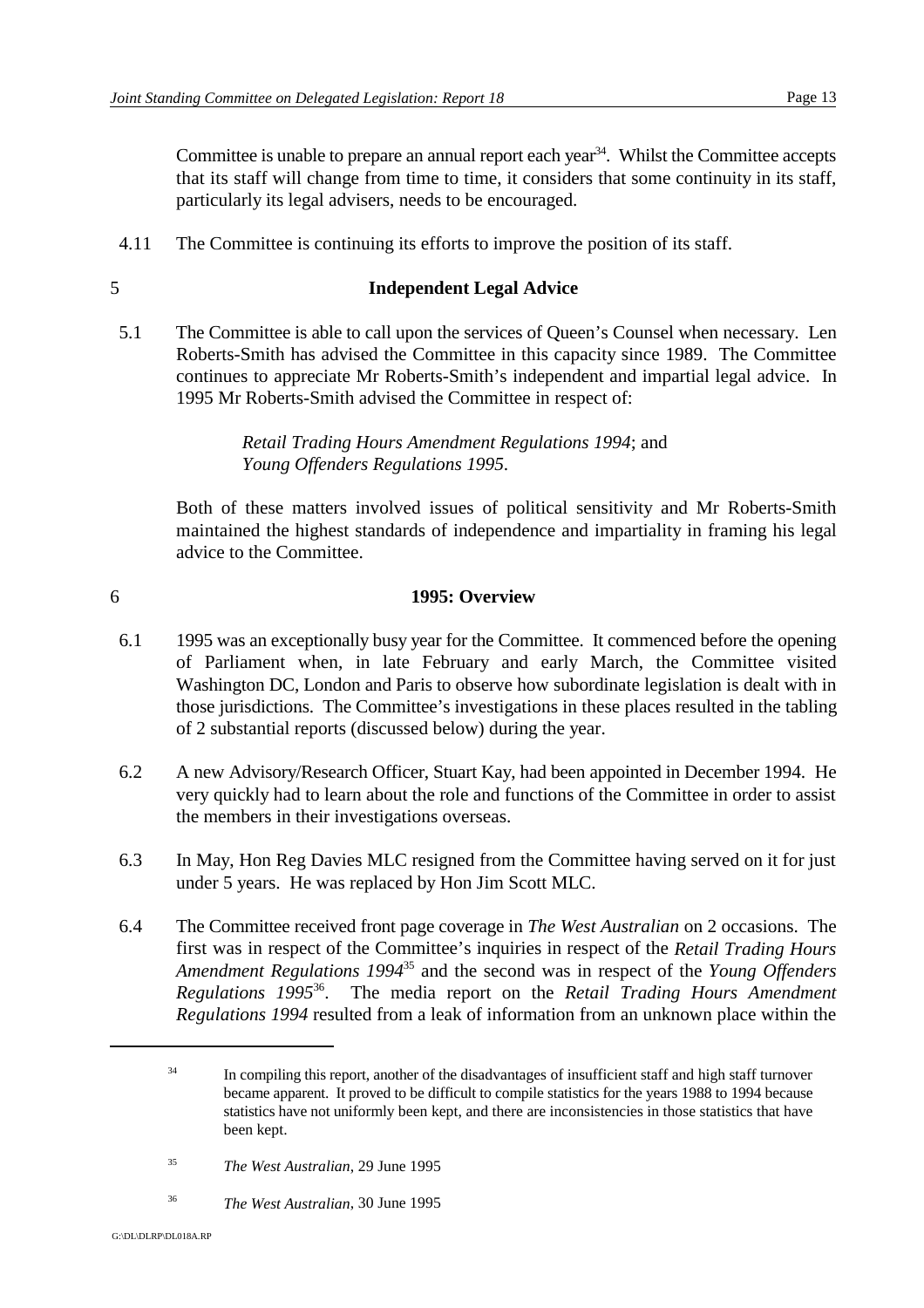Committee is unable to prepare an annual report each year<sup>34</sup>. Whilst the Committee accepts that its staff will change from time to time, it considers that some continuity in its staff, particularly its legal advisers, needs to be encouraged.

4.11 The Committee is continuing its efforts to improve the position of its staff.

## 5 **Independent Legal Advice**

5.1 The Committee is able to call upon the services of Queen's Counsel when necessary. Len Roberts-Smith has advised the Committee in this capacity since 1989. The Committee continues to appreciate Mr Roberts-Smith's independent and impartial legal advice. In 1995 Mr Roberts-Smith advised the Committee in respect of:

> *Retail Trading Hours Amendment Regulations 1994*; and *Young Offenders Regulations 1995*.

Both of these matters involved issues of political sensitivity and Mr Roberts-Smith maintained the highest standards of independence and impartiality in framing his legal advice to the Committee.

### 6 **1995: Overview**

- 6.1 1995 was an exceptionally busy year for the Committee. It commenced before the opening of Parliament when, in late February and early March, the Committee visited Washington DC, London and Paris to observe how subordinate legislation is dealt with in those jurisdictions. The Committee's investigations in these places resulted in the tabling of 2 substantial reports (discussed below) during the year.
- 6.2 A new Advisory/Research Officer, Stuart Kay, had been appointed in December 1994. He very quickly had to learn about the role and functions of the Committee in order to assist the members in their investigations overseas.
- 6.3 In May, Hon Reg Davies MLC resigned from the Committee having served on it for just under 5 years. He was replaced by Hon Jim Scott MLC.
- 6.4 The Committee received front page coverage in *The West Australian* on 2 occasions. The first was in respect of the Committee's inquiries in respect of the *Retail Trading Hours Amendment Regulations 1994*<sup>35</sup> and the second was in respect of the *Young Offenders Regulations 1995*<sup>36</sup>. The media report on the *Retail Trading Hours Amendment Regulations 1994* resulted from a leak of information from an unknown place within the

<sup>&</sup>lt;sup>34</sup> In compiling this report, another of the disadvantages of insufficient staff and high staff turnover became apparent. It proved to be difficult to compile statistics for the years 1988 to 1994 because statistics have not uniformly been kept, and there are inconsistencies in those statistics that have been kept.

<sup>&</sup>lt;sup>35</sup> *The West Australian*, 29 June 1995

<sup>&</sup>lt;sup>36</sup> *The West Australian*, 30 June 1995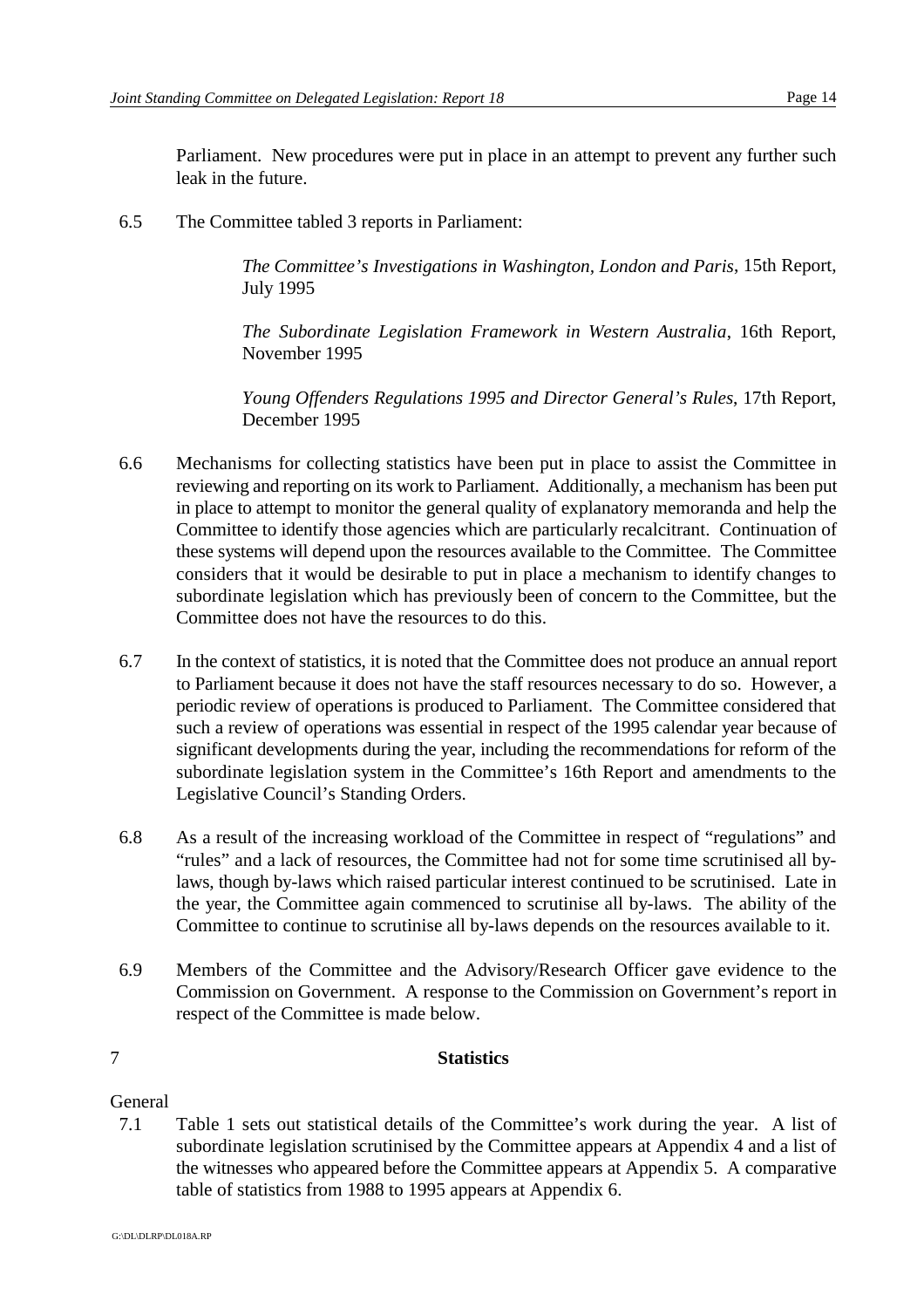Parliament. New procedures were put in place in an attempt to prevent any further such leak in the future.

6.5 The Committee tabled 3 reports in Parliament:

*The Committee's Investigations in Washington, London and Paris*, 15th Report, July 1995

*The Subordinate Legislation Framework in Western Australia*, 16th Report, November 1995

*Young Offenders Regulations 1995 and Director General's Rules*, 17th Report, December 1995

- 6.6 Mechanisms for collecting statistics have been put in place to assist the Committee in reviewing and reporting on its work to Parliament. Additionally, a mechanism has been put in place to attempt to monitor the general quality of explanatory memoranda and help the Committee to identify those agencies which are particularly recalcitrant. Continuation of these systems will depend upon the resources available to the Committee. The Committee considers that it would be desirable to put in place a mechanism to identify changes to subordinate legislation which has previously been of concern to the Committee, but the Committee does not have the resources to do this.
- 6.7 In the context of statistics, it is noted that the Committee does not produce an annual report to Parliament because it does not have the staff resources necessary to do so. However, a periodic review of operations is produced to Parliament. The Committee considered that such a review of operations was essential in respect of the 1995 calendar year because of significant developments during the year, including the recommendations for reform of the subordinate legislation system in the Committee's 16th Report and amendments to the Legislative Council's Standing Orders.
- 6.8 As a result of the increasing workload of the Committee in respect of "regulations" and "rules" and a lack of resources, the Committee had not for some time scrutinised all bylaws, though by-laws which raised particular interest continued to be scrutinised. Late in the year, the Committee again commenced to scrutinise all by-laws. The ability of the Committee to continue to scrutinise all by-laws depends on the resources available to it.
- 6.9 Members of the Committee and the Advisory/Research Officer gave evidence to the Commission on Government. A response to the Commission on Government's report in respect of the Committee is made below.

#### 7 **Statistics**

#### General

7.1 Table 1 sets out statistical details of the Committee's work during the year. A list of subordinate legislation scrutinised by the Committee appears at Appendix 4 and a list of the witnesses who appeared before the Committee appears at Appendix 5. A comparative table of statistics from 1988 to 1995 appears at Appendix 6.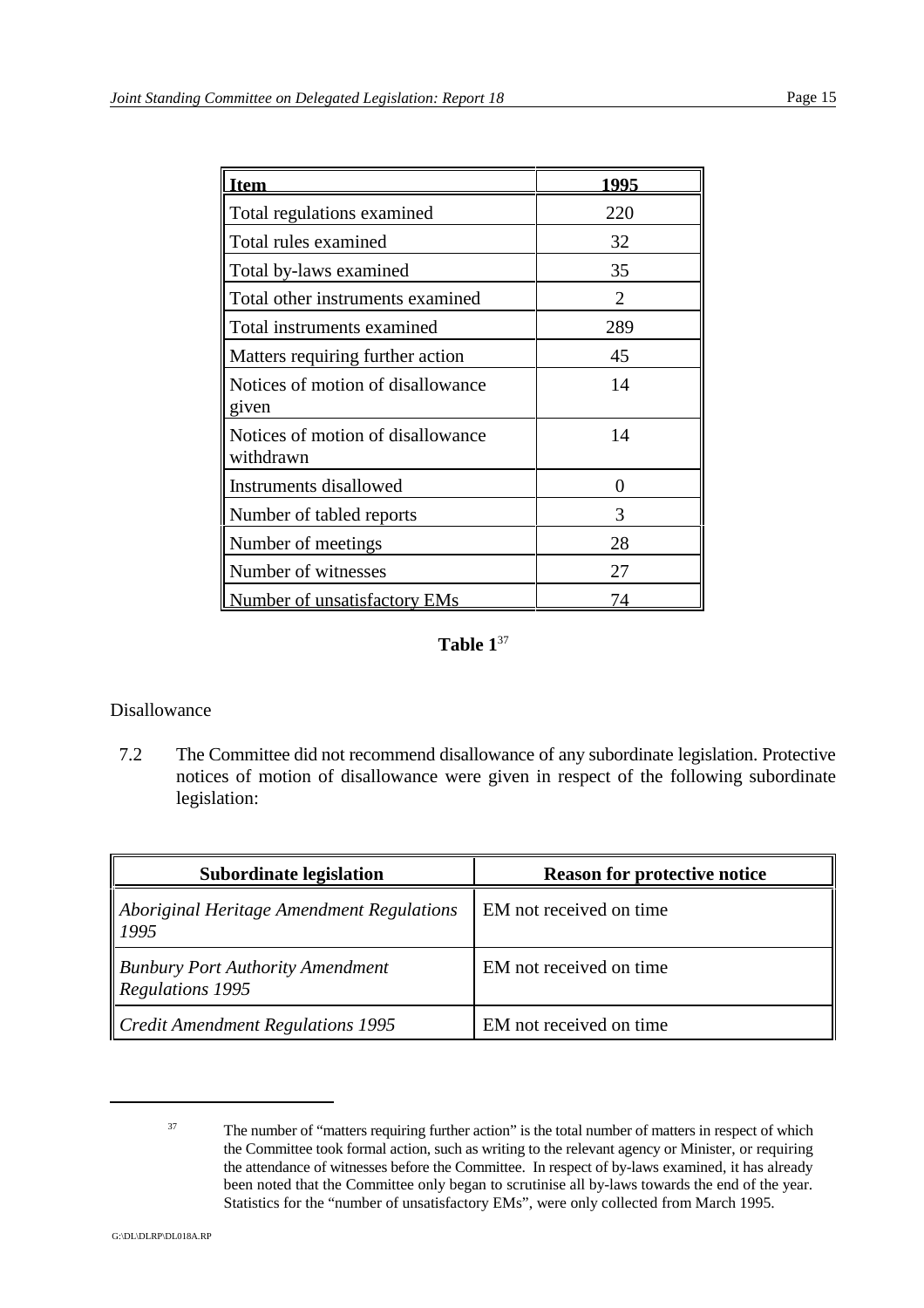| tem                                            | 1995           |
|------------------------------------------------|----------------|
| Total regulations examined                     | 220            |
| Total rules examined                           | 32             |
| Total by-laws examined                         | 35             |
| Total other instruments examined               | $\overline{2}$ |
| Total instruments examined                     | 289            |
| Matters requiring further action               | 45             |
| Notices of motion of disallowance<br>given     | 14             |
| Notices of motion of disallowance<br>withdrawn | 14             |
| Instruments disallowed                         | 0              |
| Number of tabled reports                       | 3              |
| Number of meetings                             | 28             |
| Number of witnesses                            | 27             |
| Number of unsatisfactory EMs                   |                |

## **Table 1**<sup>37</sup>

#### Disallowance

7.2 The Committee did not recommend disallowance of any subordinate legislation. Protective notices of motion of disallowance were given in respect of the following subordinate legislation:

| <b>Subordinate legislation</b>                                     | <b>Reason for protective notice</b> |
|--------------------------------------------------------------------|-------------------------------------|
| Aboriginal Heritage Amendment Regulations<br>1995                  | EM not received on time.            |
| <b>Bunbury Port Authority Amendment</b><br><b>Regulations 1995</b> | EM not received on time             |
| Credit Amendment Regulations 1995                                  | EM not received on time             |

<sup>&</sup>lt;sup>37</sup> The number of "matters requiring further action" is the total number of matters in respect of which the Committee took formal action, such as writing to the relevant agency or Minister, or requiring the attendance of witnesses before the Committee. In respect of by-laws examined, it has already been noted that the Committee only began to scrutinise all by-laws towards the end of the year. Statistics for the "number of unsatisfactory EMs", were only collected from March 1995.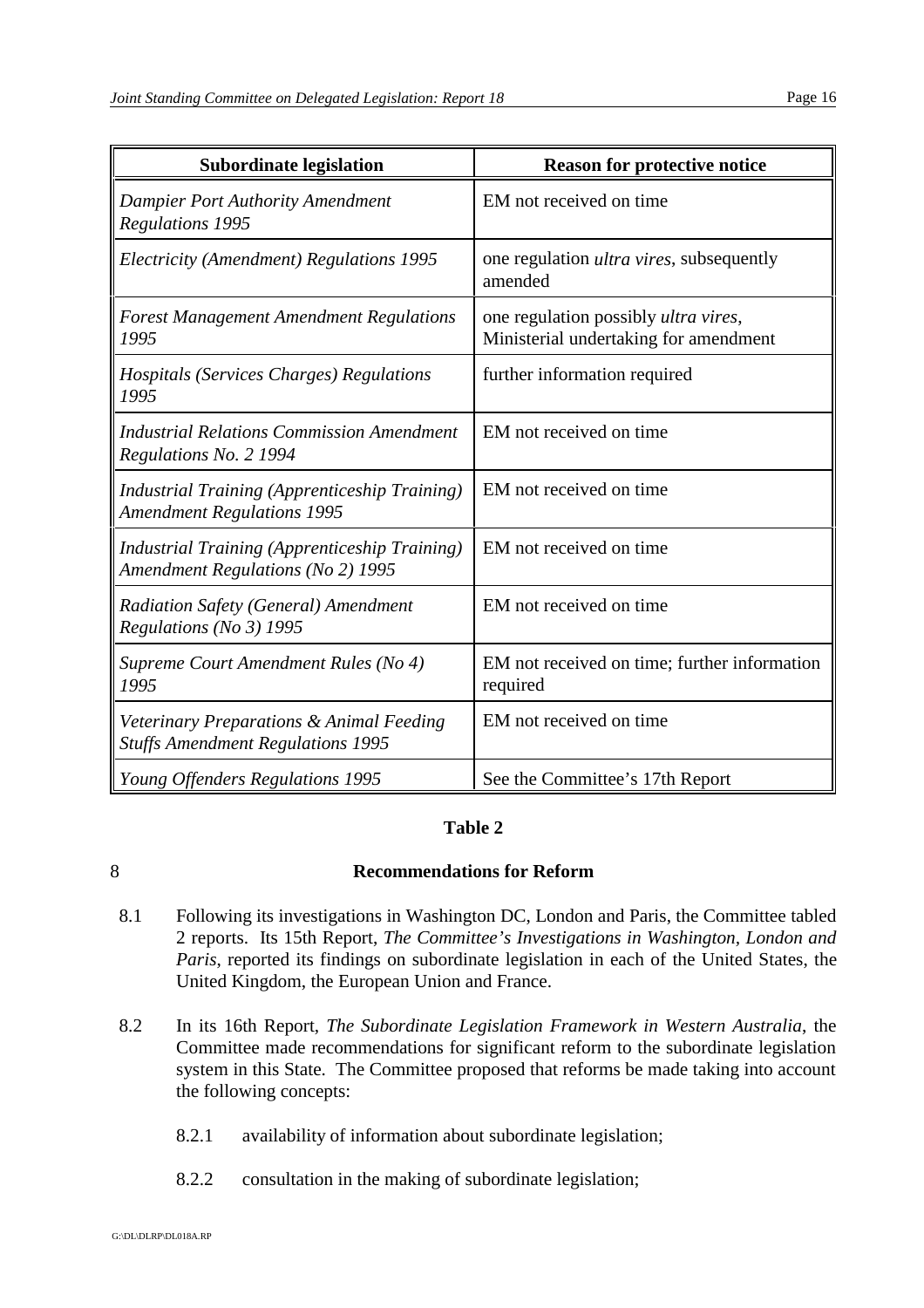| <b>Subordinate legislation</b>                                                                   | <b>Reason for protective notice</b>                                           |
|--------------------------------------------------------------------------------------------------|-------------------------------------------------------------------------------|
| <b>Dampier Port Authority Amendment</b><br><b>Regulations 1995</b>                               | EM not received on time                                                       |
| Electricity (Amendment) Regulations 1995                                                         | one regulation <i>ultra vires</i> , subsequently<br>amended                   |
| <b>Forest Management Amendment Regulations</b><br>1995                                           | one regulation possibly ultra vires,<br>Ministerial undertaking for amendment |
| <i>Hospitals (Services Charges) Regulations</i><br>1995                                          | further information required                                                  |
| <b>Industrial Relations Commission Amendment</b><br>Regulations No. 2 1994                       | EM not received on time                                                       |
| <b>Industrial Training (Apprenticeship Training)</b><br><b>Amendment Regulations 1995</b>        | EM not received on time                                                       |
| <b>Industrial Training (Apprenticeship Training)</b><br><b>Amendment Regulations (No 2) 1995</b> | EM not received on time                                                       |
| Radiation Safety (General) Amendment<br>Regulations (No 3) 1995                                  | EM not received on time                                                       |
| Supreme Court Amendment Rules (No 4)<br>1995                                                     | EM not received on time; further information<br>required                      |
| Veterinary Preparations & Animal Feeding<br><b>Stuffs Amendment Regulations 1995</b>             | EM not received on time                                                       |
| Young Offenders Regulations 1995                                                                 | See the Committee's 17th Report                                               |

## **Table 2**

## 8 **Recommendations for Reform**

- 8.1 Following its investigations in Washington DC, London and Paris, the Committee tabled 2 reports. Its 15th Report, *The Committee's Investigations in Washington, London and Paris*, reported its findings on subordinate legislation in each of the United States, the United Kingdom, the European Union and France.
- 8.2 In its 16th Report, *The Subordinate Legislation Framework in Western Australia*, the Committee made recommendations for significant reform to the subordinate legislation system in this State. The Committee proposed that reforms be made taking into account the following concepts:
	- 8.2.1 availability of information about subordinate legislation;
	- 8.2.2 consultation in the making of subordinate legislation;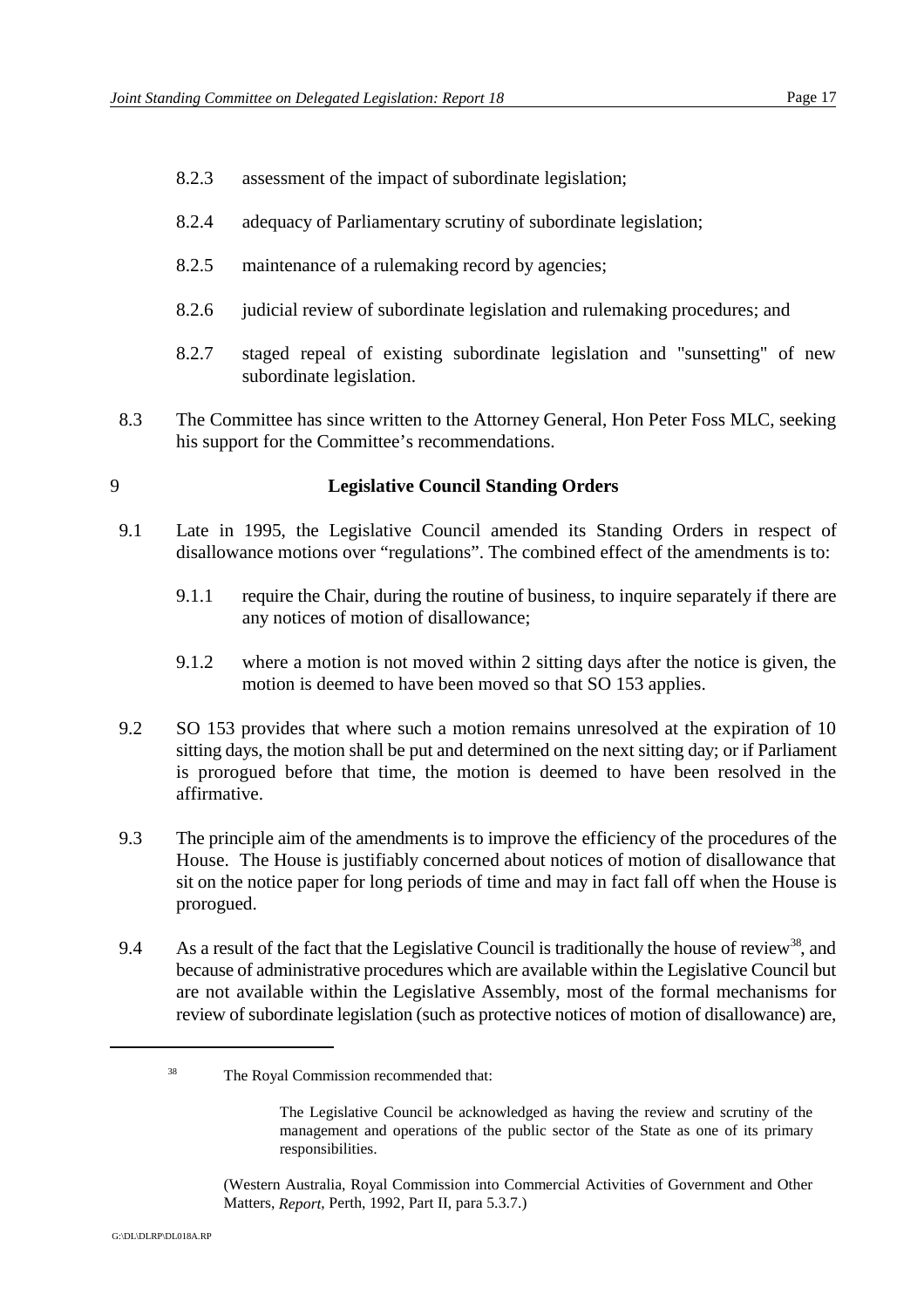- 8.2.3 assessment of the impact of subordinate legislation;
- 8.2.4 adequacy of Parliamentary scrutiny of subordinate legislation;
- 8.2.5 maintenance of a rulemaking record by agencies;
- 8.2.6 judicial review of subordinate legislation and rulemaking procedures; and
- 8.2.7 staged repeal of existing subordinate legislation and "sunsetting" of new subordinate legislation.
- 8.3 The Committee has since written to the Attorney General, Hon Peter Foss MLC, seeking his support for the Committee's recommendations.

#### 9 **Legislative Council Standing Orders**

- 9.1 Late in 1995, the Legislative Council amended its Standing Orders in respect of disallowance motions over "regulations". The combined effect of the amendments is to:
	- 9.1.1 require the Chair, during the routine of business, to inquire separately if there are any notices of motion of disallowance;
	- 9.1.2 where a motion is not moved within 2 sitting days after the notice is given, the motion is deemed to have been moved so that SO 153 applies.
- 9.2 SO 153 provides that where such a motion remains unresolved at the expiration of 10 sitting days, the motion shall be put and determined on the next sitting day; or if Parliament is prorogued before that time, the motion is deemed to have been resolved in the affirmative.
- 9.3 The principle aim of the amendments is to improve the efficiency of the procedures of the House. The House is justifiably concerned about notices of motion of disallowance that sit on the notice paper for long periods of time and may in fact fall off when the House is prorogued.
- 9.4 As a result of the fact that the Legislative Council is traditionally the house of review<sup>38</sup>, and because of administrative procedures which are available within the Legislative Council but are not available within the Legislative Assembly, most of the formal mechanisms for review of subordinate legislation (such as protective notices of motion of disallowance) are,

<sup>&</sup>lt;sup>38</sup> The Royal Commission recommended that:

The Legislative Council be acknowledged as having the review and scrutiny of the management and operations of the public sector of the State as one of its primary responsibilities.

<sup>(</sup>Western Australia, Royal Commission into Commercial Activities of Government and Other Matters, *Report*, Perth, 1992, Part II, para 5.3.7.)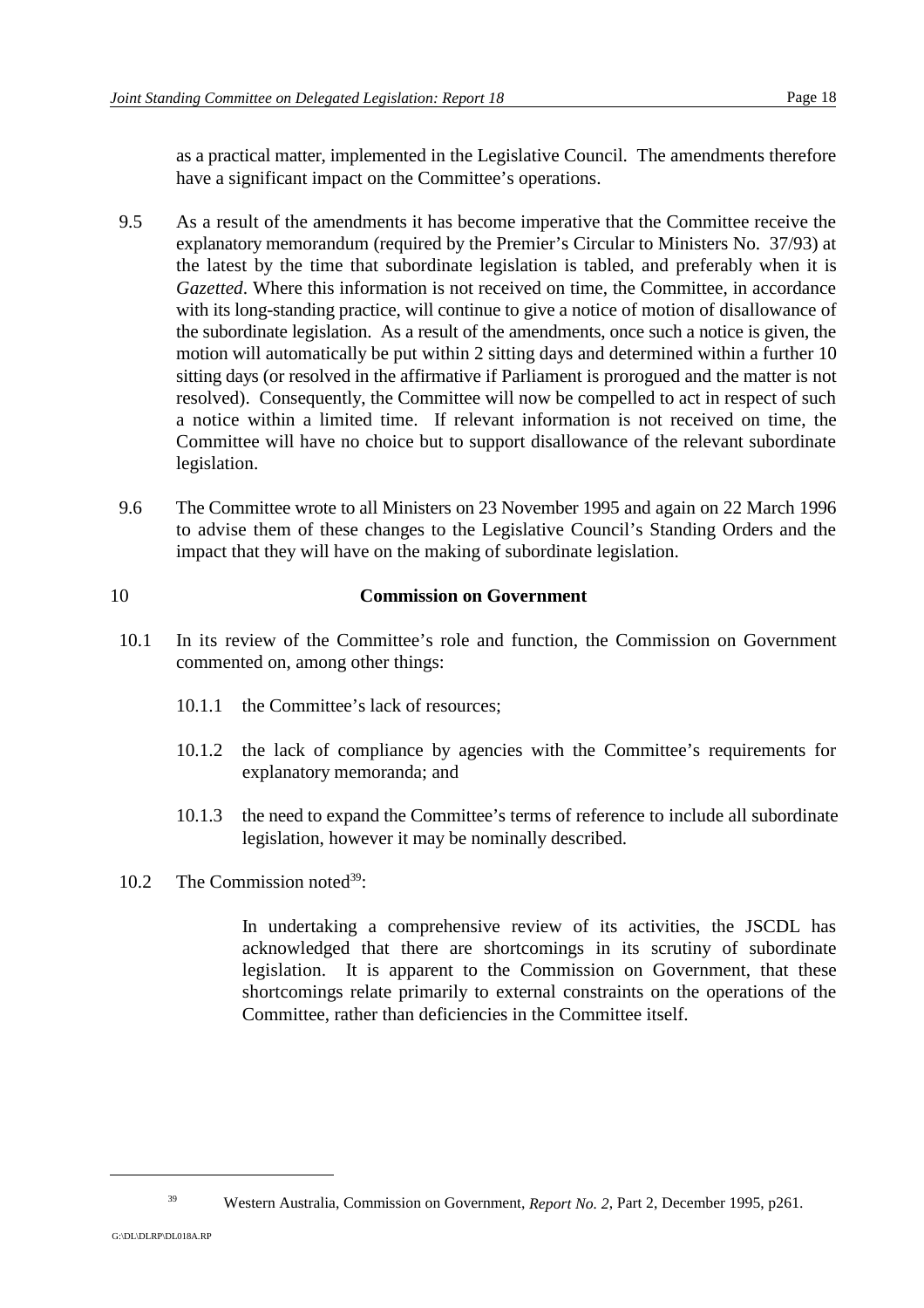as a practical matter, implemented in the Legislative Council. The amendments therefore have a significant impact on the Committee's operations.

- 9.5 As a result of the amendments it has become imperative that the Committee receive the explanatory memorandum (required by the Premier's Circular to Ministers No. 37/93) at the latest by the time that subordinate legislation is tabled, and preferably when it is *Gazetted*. Where this information is not received on time, the Committee, in accordance with its long-standing practice, will continue to give a notice of motion of disallowance of the subordinate legislation. As a result of the amendments, once such a notice is given, the motion will automatically be put within 2 sitting days and determined within a further 10 sitting days (or resolved in the affirmative if Parliament is prorogued and the matter is not resolved). Consequently, the Committee will now be compelled to act in respect of such a notice within a limited time. If relevant information is not received on time, the Committee will have no choice but to support disallowance of the relevant subordinate legislation.
- 9.6 The Committee wrote to all Ministers on 23 November 1995 and again on 22 March 1996 to advise them of these changes to the Legislative Council's Standing Orders and the impact that they will have on the making of subordinate legislation.

## 10 **Commission on Government**

- 10.1 In its review of the Committee's role and function, the Commission on Government commented on, among other things:
	- 10.1.1 the Committee's lack of resources;
	- 10.1.2 the lack of compliance by agencies with the Committee's requirements for explanatory memoranda; and
	- 10.1.3 the need to expand the Committee's terms of reference to include all subordinate legislation, however it may be nominally described.
- 10.2 The Commission noted $39$ :

In undertaking a comprehensive review of its activities, the JSCDL has acknowledged that there are shortcomings in its scrutiny of subordinate legislation. It is apparent to the Commission on Government, that these shortcomings relate primarily to external constraints on the operations of the Committee, rather than deficiencies in the Committee itself.

<sup>&</sup>lt;sup>39</sup> Western Australia, Commission on Government, *Report No.* 2, Part 2, December 1995, p261.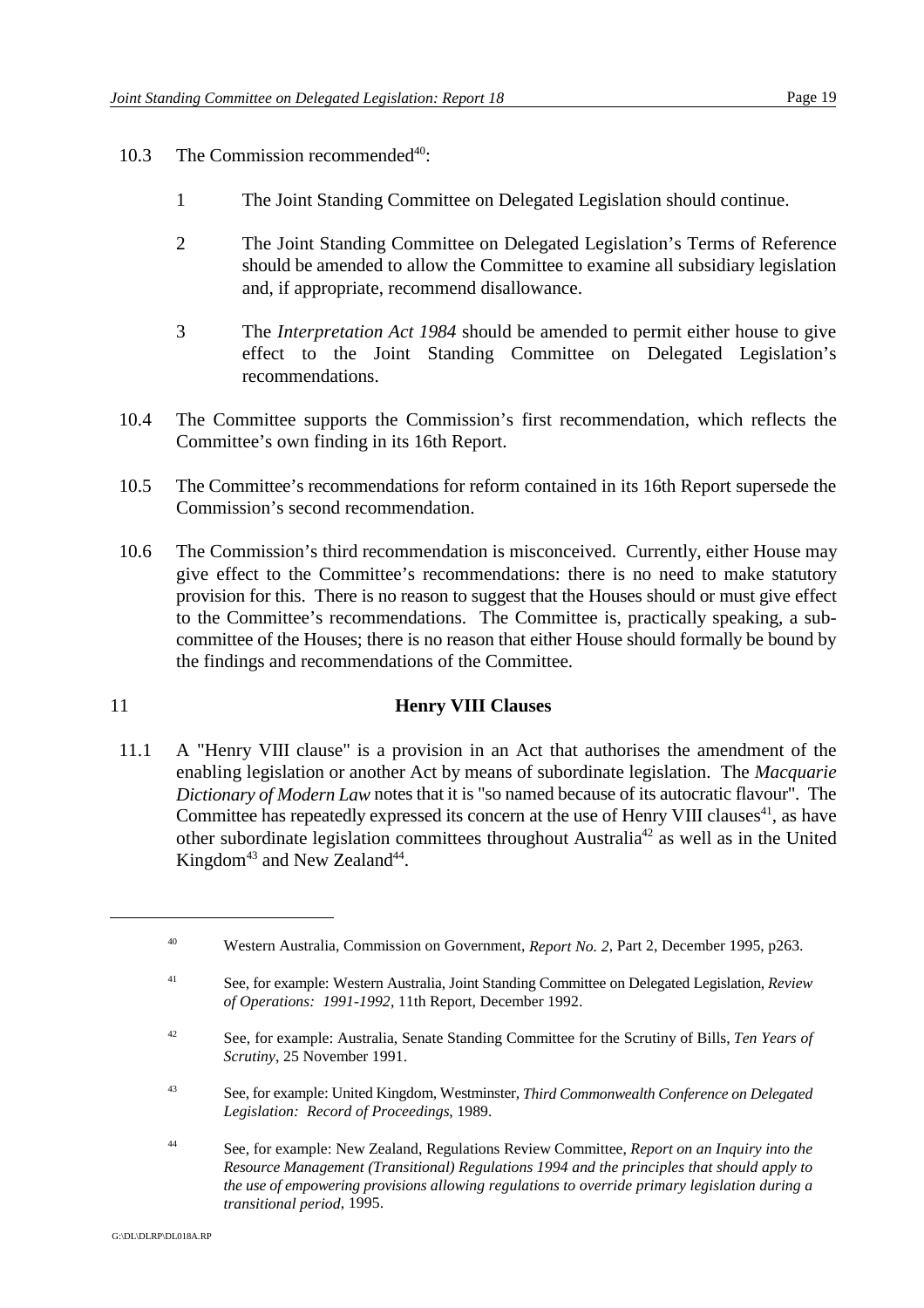- 10.3 The Commission recommended $40$ :
	- 1 The Joint Standing Committee on Delegated Legislation should continue.
	- 2 The Joint Standing Committee on Delegated Legislation's Terms of Reference should be amended to allow the Committee to examine all subsidiary legislation and, if appropriate, recommend disallowance.
	- 3 The *Interpretation Act 1984* should be amended to permit either house to give effect to the Joint Standing Committee on Delegated Legislation's recommendations.
- 10.4 The Committee supports the Commission's first recommendation, which reflects the Committee's own finding in its 16th Report.
- 10.5 The Committee's recommendations for reform contained in its 16th Report supersede the Commission's second recommendation.
- 10.6 The Commission's third recommendation is misconceived. Currently, either House may give effect to the Committee's recommendations: there is no need to make statutory provision for this. There is no reason to suggest that the Houses should or must give effect to the Committee's recommendations. The Committee is, practically speaking, a subcommittee of the Houses; there is no reason that either House should formally be bound by the findings and recommendations of the Committee.

## 11 **Henry VIII Clauses**

11.1 A "Henry VIII clause" is a provision in an Act that authorises the amendment of the enabling legislation or another Act by means of subordinate legislation. The *Macquarie Dictionary of Modern Law* notes that it is "so named because of its autocratic flavour". The Committee has repeatedly expressed its concern at the use of Henry VIII clauses<sup>41</sup>, as have other subordinate legislation committees throughout Australia<sup>42</sup> as well as in the United Kingdom<sup> $43$ </sup> and New Zealand<sup> $44$ </sup>.

- See, for example: United Kingdom, Westminster, *Third Commonwealth Conference on Delegated* <sup>43</sup> *Legislation: Record of Proceedings*, 1989.
- See, for example: New Zealand, Regulations Review Committee, *Report on an Inquiry into the* <sup>44</sup> *Resource Management (Transitional) Regulations 1994 and the principles that should apply to the use of empowering provisions allowing regulations to override primary legislation during a transitional period*, 1995.

<sup>&</sup>lt;sup>40</sup> Western Australia, Commission on Government, *Report No.* 2, Part 2, December 1995, p263.

See, for example: Western Australia, Joint Standing Committee on Delegated Legislation, *Review* <sup>41</sup> *of Operations: 1991-1992*, 11th Report, December 1992.

See, for example: Australia, Senate Standing Committee for the Scrutiny of Bills, *Ten Years of* <sup>42</sup> *Scrutiny*, 25 November 1991.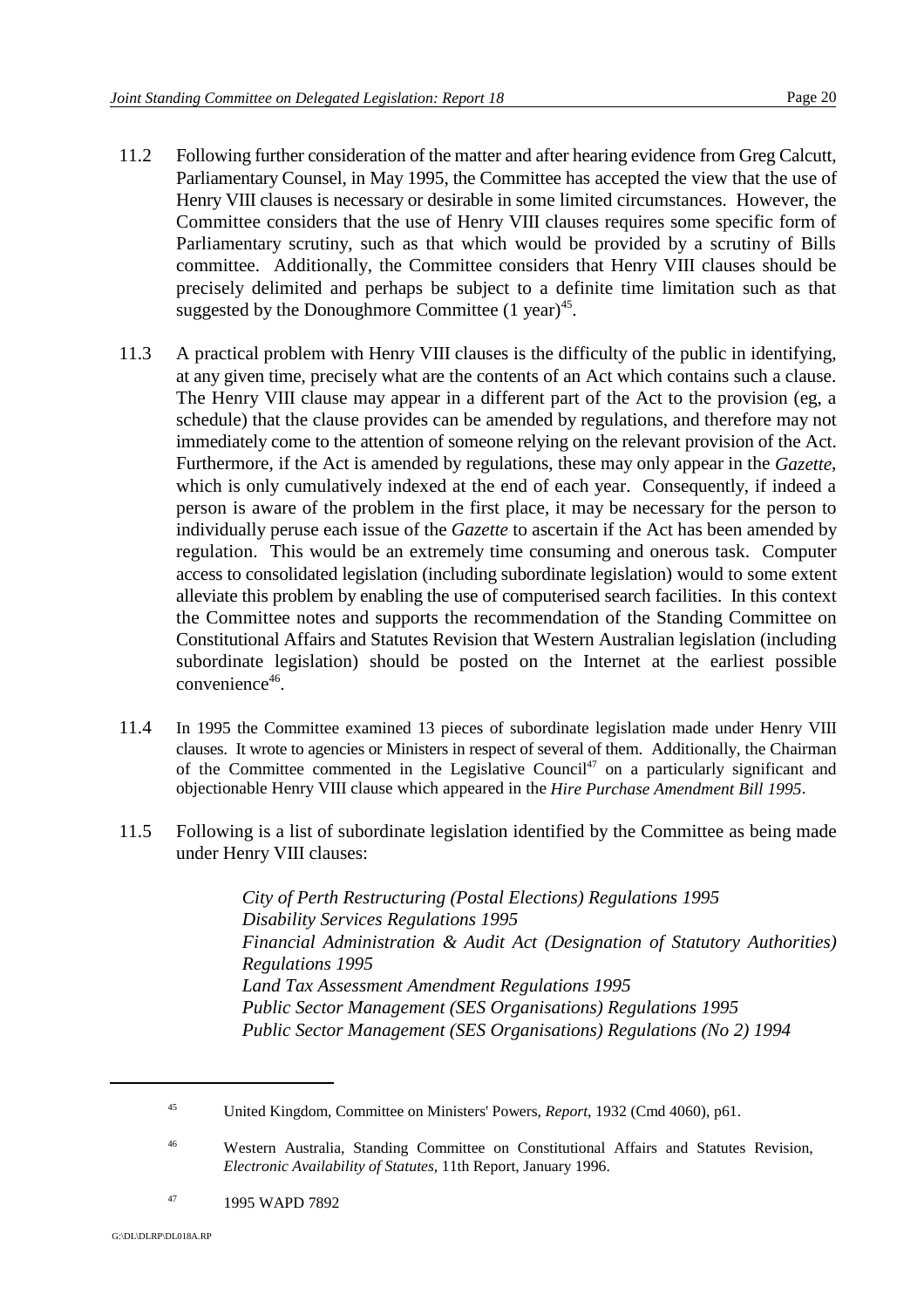- 11.2 Following further consideration of the matter and after hearing evidence from Greg Calcutt, Parliamentary Counsel, in May 1995, the Committee has accepted the view that the use of Henry VIII clauses is necessary or desirable in some limited circumstances. However, the Committee considers that the use of Henry VIII clauses requires some specific form of Parliamentary scrutiny, such as that which would be provided by a scrutiny of Bills committee. Additionally, the Committee considers that Henry VIII clauses should be precisely delimited and perhaps be subject to a definite time limitation such as that suggested by the Donoughmore Committee  $(1 \text{ year})^{45}$ .
- 11.3 A practical problem with Henry VIII clauses is the difficulty of the public in identifying, at any given time, precisely what are the contents of an Act which contains such a clause. The Henry VIII clause may appear in a different part of the Act to the provision (eg, a schedule) that the clause provides can be amended by regulations, and therefore may not immediately come to the attention of someone relying on the relevant provision of the Act. Furthermore, if the Act is amended by regulations, these may only appear in the *Gazette*, which is only cumulatively indexed at the end of each year. Consequently, if indeed a person is aware of the problem in the first place, it may be necessary for the person to individually peruse each issue of the *Gazette* to ascertain if the Act has been amended by regulation. This would be an extremely time consuming and onerous task. Computer access to consolidated legislation (including subordinate legislation) would to some extent alleviate this problem by enabling the use of computerised search facilities. In this context the Committee notes and supports the recommendation of the Standing Committee on Constitutional Affairs and Statutes Revision that Western Australian legislation (including subordinate legislation) should be posted on the Internet at the earliest possible  $convenient^{\frac{46}{6}}$ .
- 11.4 In 1995 the Committee examined 13 pieces of subordinate legislation made under Henry VIII clauses. It wrote to agencies or Ministers in respect of several of them. Additionally, the Chairman of the Committee commented in the Legislative Council<sup>47</sup> on a particularly significant and objectionable Henry VIII clause which appeared in the *Hire Purchase Amendment Bill 1995*.
- 11.5 Following is a list of subordinate legislation identified by the Committee as being made under Henry VIII clauses:

*City of Perth Restructuring (Postal Elections) Regulations 1995 Disability Services Regulations 1995 Financial Administration & Audit Act (Designation of Statutory Authorities) Regulations 1995 Land Tax Assessment Amendment Regulations 1995 Public Sector Management (SES Organisations) Regulations 1995 Public Sector Management (SES Organisations) Regulations (No 2) 1994*

<sup>&</sup>lt;sup>45</sup> United Kingdom, Committee on Ministers' Powers, *Report*, 1932 (Cmd 4060), p61.

Western Australia, Standing Committee on Constitutional Affairs and Statutes Revision, <sup>46</sup> *Electronic Availability of Statutes*, 11th Report, January 1996.

<sup>&</sup>lt;sup>47</sup> 1995 WAPD 7892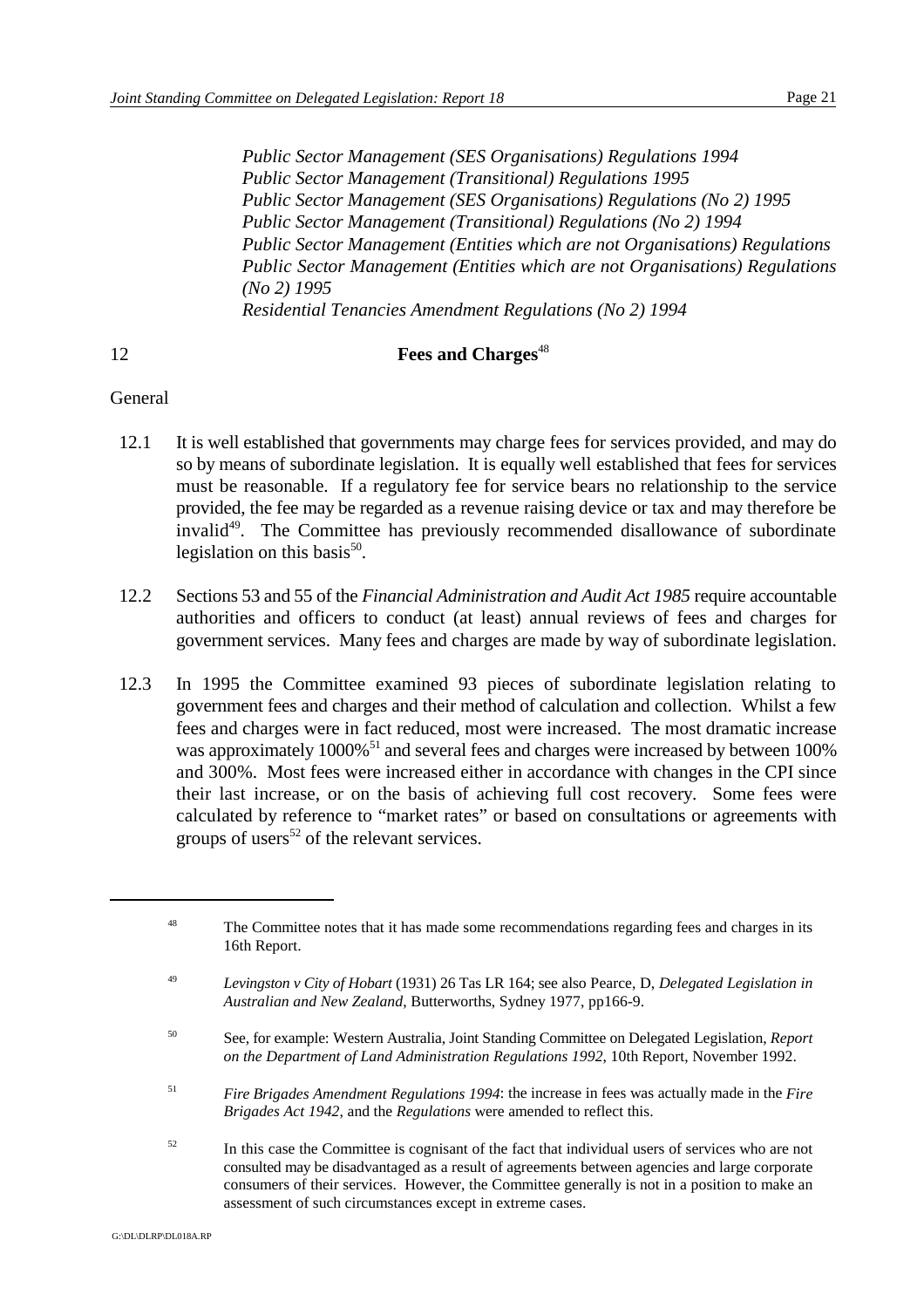*Public Sector Management (SES Organisations) Regulations 1994 Public Sector Management (Transitional) Regulations 1995 Public Sector Management (SES Organisations) Regulations (No 2) 1995 Public Sector Management (Transitional) Regulations (No 2) 1994 Public Sector Management (Entities which are not Organisations) Regulations Public Sector Management (Entities which are not Organisations) Regulations (No 2) 1995 Residential Tenancies Amendment Regulations (No 2) 1994*

#### 12 **Fees and Charges**<sup>48</sup>

#### **General**

- 12.1 It is well established that governments may charge fees for services provided, and may do so by means of subordinate legislation. It is equally well established that fees for services must be reasonable. If a regulatory fee for service bears no relationship to the service provided, the fee may be regarded as a revenue raising device or tax and may therefore be invalid<sup>49</sup>. The Committee has previously recommended disallowance of subordinate legislation on this basis $^{50}$ .
- 12.2 Sections 53 and 55 of the *Financial Administration and Audit Act 1985* require accountable authorities and officers to conduct (at least) annual reviews of fees and charges for government services. Many fees and charges are made by way of subordinate legislation.
- 12.3 In 1995 the Committee examined 93 pieces of subordinate legislation relating to government fees and charges and their method of calculation and collection. Whilst a few fees and charges were in fact reduced, most were increased. The most dramatic increase was approximately  $1000\%$ <sup>51</sup> and several fees and charges were increased by between  $100\%$ and 300%. Most fees were increased either in accordance with changes in the CPI since their last increase, or on the basis of achieving full cost recovery. Some fees were calculated by reference to "market rates" or based on consultations or agreements with groups of users<sup>52</sup> of the relevant services.

- <sup>51</sup> *Fire Brigades Amendment Regulations 1994*: the increase in fees was actually made in the *Fire Brigades Act 1942*, and the *Regulations* were amended to reflect this.
- <sup>52</sup> In this case the Committee is cognisant of the fact that individual users of services who are not consulted may be disadvantaged as a result of agreements between agencies and large corporate consumers of their services. However, the Committee generally is not in a position to make an assessment of such circumstances except in extreme cases.

G:\DL\DLRP\DL018A.RP

<sup>&</sup>lt;sup>48</sup> The Committee notes that it has made some recommendations regarding fees and charges in its 16th Report.

*Levingston v City of Hobart* (1931) 26 Tas LR 164; see also Pearce, D, *Delegated Legislation in* <sup>49</sup> *Australian and New Zealand*, Butterworths, Sydney 1977, pp166-9.

See, for example: Western Australia, Joint Standing Committee on Delegated Legislation, *Report* <sup>50</sup> *on the Department of Land Administration Regulations 1992*, 10th Report, November 1992.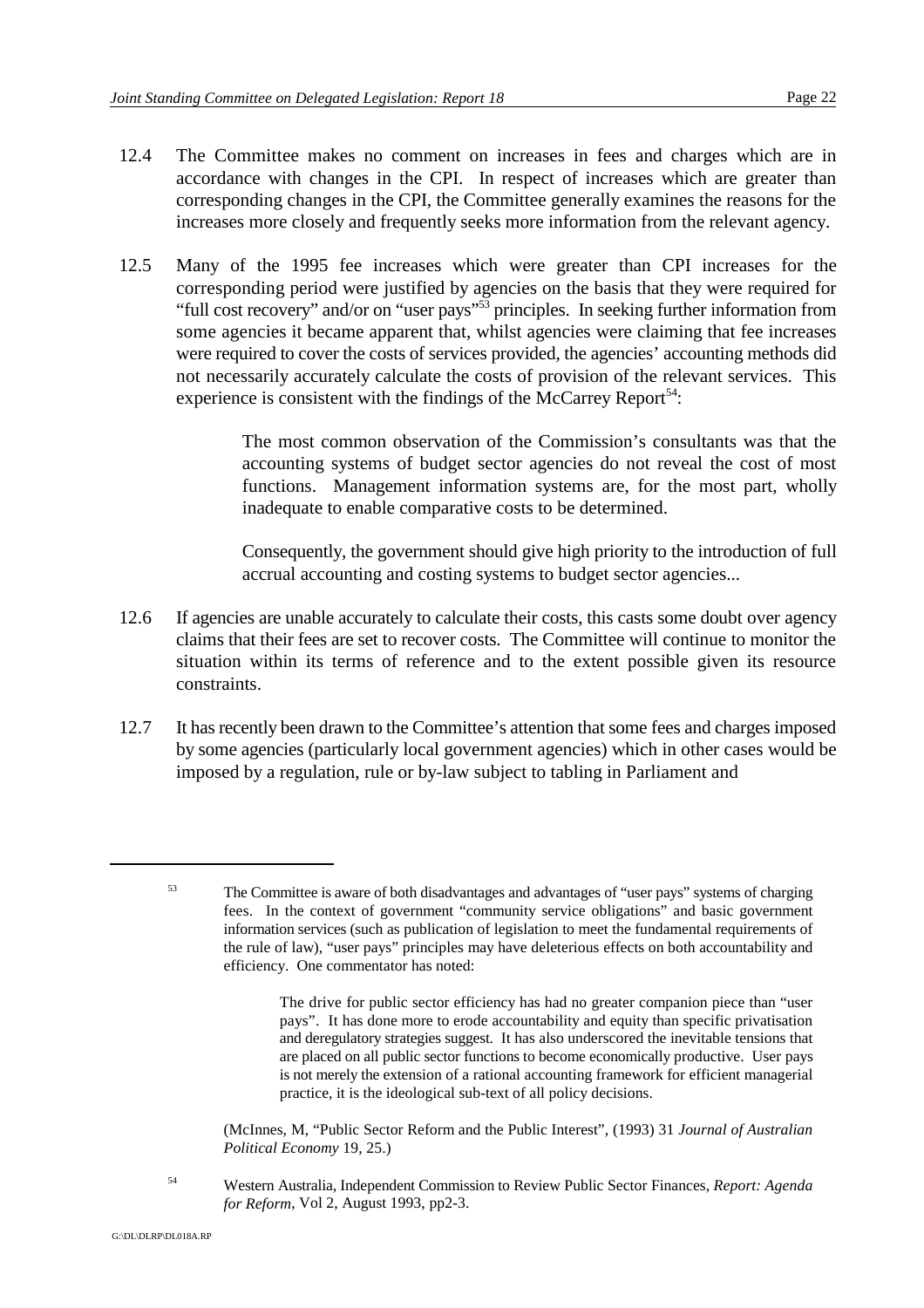- 12.4 The Committee makes no comment on increases in fees and charges which are in accordance with changes in the CPI. In respect of increases which are greater than corresponding changes in the CPI, the Committee generally examines the reasons for the increases more closely and frequently seeks more information from the relevant agency.
- 12.5 Many of the 1995 fee increases which were greater than CPI increases for the corresponding period were justified by agencies on the basis that they were required for "full cost recovery" and/or on "user pays"<sup>53</sup> principles. In seeking further information from some agencies it became apparent that, whilst agencies were claiming that fee increases were required to cover the costs of services provided, the agencies' accounting methods did not necessarily accurately calculate the costs of provision of the relevant services. This experience is consistent with the findings of the McCarrey Report<sup>54</sup>:

The most common observation of the Commission's consultants was that the accounting systems of budget sector agencies do not reveal the cost of most functions. Management information systems are, for the most part, wholly inadequate to enable comparative costs to be determined.

Consequently, the government should give high priority to the introduction of full accrual accounting and costing systems to budget sector agencies...

- 12.6 If agencies are unable accurately to calculate their costs, this casts some doubt over agency claims that their fees are set to recover costs. The Committee will continue to monitor the situation within its terms of reference and to the extent possible given its resource constraints.
- 12.7 It has recently been drawn to the Committee's attention that some fees and charges imposed by some agencies (particularly local government agencies) which in other cases would be imposed by a regulation, rule or by-law subject to tabling in Parliament and

(McInnes, M, "Public Sector Reform and the Public Interest", (1993) 31 *Journal of Australian Political Economy* 19, 25.)

Western Australia, Independent Commission to Review Public Sector Finances, *Report: Agenda* <sup>54</sup> *for Reform*, Vol 2, August 1993, pp2-3.

<sup>&</sup>lt;sup>53</sup> The Committee is aware of both disadvantages and advantages of "user pays" systems of charging fees. In the context of government "community service obligations" and basic government information services (such as publication of legislation to meet the fundamental requirements of the rule of law), "user pays" principles may have deleterious effects on both accountability and efficiency. One commentator has noted:

The drive for public sector efficiency has had no greater companion piece than "user pays". It has done more to erode accountability and equity than specific privatisation and deregulatory strategies suggest. It has also underscored the inevitable tensions that are placed on all public sector functions to become economically productive. User pays is not merely the extension of a rational accounting framework for efficient managerial practice, it is the ideological sub-text of all policy decisions.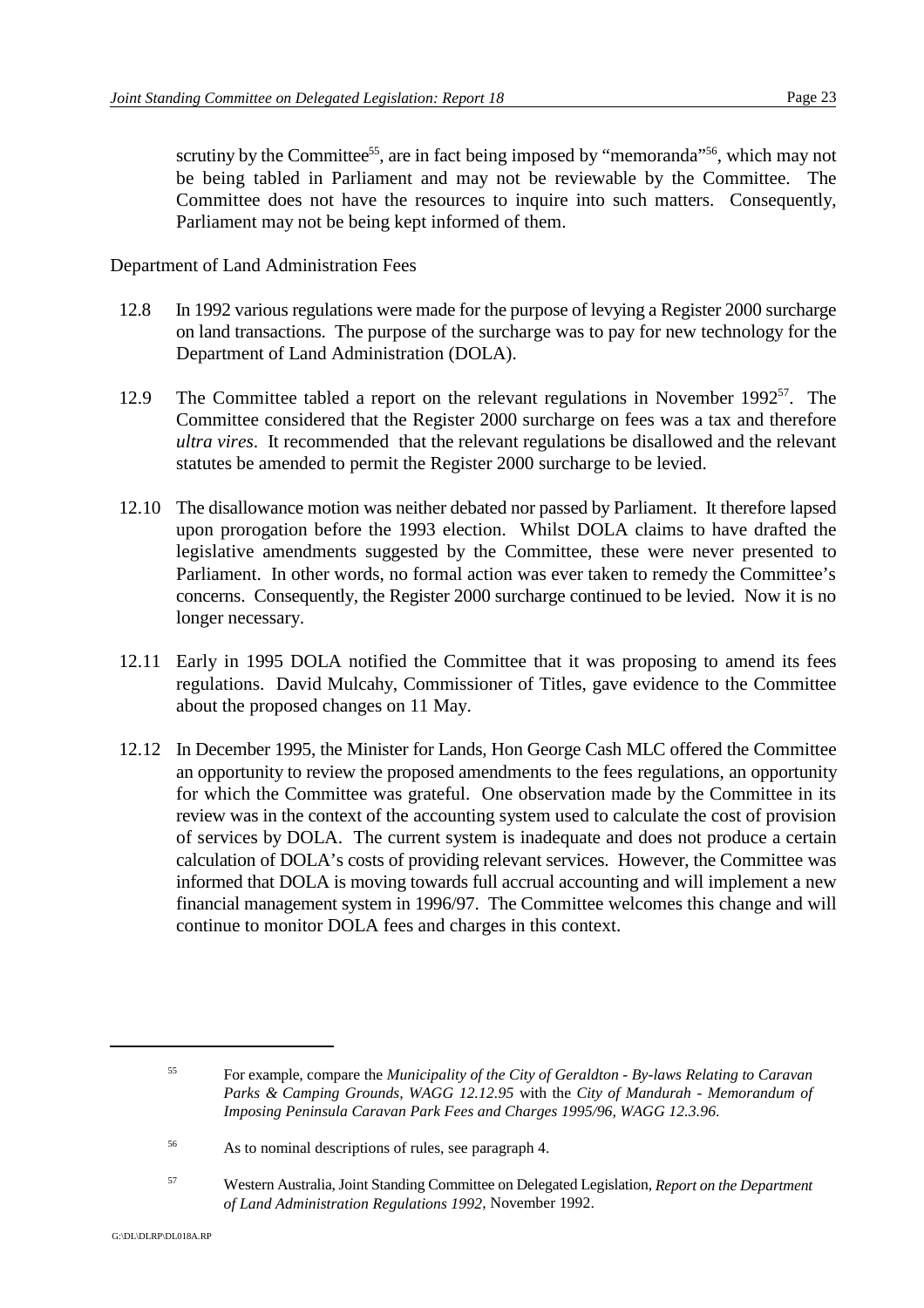scrutiny by the Committee<sup>55</sup>, are in fact being imposed by "memoranda"<sup>56</sup>, which may not be being tabled in Parliament and may not be reviewable by the Committee. The Committee does not have the resources to inquire into such matters. Consequently, Parliament may not be being kept informed of them.

Department of Land Administration Fees

- 12.8 In 1992 various regulations were made for the purpose of levying a Register 2000 surcharge on land transactions. The purpose of the surcharge was to pay for new technology for the Department of Land Administration (DOLA).
- 12.9 The Committee tabled a report on the relevant regulations in November 1992 $<sup>57</sup>$ . The</sup> Committee considered that the Register 2000 surcharge on fees was a tax and therefore *ultra vires*. It recommended that the relevant regulations be disallowed and the relevant statutes be amended to permit the Register 2000 surcharge to be levied.
- 12.10 The disallowance motion was neither debated nor passed by Parliament. It therefore lapsed upon prorogation before the 1993 election. Whilst DOLA claims to have drafted the legislative amendments suggested by the Committee, these were never presented to Parliament. In other words, no formal action was ever taken to remedy the Committee's concerns. Consequently, the Register 2000 surcharge continued to be levied. Now it is no longer necessary.
- 12.11 Early in 1995 DOLA notified the Committee that it was proposing to amend its fees regulations. David Mulcahy, Commissioner of Titles, gave evidence to the Committee about the proposed changes on 11 May.
- 12.12 In December 1995, the Minister for Lands, Hon George Cash MLC offered the Committee an opportunity to review the proposed amendments to the fees regulations, an opportunity for which the Committee was grateful. One observation made by the Committee in its review was in the context of the accounting system used to calculate the cost of provision of services by DOLA. The current system is inadequate and does not produce a certain calculation of DOLA's costs of providing relevant services. However, the Committee was informed that DOLA is moving towards full accrual accounting and will implement a new financial management system in 1996/97. The Committee welcomes this change and will continue to monitor DOLA fees and charges in this context.

Western Australia, Joint Standing Committee on Delegated Legislation, *Report on the Department* <sup>57</sup> *of Land Administration Regulations 1992*, November 1992.

For example, compare the *Municipality of the City of Geraldton - By-laws Relating to Caravan* <sup>55</sup> *Parks & Camping Grounds, WAGG 12.12.95* with the *City of Mandurah - Memorandum of Imposing Peninsula Caravan Park Fees and Charges 1995/96, WAGG 12.3.96*.

As to nominal descriptions of rules, see paragraph 4. <sup>56</sup>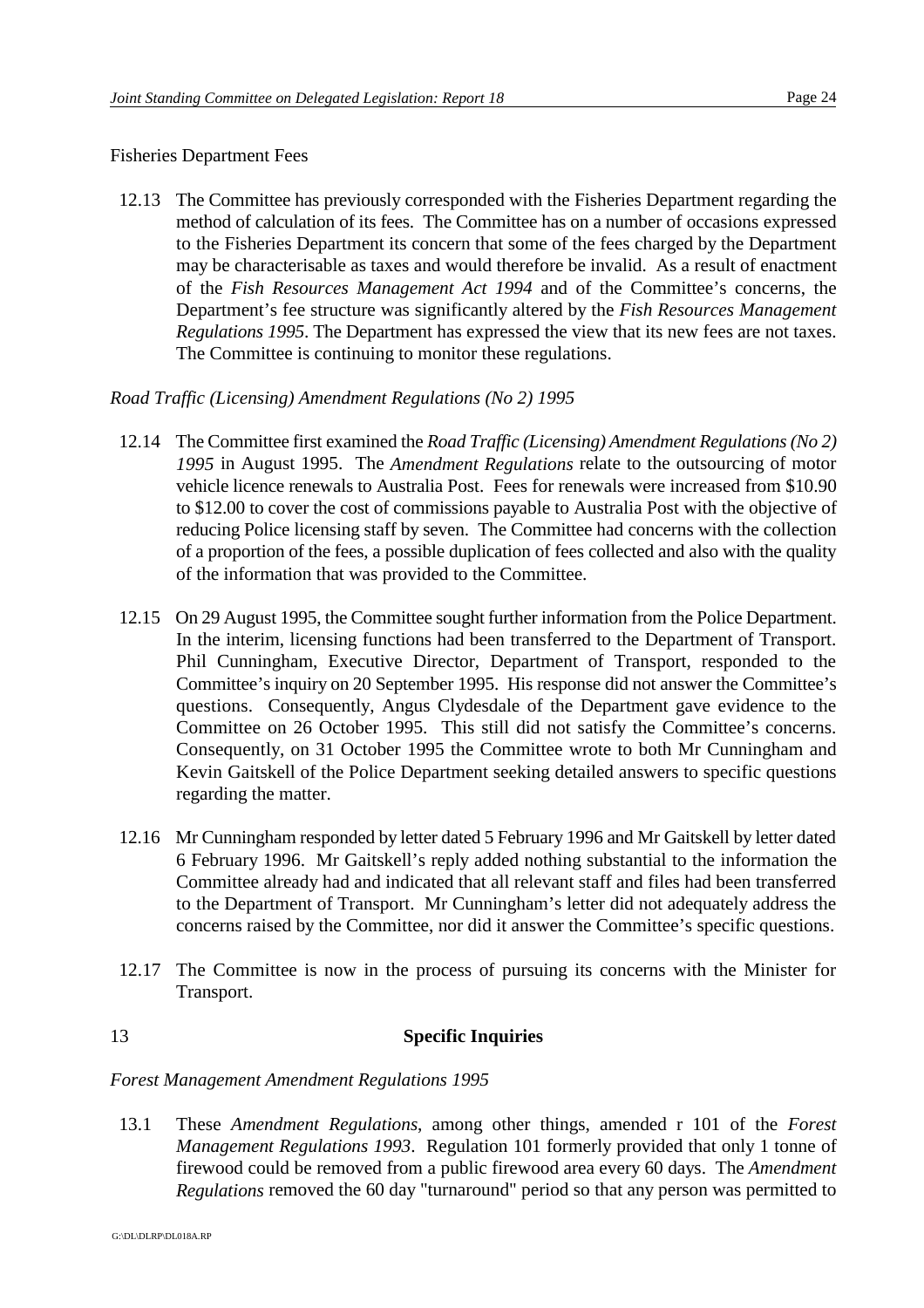#### Fisheries Department Fees

12.13 The Committee has previously corresponded with the Fisheries Department regarding the method of calculation of its fees. The Committee has on a number of occasions expressed to the Fisheries Department its concern that some of the fees charged by the Department may be characterisable as taxes and would therefore be invalid. As a result of enactment of the *Fish Resources Management Act 1994* and of the Committee's concerns, the Department's fee structure was significantly altered by the *Fish Resources Management Regulations 1995*. The Department has expressed the view that its new fees are not taxes. The Committee is continuing to monitor these regulations.

#### *Road Traffic (Licensing) Amendment Regulations (No 2) 1995*

- 12.14 The Committee first examined the *Road Traffic (Licensing) Amendment Regulations (No 2) 1995* in August 1995. The *Amendment Regulations* relate to the outsourcing of motor vehicle licence renewals to Australia Post. Fees for renewals were increased from \$10.90 to \$12.00 to cover the cost of commissions payable to Australia Post with the objective of reducing Police licensing staff by seven. The Committee had concerns with the collection of a proportion of the fees, a possible duplication of fees collected and also with the quality of the information that was provided to the Committee.
- 12.15 On 29 August 1995, the Committee sought further information from the Police Department. In the interim, licensing functions had been transferred to the Department of Transport. Phil Cunningham, Executive Director, Department of Transport, responded to the Committee's inquiry on 20 September 1995. His response did not answer the Committee's questions. Consequently, Angus Clydesdale of the Department gave evidence to the Committee on 26 October 1995. This still did not satisfy the Committee's concerns. Consequently, on 31 October 1995 the Committee wrote to both Mr Cunningham and Kevin Gaitskell of the Police Department seeking detailed answers to specific questions regarding the matter.
- 12.16 Mr Cunningham responded by letter dated 5 February 1996 and Mr Gaitskell by letter dated 6 February 1996. Mr Gaitskell's reply added nothing substantial to the information the Committee already had and indicated that all relevant staff and files had been transferred to the Department of Transport. Mr Cunningham's letter did not adequately address the concerns raised by the Committee, nor did it answer the Committee's specific questions.
- 12.17 The Committee is now in the process of pursuing its concerns with the Minister for Transport.

## 13 **Specific Inquiries**

#### *Forest Management Amendment Regulations 1995*

13.1 These *Amendment Regulations*, among other things, amended r 101 of the *Forest Management Regulations 1993*. Regulation 101 formerly provided that only 1 tonne of firewood could be removed from a public firewood area every 60 days. The *Amendment Regulations* removed the 60 day "turnaround" period so that any person was permitted to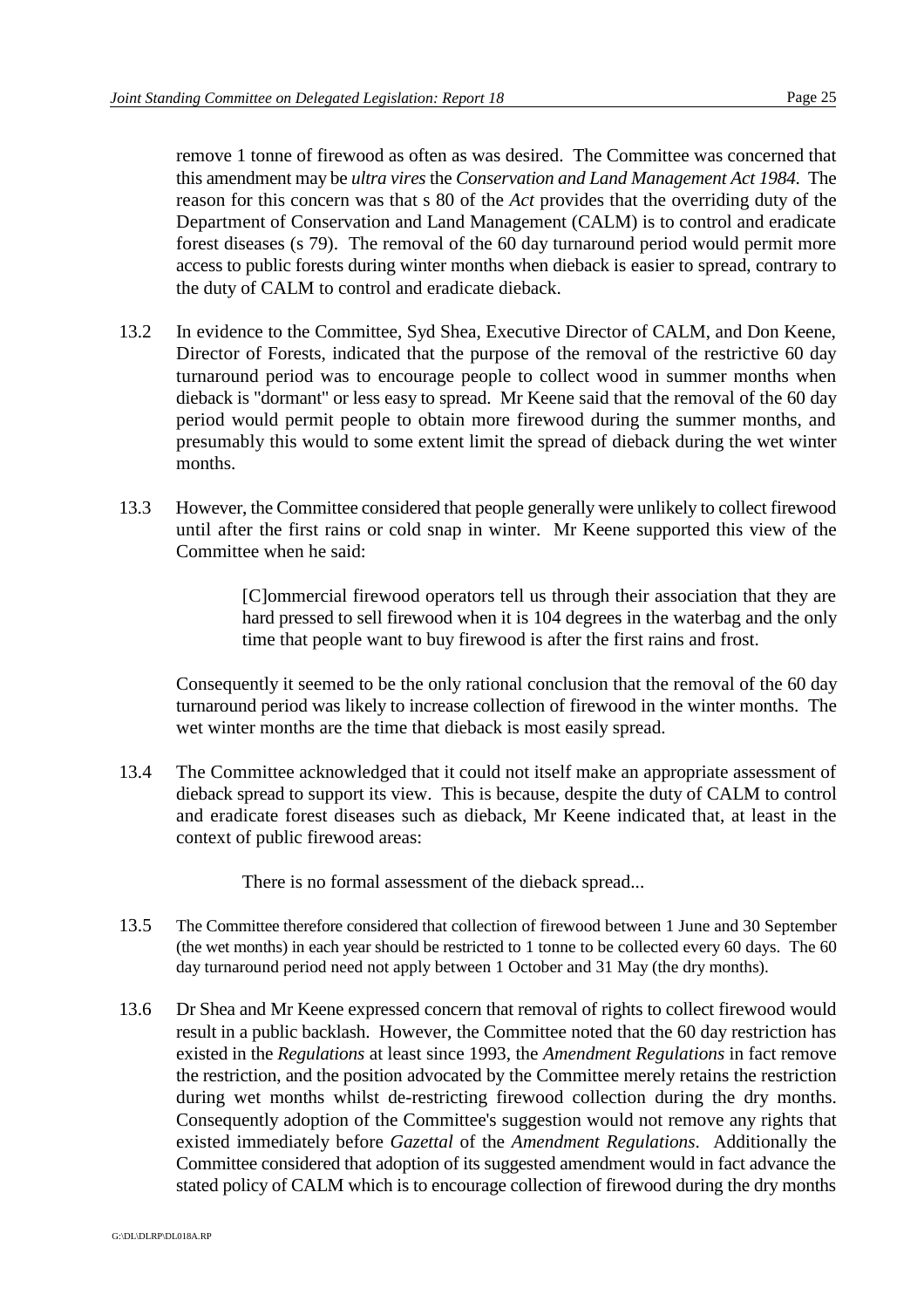remove 1 tonne of firewood as often as was desired. The Committee was concerned that this amendment may be *ultra vires* the *Conservation and Land Management Act 1984*. The reason for this concern was that s 80 of the *Act* provides that the overriding duty of the Department of Conservation and Land Management (CALM) is to control and eradicate forest diseases (s 79). The removal of the 60 day turnaround period would permit more access to public forests during winter months when dieback is easier to spread, contrary to the duty of CALM to control and eradicate dieback.

- 13.2 In evidence to the Committee, Syd Shea, Executive Director of CALM, and Don Keene, Director of Forests, indicated that the purpose of the removal of the restrictive 60 day turnaround period was to encourage people to collect wood in summer months when dieback is "dormant" or less easy to spread. Mr Keene said that the removal of the 60 day period would permit people to obtain more firewood during the summer months, and presumably this would to some extent limit the spread of dieback during the wet winter months.
- 13.3 However, the Committee considered that people generally were unlikely to collect firewood until after the first rains or cold snap in winter. Mr Keene supported this view of the Committee when he said:

[C]ommercial firewood operators tell us through their association that they are hard pressed to sell firewood when it is 104 degrees in the waterbag and the only time that people want to buy firewood is after the first rains and frost.

Consequently it seemed to be the only rational conclusion that the removal of the 60 day turnaround period was likely to increase collection of firewood in the winter months. The wet winter months are the time that dieback is most easily spread.

13.4 The Committee acknowledged that it could not itself make an appropriate assessment of dieback spread to support its view. This is because, despite the duty of CALM to control and eradicate forest diseases such as dieback, Mr Keene indicated that, at least in the context of public firewood areas:

There is no formal assessment of the dieback spread...

- 13.5 The Committee therefore considered that collection of firewood between 1 June and 30 September (the wet months) in each year should be restricted to 1 tonne to be collected every 60 days. The 60 day turnaround period need not apply between 1 October and 31 May (the dry months).
- 13.6 Dr Shea and Mr Keene expressed concern that removal of rights to collect firewood would result in a public backlash. However, the Committee noted that the 60 day restriction has existed in the *Regulations* at least since 1993, the *Amendment Regulations* in fact remove the restriction, and the position advocated by the Committee merely retains the restriction during wet months whilst de-restricting firewood collection during the dry months. Consequently adoption of the Committee's suggestion would not remove any rights that existed immediately before *Gazettal* of the *Amendment Regulations*. Additionally the Committee considered that adoption of its suggested amendment would in fact advance the stated policy of CALM which is to encourage collection of firewood during the dry months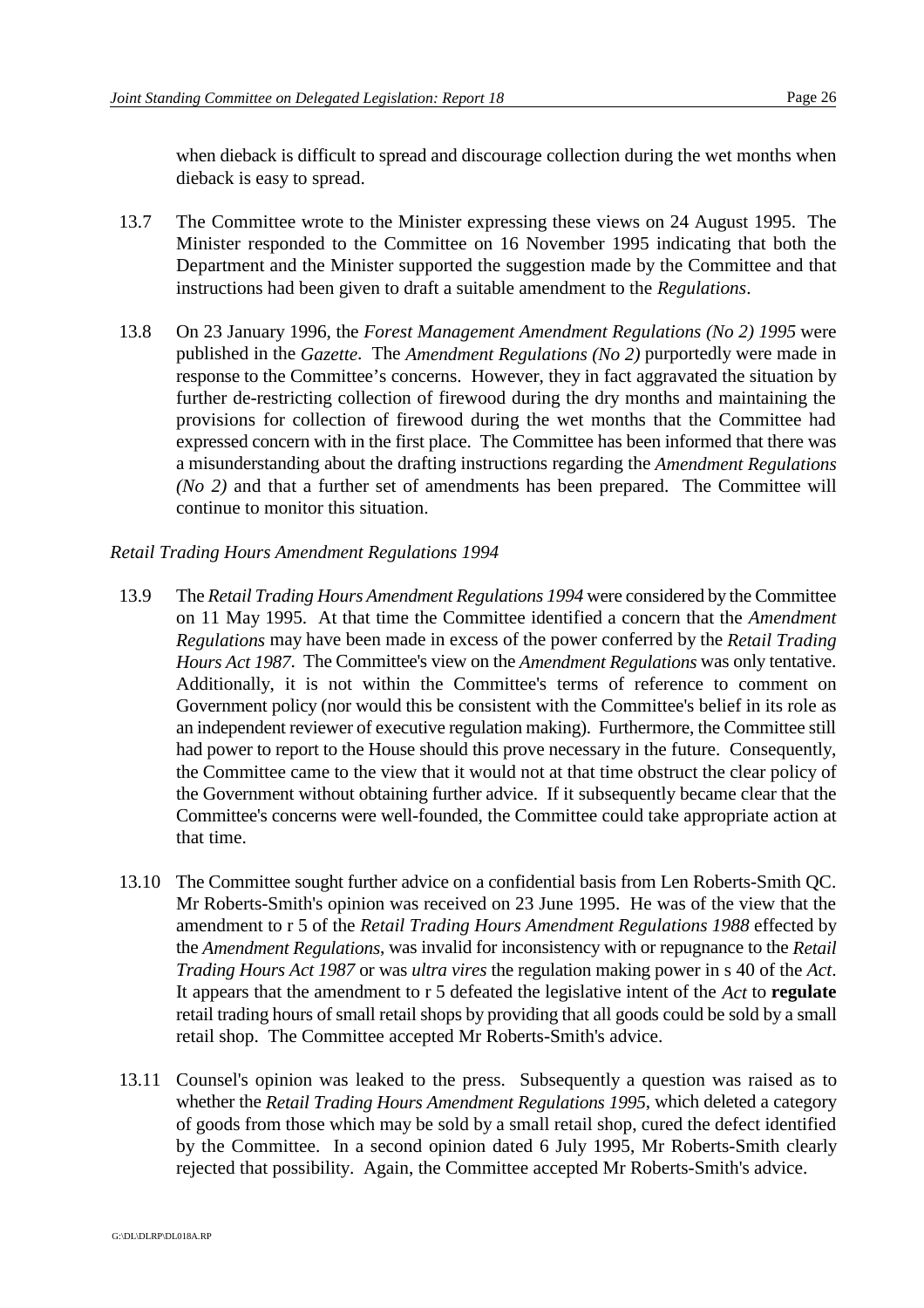when dieback is difficult to spread and discourage collection during the wet months when dieback is easy to spread.

- 13.7 The Committee wrote to the Minister expressing these views on 24 August 1995. The Minister responded to the Committee on 16 November 1995 indicating that both the Department and the Minister supported the suggestion made by the Committee and that instructions had been given to draft a suitable amendment to the *Regulations*.
- 13.8 On 23 January 1996, the *Forest Management Amendment Regulations (No 2) 1995* were published in the *Gazette*. The *Amendment Regulations (No 2)* purportedly were made in response to the Committee's concerns. However, they in fact aggravated the situation by further de-restricting collection of firewood during the dry months and maintaining the provisions for collection of firewood during the wet months that the Committee had expressed concern with in the first place. The Committee has been informed that there was a misunderstanding about the drafting instructions regarding the *Amendment Regulations (No 2)* and that a further set of amendments has been prepared. The Committee will continue to monitor this situation.

#### *Retail Trading Hours Amendment Regulations 1994*

- 13.9 The *Retail Trading Hours Amendment Regulations 1994* were considered by the Committee on 11 May 1995. At that time the Committee identified a concern that the *Amendment Regulations* may have been made in excess of the power conferred by the *Retail Trading Hours Act 1987*. The Committee's view on the *Amendment Regulations* was only tentative. Additionally, it is not within the Committee's terms of reference to comment on Government policy (nor would this be consistent with the Committee's belief in its role as an independent reviewer of executive regulation making). Furthermore, the Committee still had power to report to the House should this prove necessary in the future. Consequently, the Committee came to the view that it would not at that time obstruct the clear policy of the Government without obtaining further advice. If it subsequently became clear that the Committee's concerns were well-founded, the Committee could take appropriate action at that time.
- 13.10 The Committee sought further advice on a confidential basis from Len Roberts-Smith QC. Mr Roberts-Smith's opinion was received on 23 June 1995. He was of the view that the amendment to r 5 of the *Retail Trading Hours Amendment Regulations 1988* effected by the *Amendment Regulations*, was invalid for inconsistency with or repugnance to the *Retail Trading Hours Act 1987* or was *ultra vires* the regulation making power in s 40 of the *Act*. It appears that the amendment to r 5 defeated the legislative intent of the *Act* to **regulate** retail trading hours of small retail shops by providing that all goods could be sold by a small retail shop. The Committee accepted Mr Roberts-Smith's advice.
- 13.11 Counsel's opinion was leaked to the press. Subsequently a question was raised as to whether the *Retail Trading Hours Amendment Regulations 1995*, which deleted a category of goods from those which may be sold by a small retail shop, cured the defect identified by the Committee. In a second opinion dated 6 July 1995, Mr Roberts-Smith clearly rejected that possibility. Again, the Committee accepted Mr Roberts-Smith's advice.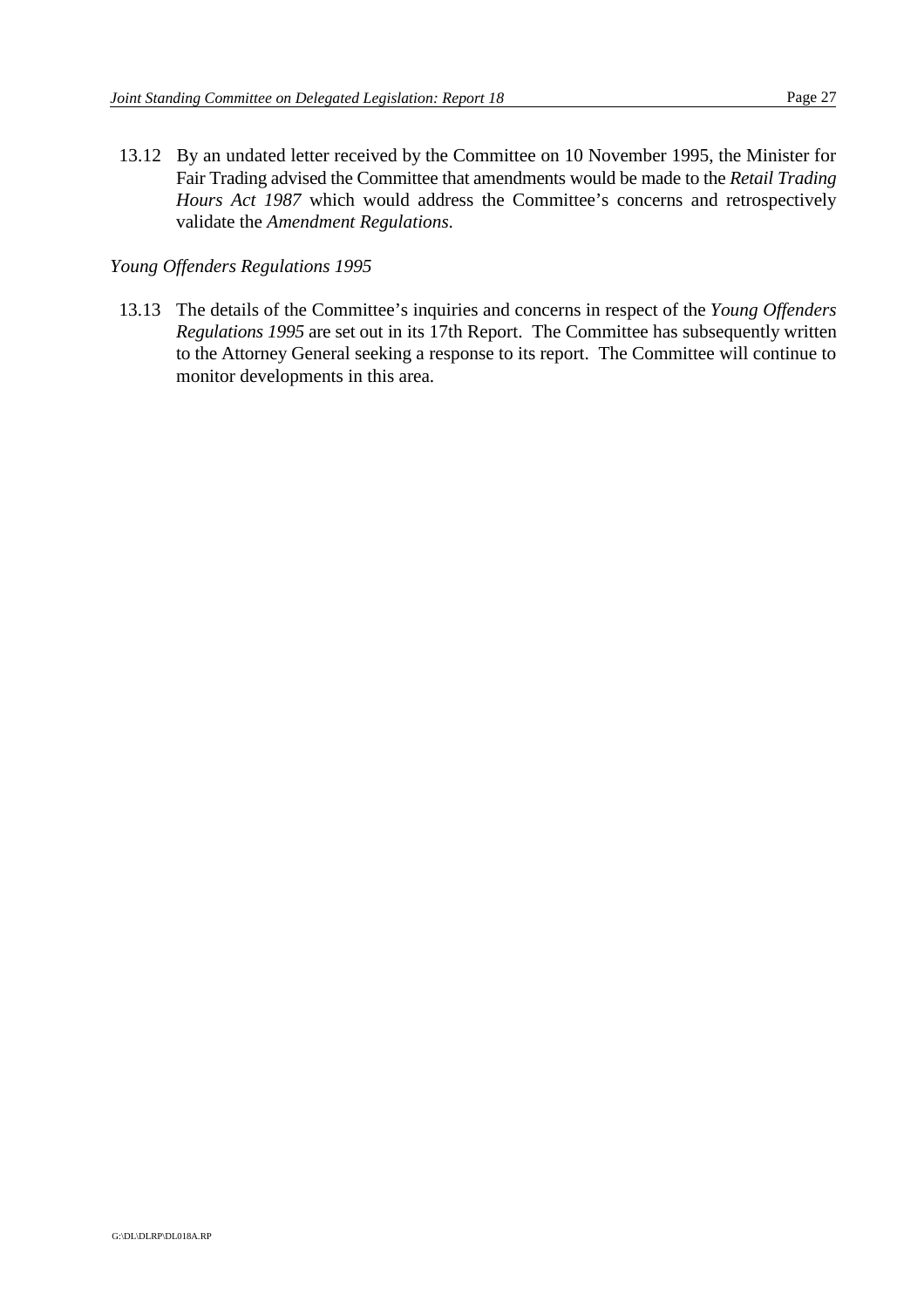13.12 By an undated letter received by the Committee on 10 November 1995, the Minister for Fair Trading advised the Committee that amendments would be made to the *Retail Trading Hours Act 1987* which would address the Committee's concerns and retrospectively validate the *Amendment Regulations*.

#### *Young Offenders Regulations 1995*

13.13 The details of the Committee's inquiries and concerns in respect of the *Young Offenders Regulations 1995* are set out in its 17th Report. The Committee has subsequently written to the Attorney General seeking a response to its report. The Committee will continue to monitor developments in this area.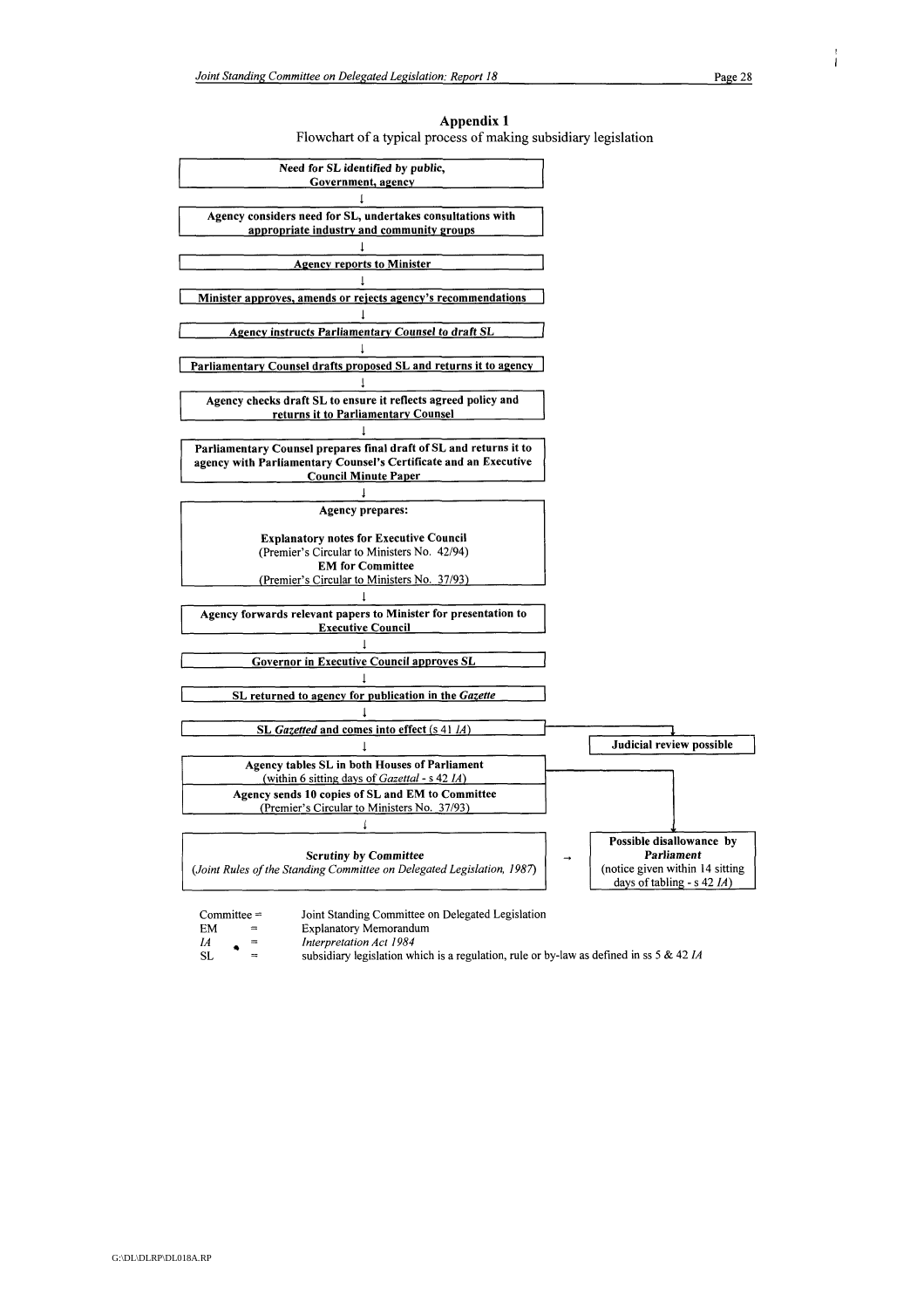| Appendix 1                                                      |
|-----------------------------------------------------------------|
| Flowchart of a typical process of making subsidiary legislation |



- **Explanatory Memorandum** Interpretation Act 1984
- $\it{IA}$ **SL** 
	- subsidiary legislation which is a regulation, rule or by-law as defined in ss 5 & 42  $IA$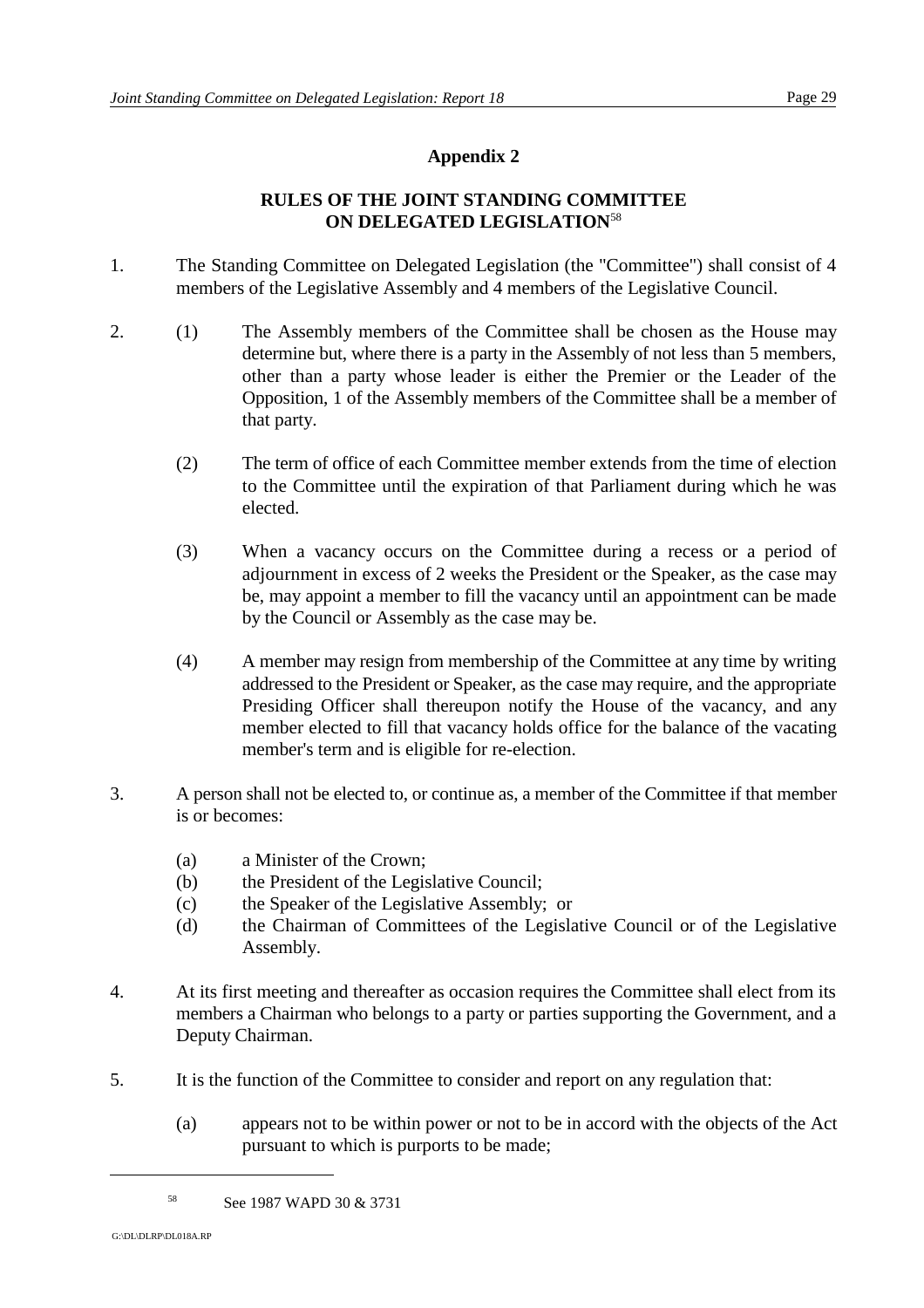## **RULES OF THE JOINT STANDING COMMITTEE ON DELEGATED LEGISLATION**<sup>58</sup>

- 1. The Standing Committee on Delegated Legislation (the "Committee") shall consist of 4 members of the Legislative Assembly and 4 members of the Legislative Council.
- 2. (1) The Assembly members of the Committee shall be chosen as the House may determine but, where there is a party in the Assembly of not less than 5 members, other than a party whose leader is either the Premier or the Leader of the Opposition, 1 of the Assembly members of the Committee shall be a member of that party.
	- (2) The term of office of each Committee member extends from the time of election to the Committee until the expiration of that Parliament during which he was elected.
	- (3) When a vacancy occurs on the Committee during a recess or a period of adjournment in excess of 2 weeks the President or the Speaker, as the case may be, may appoint a member to fill the vacancy until an appointment can be made by the Council or Assembly as the case may be.
	- (4) A member may resign from membership of the Committee at any time by writing addressed to the President or Speaker, as the case may require, and the appropriate Presiding Officer shall thereupon notify the House of the vacancy, and any member elected to fill that vacancy holds office for the balance of the vacating member's term and is eligible for re-election.
- 3. A person shall not be elected to, or continue as, a member of the Committee if that member is or becomes:
	- (a) a Minister of the Crown;
	- (b) the President of the Legislative Council;
	- (c) the Speaker of the Legislative Assembly; or
	- (d) the Chairman of Committees of the Legislative Council or of the Legislative Assembly.
- 4. At its first meeting and thereafter as occasion requires the Committee shall elect from its members a Chairman who belongs to a party or parties supporting the Government, and a Deputy Chairman.
- 5. It is the function of the Committee to consider and report on any regulation that:
	- (a) appears not to be within power or not to be in accord with the objects of the Act pursuant to which is purports to be made;

<sup>&</sup>lt;sup>58</sup> See 1987 WAPD 30 & 3731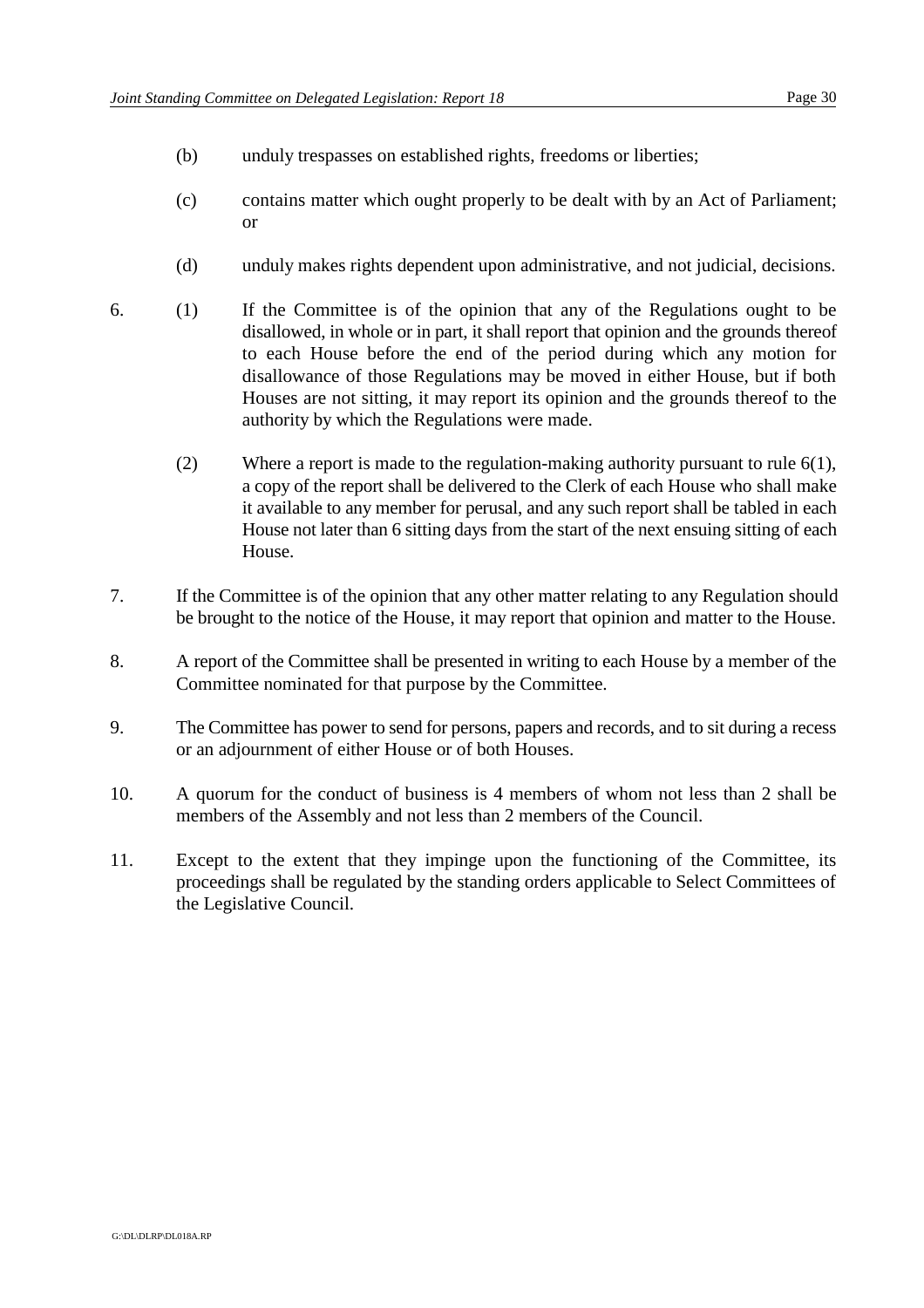- (b) unduly trespasses on established rights, freedoms or liberties;
- (c) contains matter which ought properly to be dealt with by an Act of Parliament; or
- (d) unduly makes rights dependent upon administrative, and not judicial, decisions.
- 6. (1) If the Committee is of the opinion that any of the Regulations ought to be disallowed, in whole or in part, it shall report that opinion and the grounds thereof to each House before the end of the period during which any motion for disallowance of those Regulations may be moved in either House, but if both Houses are not sitting, it may report its opinion and the grounds thereof to the authority by which the Regulations were made.
	- (2) Where a report is made to the regulation-making authority pursuant to rule 6(1), a copy of the report shall be delivered to the Clerk of each House who shall make it available to any member for perusal, and any such report shall be tabled in each House not later than 6 sitting days from the start of the next ensuing sitting of each House.
- 7. If the Committee is of the opinion that any other matter relating to any Regulation should be brought to the notice of the House, it may report that opinion and matter to the House.
- 8. A report of the Committee shall be presented in writing to each House by a member of the Committee nominated for that purpose by the Committee.
- 9. The Committee has power to send for persons, papers and records, and to sit during a recess or an adjournment of either House or of both Houses.
- 10. A quorum for the conduct of business is 4 members of whom not less than 2 shall be members of the Assembly and not less than 2 members of the Council.
- 11. Except to the extent that they impinge upon the functioning of the Committee, its proceedings shall be regulated by the standing orders applicable to Select Committees of the Legislative Council.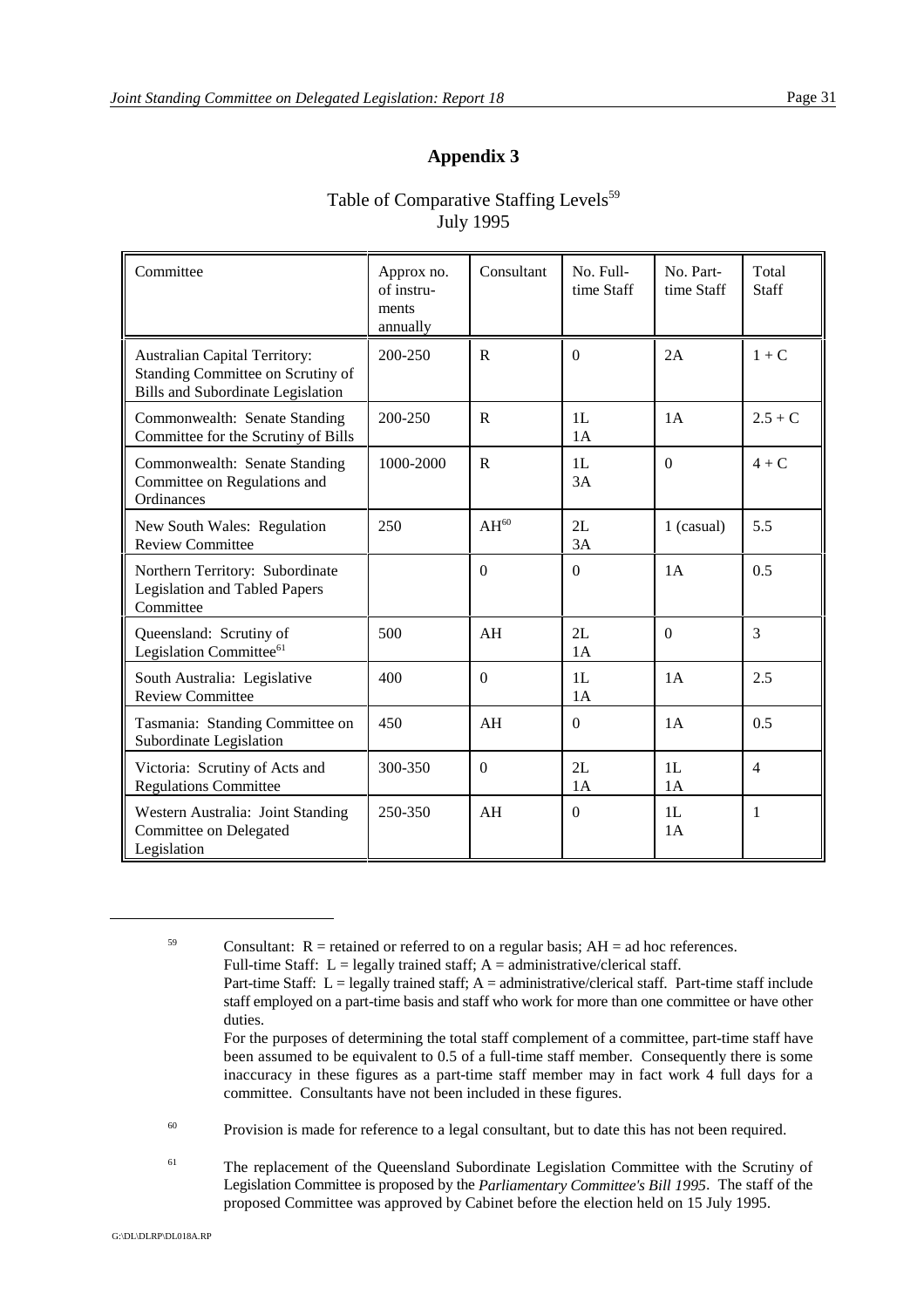## Table of Comparative Staffing Levels<sup>59</sup> July 1995

| Committee                                                                                                             | Approx no.<br>of instru-<br>ments<br>annually | Consultant     | No. Full-<br>time Staff | No. Part-<br>time Staff | Total<br><b>Staff</b> |
|-----------------------------------------------------------------------------------------------------------------------|-----------------------------------------------|----------------|-------------------------|-------------------------|-----------------------|
| <b>Australian Capital Territory:</b><br>Standing Committee on Scrutiny of<br><b>Bills and Subordinate Legislation</b> | 200-250                                       | $\mathsf{R}$   | $\Omega$                | 2A                      | $1 + C$               |
| Commonwealth: Senate Standing<br>Committee for the Scrutiny of Bills                                                  | 200-250                                       | R              | 1L<br>1A                | 1A                      | $2.5 + C$             |
| Commonwealth: Senate Standing<br>Committee on Regulations and<br>Ordinances                                           | 1000-2000                                     | $\mathbf R$    | 1L<br>3A                | $\Omega$                | $4+C$                 |
| New South Wales: Regulation<br><b>Review Committee</b>                                                                | 250                                           | $AH^{60}$      | $2I$ .<br>3A            | 1 (casual)              | 5.5                   |
| Northern Territory: Subordinate<br>Legislation and Tabled Papers<br>Committee                                         |                                               | $\mathbf{0}$   | $\overline{0}$          | 1A                      | 0.5                   |
| Queensland: Scrutiny of<br>Legislation Committee <sup>61</sup>                                                        | 500                                           | AH             | 2L<br>1A                | $\theta$                | 3                     |
| South Australia: Legislative<br><b>Review Committee</b>                                                               | 400                                           | $\Omega$       | 1L<br>1A                | 1A                      | 2.5                   |
| Tasmania: Standing Committee on<br>Subordinate Legislation                                                            | 450                                           | AH             | $\boldsymbol{0}$        | 1A                      | 0.5                   |
| Victoria: Scrutiny of Acts and<br><b>Regulations Committee</b>                                                        | 300-350                                       | $\overline{0}$ | 2L<br>1A                | 1L<br>1A                | $\overline{4}$        |
| Western Australia: Joint Standing<br>Committee on Delegated<br>Legislation                                            | 250-350                                       | AH             | $\boldsymbol{0}$        | 1L<br>1A                | $\mathbf{1}$          |

<sup>59</sup> Consultant:  $R$  = retained or referred to on a regular basis;  $AH = ad$  hoc references. Full-time Staff:  $L =$  legally trained staff;  $A =$  administrative/clerical staff. Part-time Staff:  $L =$  legally trained staff;  $A =$  administrative/clerical staff. Part-time staff include staff employed on a part-time basis and staff who work for more than one committee or have other duties. For the purposes of determining the total staff complement of a committee, part-time staff have been assumed to be equivalent to 0.5 of a full-time staff member. Consequently there is some inaccuracy in these figures as a part-time staff member may in fact work 4 full days for a committee. Consultants have not been included in these figures.

 $^{60}$  Provision is made for reference to a legal consultant, but to date this has not been required.

<sup>61</sup> The replacement of the Queensland Subordinate Legislation Committee with the Scrutiny of Legislation Committee is proposed by the *Parliamentary Committee's Bill 1995*. The staff of the proposed Committee was approved by Cabinet before the election held on 15 July 1995.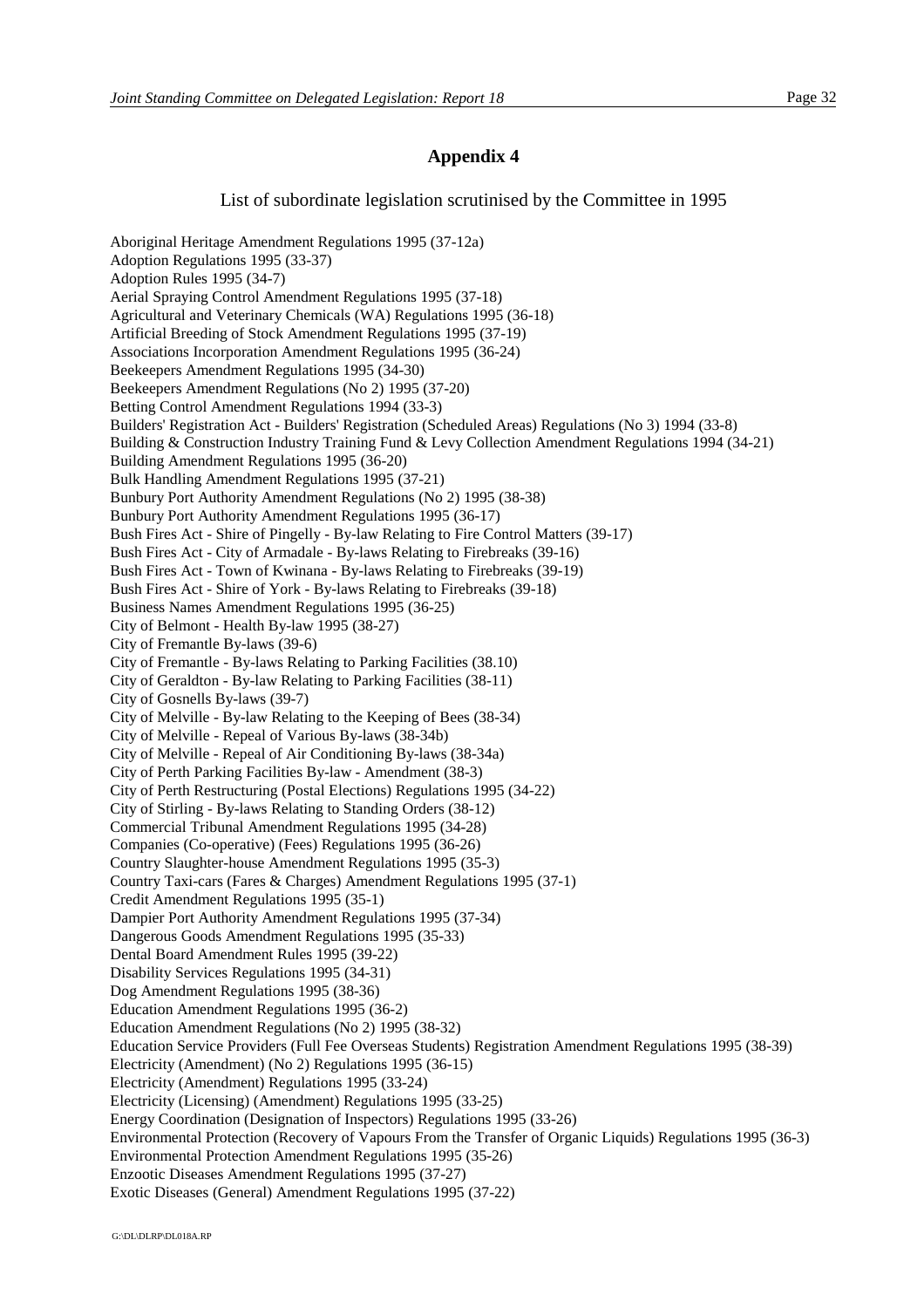List of subordinate legislation scrutinised by the Committee in 1995

Aboriginal Heritage Amendment Regulations 1995 (37-12a) Adoption Regulations 1995 (33-37) Adoption Rules 1995 (34-7) Aerial Spraying Control Amendment Regulations 1995 (37-18) Agricultural and Veterinary Chemicals (WA) Regulations 1995 (36-18) Artificial Breeding of Stock Amendment Regulations 1995 (37-19) Associations Incorporation Amendment Regulations 1995 (36-24) Beekeepers Amendment Regulations 1995 (34-30) Beekeepers Amendment Regulations (No 2) 1995 (37-20) Betting Control Amendment Regulations 1994 (33-3) Builders' Registration Act - Builders' Registration (Scheduled Areas) Regulations (No 3) 1994 (33-8) Building & Construction Industry Training Fund & Levy Collection Amendment Regulations 1994 (34-21) Building Amendment Regulations 1995 (36-20) Bulk Handling Amendment Regulations 1995 (37-21) Bunbury Port Authority Amendment Regulations (No 2) 1995 (38-38) Bunbury Port Authority Amendment Regulations 1995 (36-17) Bush Fires Act - Shire of Pingelly - By-law Relating to Fire Control Matters (39-17) Bush Fires Act - City of Armadale - By-laws Relating to Firebreaks (39-16) Bush Fires Act - Town of Kwinana - By-laws Relating to Firebreaks (39-19) Bush Fires Act - Shire of York - By-laws Relating to Firebreaks (39-18) Business Names Amendment Regulations 1995 (36-25) City of Belmont - Health By-law 1995 (38-27) City of Fremantle By-laws (39-6) City of Fremantle - By-laws Relating to Parking Facilities (38.10) City of Geraldton - By-law Relating to Parking Facilities (38-11) City of Gosnells By-laws (39-7) City of Melville - By-law Relating to the Keeping of Bees (38-34) City of Melville - Repeal of Various By-laws (38-34b) City of Melville - Repeal of Air Conditioning By-laws (38-34a) City of Perth Parking Facilities By-law - Amendment (38-3) City of Perth Restructuring (Postal Elections) Regulations 1995 (34-22) City of Stirling - By-laws Relating to Standing Orders (38-12) Commercial Tribunal Amendment Regulations 1995 (34-28) Companies (Co-operative) (Fees) Regulations 1995 (36-26) Country Slaughter-house Amendment Regulations 1995 (35-3) Country Taxi-cars (Fares & Charges) Amendment Regulations 1995 (37-1) Credit Amendment Regulations 1995 (35-1) Dampier Port Authority Amendment Regulations 1995 (37-34) Dangerous Goods Amendment Regulations 1995 (35-33) Dental Board Amendment Rules 1995 (39-22) Disability Services Regulations 1995 (34-31) Dog Amendment Regulations 1995 (38-36) Education Amendment Regulations 1995 (36-2) Education Amendment Regulations (No 2) 1995 (38-32) Education Service Providers (Full Fee Overseas Students) Registration Amendment Regulations 1995 (38-39) Electricity (Amendment) (No 2) Regulations 1995 (36-15) Electricity (Amendment) Regulations 1995 (33-24) Electricity (Licensing) (Amendment) Regulations 1995 (33-25) Energy Coordination (Designation of Inspectors) Regulations 1995 (33-26) Environmental Protection (Recovery of Vapours From the Transfer of Organic Liquids) Regulations 1995 (36-3) Environmental Protection Amendment Regulations 1995 (35-26) Enzootic Diseases Amendment Regulations 1995 (37-27) Exotic Diseases (General) Amendment Regulations 1995 (37-22)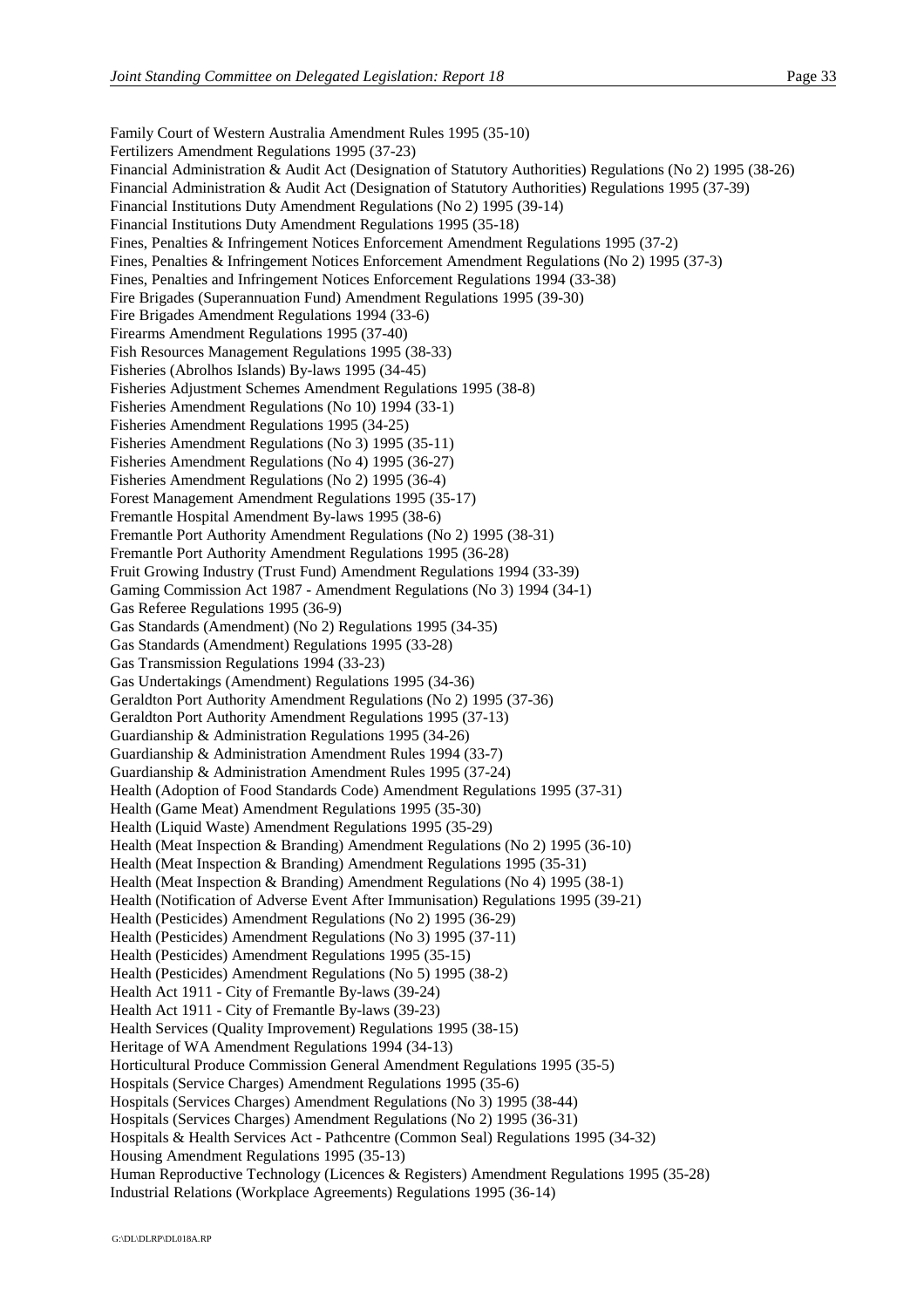Family Court of Western Australia Amendment Rules 1995 (35-10) Fertilizers Amendment Regulations 1995 (37-23) Financial Administration & Audit Act (Designation of Statutory Authorities) Regulations (No 2) 1995 (38-26) Financial Administration & Audit Act (Designation of Statutory Authorities) Regulations 1995 (37-39) Financial Institutions Duty Amendment Regulations (No 2) 1995 (39-14) Financial Institutions Duty Amendment Regulations 1995 (35-18) Fines, Penalties & Infringement Notices Enforcement Amendment Regulations 1995 (37-2) Fines, Penalties & Infringement Notices Enforcement Amendment Regulations (No 2) 1995 (37-3) Fines, Penalties and Infringement Notices Enforcement Regulations 1994 (33-38) Fire Brigades (Superannuation Fund) Amendment Regulations 1995 (39-30) Fire Brigades Amendment Regulations 1994 (33-6) Firearms Amendment Regulations 1995 (37-40) Fish Resources Management Regulations 1995 (38-33) Fisheries (Abrolhos Islands) By-laws 1995 (34-45) Fisheries Adjustment Schemes Amendment Regulations 1995 (38-8) Fisheries Amendment Regulations (No 10) 1994 (33-1) Fisheries Amendment Regulations 1995 (34-25) Fisheries Amendment Regulations (No 3) 1995 (35-11) Fisheries Amendment Regulations (No 4) 1995 (36-27) Fisheries Amendment Regulations (No 2) 1995 (36-4) Forest Management Amendment Regulations 1995 (35-17) Fremantle Hospital Amendment By-laws 1995 (38-6) Fremantle Port Authority Amendment Regulations (No 2) 1995 (38-31) Fremantle Port Authority Amendment Regulations 1995 (36-28) Fruit Growing Industry (Trust Fund) Amendment Regulations 1994 (33-39) Gaming Commission Act 1987 - Amendment Regulations (No 3) 1994 (34-1) Gas Referee Regulations 1995 (36-9) Gas Standards (Amendment) (No 2) Regulations 1995 (34-35) Gas Standards (Amendment) Regulations 1995 (33-28) Gas Transmission Regulations 1994 (33-23) Gas Undertakings (Amendment) Regulations 1995 (34-36) Geraldton Port Authority Amendment Regulations (No 2) 1995 (37-36) Geraldton Port Authority Amendment Regulations 1995 (37-13) Guardianship & Administration Regulations 1995 (34-26) Guardianship & Administration Amendment Rules 1994 (33-7) Guardianship & Administration Amendment Rules 1995 (37-24) Health (Adoption of Food Standards Code) Amendment Regulations 1995 (37-31) Health (Game Meat) Amendment Regulations 1995 (35-30) Health (Liquid Waste) Amendment Regulations 1995 (35-29) Health (Meat Inspection & Branding) Amendment Regulations (No 2) 1995 (36-10) Health (Meat Inspection & Branding) Amendment Regulations 1995 (35-31) Health (Meat Inspection & Branding) Amendment Regulations (No 4) 1995 (38-1) Health (Notification of Adverse Event After Immunisation) Regulations 1995 (39-21) Health (Pesticides) Amendment Regulations (No 2) 1995 (36-29) Health (Pesticides) Amendment Regulations (No 3) 1995 (37-11) Health (Pesticides) Amendment Regulations 1995 (35-15) Health (Pesticides) Amendment Regulations (No 5) 1995 (38-2) Health Act 1911 - City of Fremantle By-laws (39-24) Health Act 1911 - City of Fremantle By-laws (39-23) Health Services (Quality Improvement) Regulations 1995 (38-15) Heritage of WA Amendment Regulations 1994 (34-13) Horticultural Produce Commission General Amendment Regulations 1995 (35-5) Hospitals (Service Charges) Amendment Regulations 1995 (35-6) Hospitals (Services Charges) Amendment Regulations (No 3) 1995 (38-44) Hospitals (Services Charges) Amendment Regulations (No 2) 1995 (36-31) Hospitals & Health Services Act - Pathcentre (Common Seal) Regulations 1995 (34-32) Housing Amendment Regulations 1995 (35-13) Human Reproductive Technology (Licences & Registers) Amendment Regulations 1995 (35-28) Industrial Relations (Workplace Agreements) Regulations 1995 (36-14)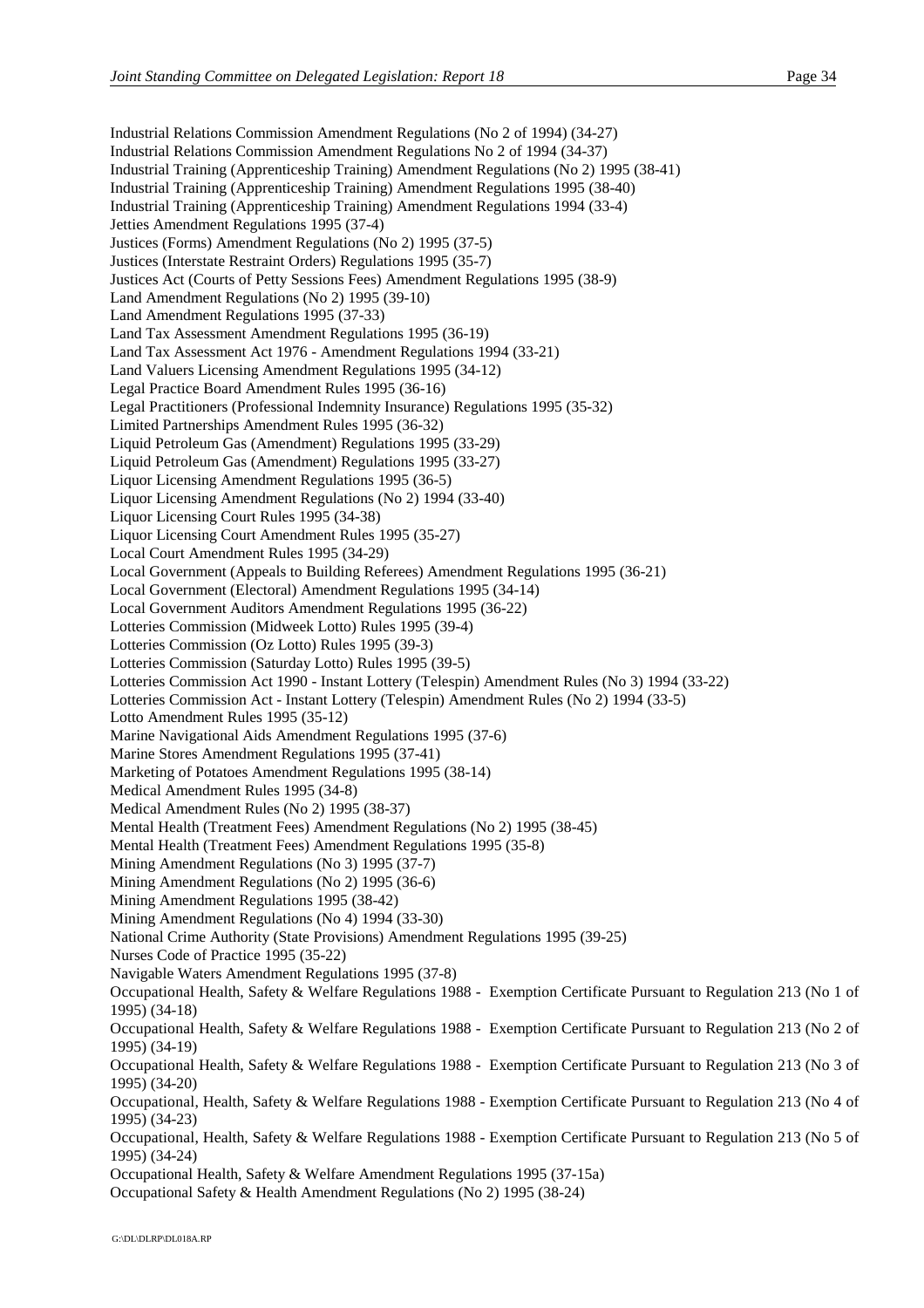Industrial Relations Commission Amendment Regulations (No 2 of 1994) (34-27) Industrial Relations Commission Amendment Regulations No 2 of 1994 (34-37) Industrial Training (Apprenticeship Training) Amendment Regulations (No 2) 1995 (38-41) Industrial Training (Apprenticeship Training) Amendment Regulations 1995 (38-40) Industrial Training (Apprenticeship Training) Amendment Regulations 1994 (33-4) Jetties Amendment Regulations 1995 (37-4) Justices (Forms) Amendment Regulations (No 2) 1995 (37-5) Justices (Interstate Restraint Orders) Regulations 1995 (35-7) Justices Act (Courts of Petty Sessions Fees) Amendment Regulations 1995 (38-9) Land Amendment Regulations (No 2) 1995 (39-10) Land Amendment Regulations 1995 (37-33) Land Tax Assessment Amendment Regulations 1995 (36-19) Land Tax Assessment Act 1976 - Amendment Regulations 1994 (33-21) Land Valuers Licensing Amendment Regulations 1995 (34-12) Legal Practice Board Amendment Rules 1995 (36-16) Legal Practitioners (Professional Indemnity Insurance) Regulations 1995 (35-32) Limited Partnerships Amendment Rules 1995 (36-32) Liquid Petroleum Gas (Amendment) Regulations 1995 (33-29) Liquid Petroleum Gas (Amendment) Regulations 1995 (33-27) Liquor Licensing Amendment Regulations 1995 (36-5) Liquor Licensing Amendment Regulations (No 2) 1994 (33-40) Liquor Licensing Court Rules 1995 (34-38) Liquor Licensing Court Amendment Rules 1995 (35-27) Local Court Amendment Rules 1995 (34-29) Local Government (Appeals to Building Referees) Amendment Regulations 1995 (36-21) Local Government (Electoral) Amendment Regulations 1995 (34-14) Local Government Auditors Amendment Regulations 1995 (36-22) Lotteries Commission (Midweek Lotto) Rules 1995 (39-4) Lotteries Commission (Oz Lotto) Rules 1995 (39-3) Lotteries Commission (Saturday Lotto) Rules 1995 (39-5) Lotteries Commission Act 1990 - Instant Lottery (Telespin) Amendment Rules (No 3) 1994 (33-22) Lotteries Commission Act - Instant Lottery (Telespin) Amendment Rules (No 2) 1994 (33-5) Lotto Amendment Rules 1995 (35-12) Marine Navigational Aids Amendment Regulations 1995 (37-6) Marine Stores Amendment Regulations 1995 (37-41) Marketing of Potatoes Amendment Regulations 1995 (38-14) Medical Amendment Rules 1995 (34-8) Medical Amendment Rules (No 2) 1995 (38-37) Mental Health (Treatment Fees) Amendment Regulations (No 2) 1995 (38-45) Mental Health (Treatment Fees) Amendment Regulations 1995 (35-8) Mining Amendment Regulations (No 3) 1995 (37-7) Mining Amendment Regulations (No 2) 1995 (36-6) Mining Amendment Regulations 1995 (38-42) Mining Amendment Regulations (No 4) 1994 (33-30) National Crime Authority (State Provisions) Amendment Regulations 1995 (39-25) Nurses Code of Practice 1995 (35-22) Navigable Waters Amendment Regulations 1995 (37-8) Occupational Health, Safety & Welfare Regulations 1988 - Exemption Certificate Pursuant to Regulation 213 (No 1 of 1995) (34-18) Occupational Health, Safety & Welfare Regulations 1988 - Exemption Certificate Pursuant to Regulation 213 (No 2 of 1995) (34-19) Occupational Health, Safety & Welfare Regulations 1988 - Exemption Certificate Pursuant to Regulation 213 (No 3 of 1995) (34-20) Occupational, Health, Safety & Welfare Regulations 1988 - Exemption Certificate Pursuant to Regulation 213 (No 4 of 1995) (34-23) Occupational, Health, Safety & Welfare Regulations 1988 - Exemption Certificate Pursuant to Regulation 213 (No 5 of 1995) (34-24) Occupational Health, Safety & Welfare Amendment Regulations 1995 (37-15a) Occupational Safety & Health Amendment Regulations (No 2) 1995 (38-24)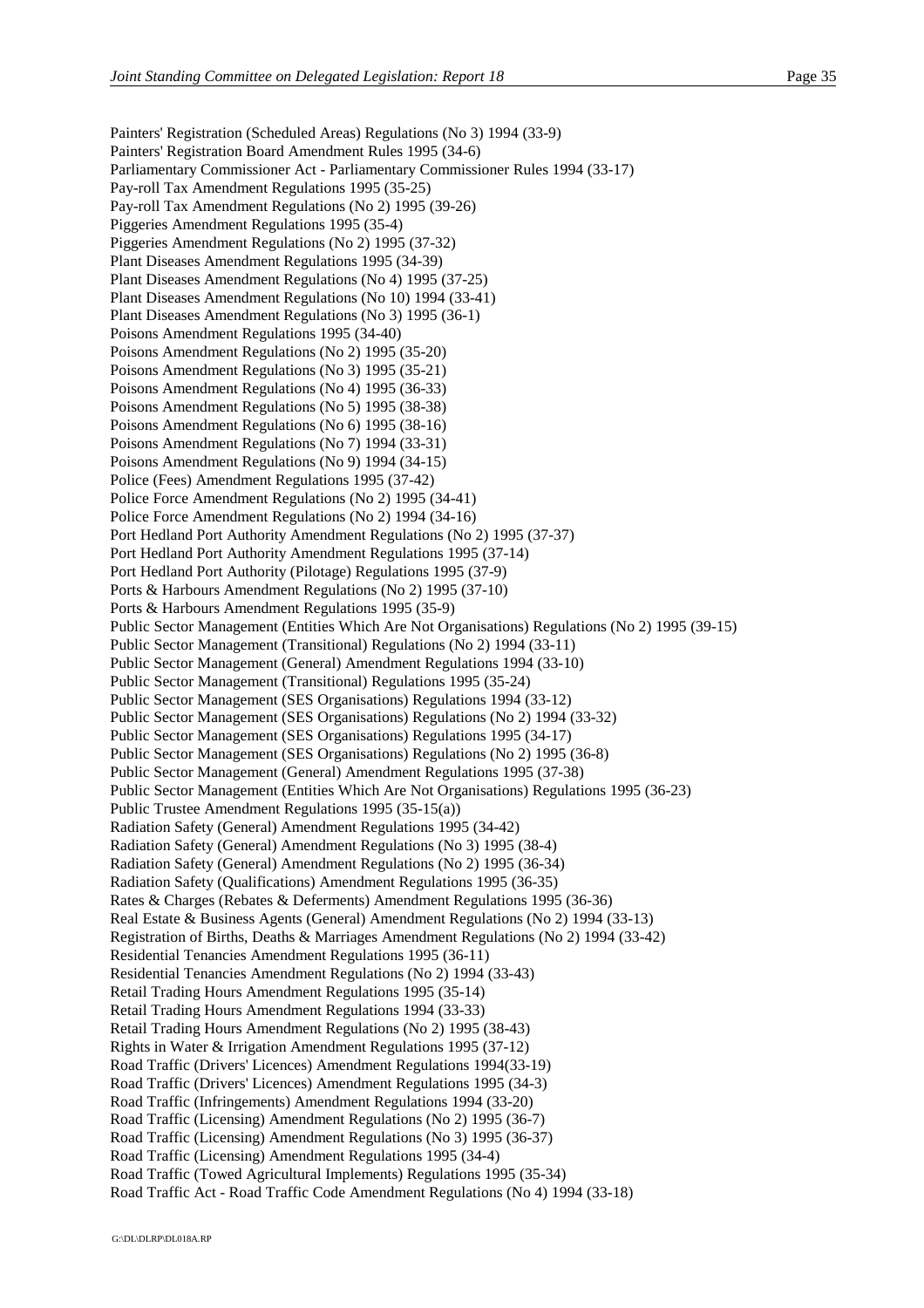Painters' Registration (Scheduled Areas) Regulations (No 3) 1994 (33-9) Painters' Registration Board Amendment Rules 1995 (34-6) Parliamentary Commissioner Act - Parliamentary Commissioner Rules 1994 (33-17) Pay-roll Tax Amendment Regulations 1995 (35-25) Pay-roll Tax Amendment Regulations (No 2) 1995 (39-26) Piggeries Amendment Regulations 1995 (35-4) Piggeries Amendment Regulations (No 2) 1995 (37-32) Plant Diseases Amendment Regulations 1995 (34-39) Plant Diseases Amendment Regulations (No 4) 1995 (37-25) Plant Diseases Amendment Regulations (No 10) 1994 (33-41) Plant Diseases Amendment Regulations (No 3) 1995 (36-1) Poisons Amendment Regulations 1995 (34-40) Poisons Amendment Regulations (No 2) 1995 (35-20) Poisons Amendment Regulations (No 3) 1995 (35-21) Poisons Amendment Regulations (No 4) 1995 (36-33) Poisons Amendment Regulations (No 5) 1995 (38-38) Poisons Amendment Regulations (No 6) 1995 (38-16) Poisons Amendment Regulations (No 7) 1994 (33-31) Poisons Amendment Regulations (No 9) 1994 (34-15) Police (Fees) Amendment Regulations 1995 (37-42) Police Force Amendment Regulations (No 2) 1995 (34-41) Police Force Amendment Regulations (No 2) 1994 (34-16) Port Hedland Port Authority Amendment Regulations (No 2) 1995 (37-37) Port Hedland Port Authority Amendment Regulations 1995 (37-14) Port Hedland Port Authority (Pilotage) Regulations 1995 (37-9) Ports & Harbours Amendment Regulations (No 2) 1995 (37-10) Ports & Harbours Amendment Regulations 1995 (35-9) Public Sector Management (Entities Which Are Not Organisations) Regulations (No 2) 1995 (39-15) Public Sector Management (Transitional) Regulations (No 2) 1994 (33-11) Public Sector Management (General) Amendment Regulations 1994 (33-10) Public Sector Management (Transitional) Regulations 1995 (35-24) Public Sector Management (SES Organisations) Regulations 1994 (33-12) Public Sector Management (SES Organisations) Regulations (No 2) 1994 (33-32) Public Sector Management (SES Organisations) Regulations 1995 (34-17) Public Sector Management (SES Organisations) Regulations (No 2) 1995 (36-8) Public Sector Management (General) Amendment Regulations 1995 (37-38) Public Sector Management (Entities Which Are Not Organisations) Regulations 1995 (36-23) Public Trustee Amendment Regulations 1995 (35-15(a)) Radiation Safety (General) Amendment Regulations 1995 (34-42) Radiation Safety (General) Amendment Regulations (No 3) 1995 (38-4) Radiation Safety (General) Amendment Regulations (No 2) 1995 (36-34) Radiation Safety (Qualifications) Amendment Regulations 1995 (36-35) Rates & Charges (Rebates & Deferments) Amendment Regulations 1995 (36-36) Real Estate & Business Agents (General) Amendment Regulations (No 2) 1994 (33-13) Registration of Births, Deaths & Marriages Amendment Regulations (No 2) 1994 (33-42) Residential Tenancies Amendment Regulations 1995 (36-11) Residential Tenancies Amendment Regulations (No 2) 1994 (33-43) Retail Trading Hours Amendment Regulations 1995 (35-14) Retail Trading Hours Amendment Regulations 1994 (33-33) Retail Trading Hours Amendment Regulations (No 2) 1995 (38-43) Rights in Water & Irrigation Amendment Regulations 1995 (37-12) Road Traffic (Drivers' Licences) Amendment Regulations 1994(33-19) Road Traffic (Drivers' Licences) Amendment Regulations 1995 (34-3) Road Traffic (Infringements) Amendment Regulations 1994 (33-20) Road Traffic (Licensing) Amendment Regulations (No 2) 1995 (36-7) Road Traffic (Licensing) Amendment Regulations (No 3) 1995 (36-37) Road Traffic (Licensing) Amendment Regulations 1995 (34-4) Road Traffic (Towed Agricultural Implements) Regulations 1995 (35-34) Road Traffic Act - Road Traffic Code Amendment Regulations (No 4) 1994 (33-18)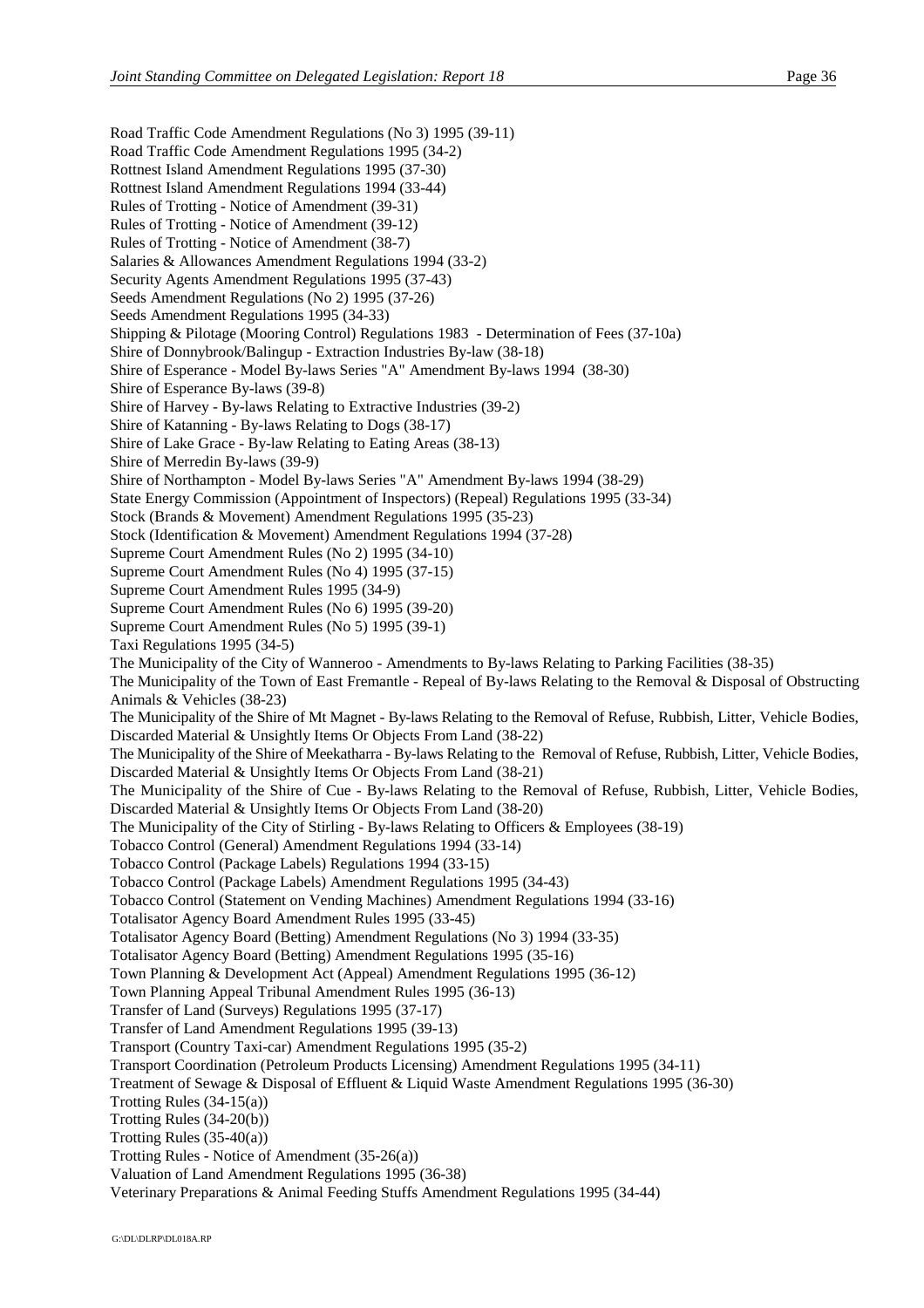Road Traffic Code Amendment Regulations (No 3) 1995 (39-11) Road Traffic Code Amendment Regulations 1995 (34-2) Rottnest Island Amendment Regulations 1995 (37-30) Rottnest Island Amendment Regulations 1994 (33-44) Rules of Trotting - Notice of Amendment (39-31) Rules of Trotting - Notice of Amendment (39-12) Rules of Trotting - Notice of Amendment (38-7) Salaries & Allowances Amendment Regulations 1994 (33-2) Security Agents Amendment Regulations 1995 (37-43) Seeds Amendment Regulations (No 2) 1995 (37-26) Seeds Amendment Regulations 1995 (34-33) Shipping & Pilotage (Mooring Control) Regulations 1983 - Determination of Fees (37-10a) Shire of Donnybrook/Balingup - Extraction Industries By-law (38-18) Shire of Esperance - Model By-laws Series "A" Amendment By-laws 1994 (38-30) Shire of Esperance By-laws (39-8) Shire of Harvey - By-laws Relating to Extractive Industries (39-2) Shire of Katanning - By-laws Relating to Dogs (38-17) Shire of Lake Grace - By-law Relating to Eating Areas (38-13) Shire of Merredin By-laws (39-9) Shire of Northampton - Model By-laws Series "A" Amendment By-laws 1994 (38-29) State Energy Commission (Appointment of Inspectors) (Repeal) Regulations 1995 (33-34) Stock (Brands & Movement) Amendment Regulations 1995 (35-23) Stock (Identification & Movement) Amendment Regulations 1994 (37-28) Supreme Court Amendment Rules (No 2) 1995 (34-10) Supreme Court Amendment Rules (No 4) 1995 (37-15) Supreme Court Amendment Rules 1995 (34-9) Supreme Court Amendment Rules (No 6) 1995 (39-20) Supreme Court Amendment Rules (No 5) 1995 (39-1) Taxi Regulations 1995 (34-5) The Municipality of the City of Wanneroo - Amendments to By-laws Relating to Parking Facilities (38-35) The Municipality of the Town of East Fremantle - Repeal of By-laws Relating to the Removal & Disposal of Obstructing Animals & Vehicles (38-23) The Municipality of the Shire of Mt Magnet - By-laws Relating to the Removal of Refuse, Rubbish, Litter, Vehicle Bodies, Discarded Material & Unsightly Items Or Objects From Land (38-22) The Municipality of the Shire of Meekatharra - By-laws Relating to the Removal of Refuse, Rubbish, Litter, Vehicle Bodies, Discarded Material & Unsightly Items Or Objects From Land (38-21) The Municipality of the Shire of Cue - By-laws Relating to the Removal of Refuse, Rubbish, Litter, Vehicle Bodies, Discarded Material & Unsightly Items Or Objects From Land (38-20) The Municipality of the City of Stirling - By-laws Relating to Officers & Employees (38-19) Tobacco Control (General) Amendment Regulations 1994 (33-14) Tobacco Control (Package Labels) Regulations 1994 (33-15) Tobacco Control (Package Labels) Amendment Regulations 1995 (34-43) Tobacco Control (Statement on Vending Machines) Amendment Regulations 1994 (33-16) Totalisator Agency Board Amendment Rules 1995 (33-45) Totalisator Agency Board (Betting) Amendment Regulations (No 3) 1994 (33-35) Totalisator Agency Board (Betting) Amendment Regulations 1995 (35-16) Town Planning & Development Act (Appeal) Amendment Regulations 1995 (36-12) Town Planning Appeal Tribunal Amendment Rules 1995 (36-13) Transfer of Land (Surveys) Regulations 1995 (37-17) Transfer of Land Amendment Regulations 1995 (39-13) Transport (Country Taxi-car) Amendment Regulations 1995 (35-2) Transport Coordination (Petroleum Products Licensing) Amendment Regulations 1995 (34-11) Treatment of Sewage & Disposal of Effluent & Liquid Waste Amendment Regulations 1995 (36-30) Trotting Rules (34-15(a)) Trotting Rules (34-20(b)) Trotting Rules (35-40(a)) Trotting Rules - Notice of Amendment (35-26(a)) Valuation of Land Amendment Regulations 1995 (36-38) Veterinary Preparations & Animal Feeding Stuffs Amendment Regulations 1995 (34-44)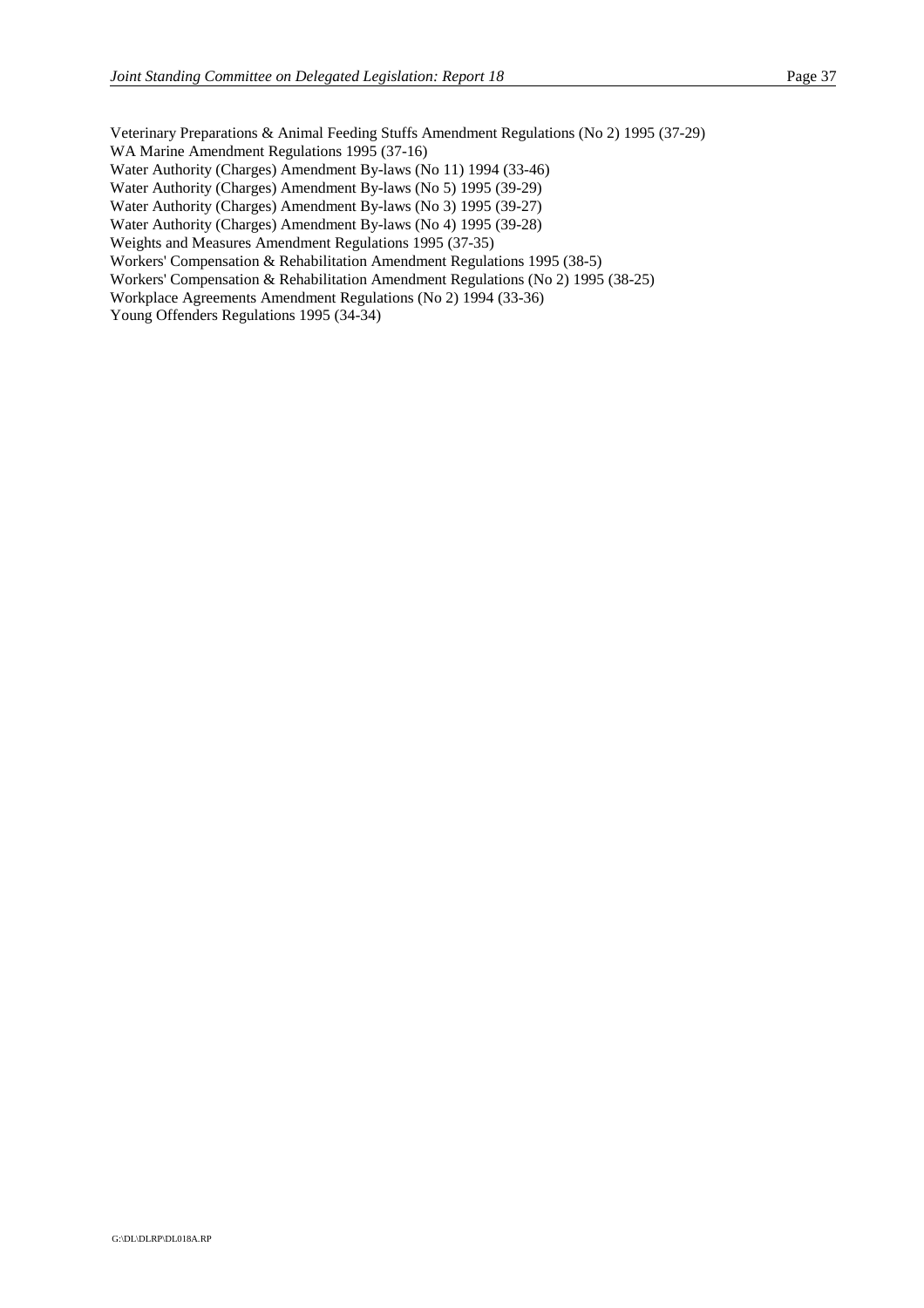Veterinary Preparations & Animal Feeding Stuffs Amendment Regulations (No 2) 1995 (37-29) WA Marine Amendment Regulations 1995 (37-16)

Water Authority (Charges) Amendment By-laws (No 11) 1994 (33-46)

Water Authority (Charges) Amendment By-laws (No 5) 1995 (39-29)

Water Authority (Charges) Amendment By-laws (No 3) 1995 (39-27)

Water Authority (Charges) Amendment By-laws (No 4) 1995 (39-28)

Weights and Measures Amendment Regulations 1995 (37-35)

Workers' Compensation & Rehabilitation Amendment Regulations 1995 (38-5)

Workers' Compensation & Rehabilitation Amendment Regulations (No 2) 1995 (38-25)

Workplace Agreements Amendment Regulations (No 2) 1994 (33-36)

Young Offenders Regulations 1995 (34-34)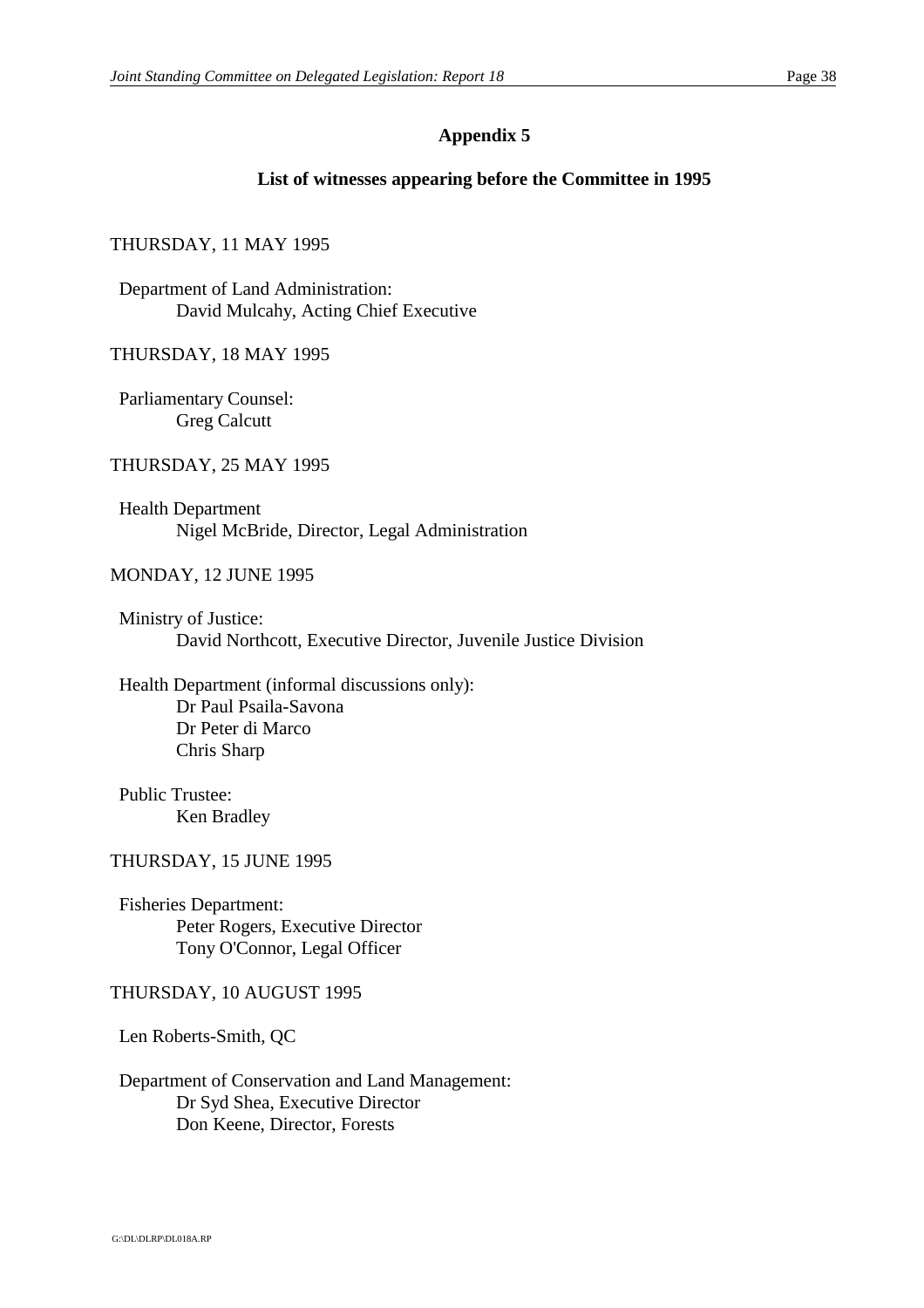#### **List of witnesses appearing before the Committee in 1995**

#### THURSDAY, 11 MAY 1995

Department of Land Administration: David Mulcahy, Acting Chief Executive

THURSDAY, 18 MAY 1995

Parliamentary Counsel: Greg Calcutt

#### THURSDAY, 25 MAY 1995

Health Department Nigel McBride, Director, Legal Administration

#### MONDAY, 12 JUNE 1995

Ministry of Justice: David Northcott, Executive Director, Juvenile Justice Division

Health Department (informal discussions only): Dr Paul Psaila-Savona Dr Peter di Marco Chris Sharp

Public Trustee: Ken Bradley

#### THURSDAY, 15 JUNE 1995

Fisheries Department: Peter Rogers, Executive Director Tony O'Connor, Legal Officer

#### THURSDAY, 10 AUGUST 1995

Len Roberts-Smith, QC

Department of Conservation and Land Management: Dr Syd Shea, Executive Director Don Keene, Director, Forests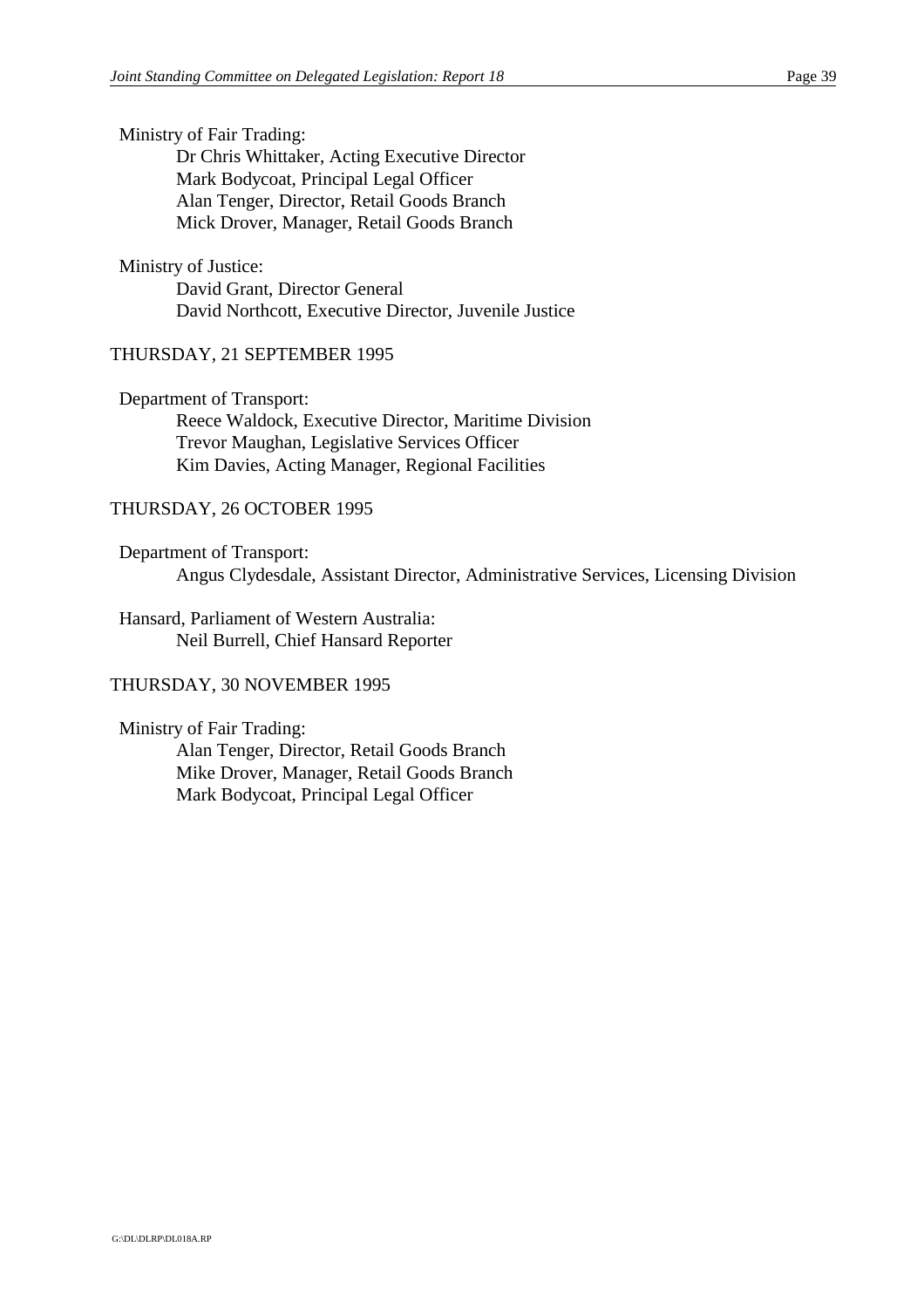Ministry of Fair Trading:

Dr Chris Whittaker, Acting Executive Director Mark Bodycoat, Principal Legal Officer Alan Tenger, Director, Retail Goods Branch Mick Drover, Manager, Retail Goods Branch

#### Ministry of Justice:

David Grant, Director General David Northcott, Executive Director, Juvenile Justice

#### THURSDAY, 21 SEPTEMBER 1995

Department of Transport:

Reece Waldock, Executive Director, Maritime Division Trevor Maughan, Legislative Services Officer Kim Davies, Acting Manager, Regional Facilities

#### THURSDAY, 26 OCTOBER 1995

Department of Transport: Angus Clydesdale, Assistant Director, Administrative Services, Licensing Division

Hansard, Parliament of Western Australia: Neil Burrell, Chief Hansard Reporter

#### THURSDAY, 30 NOVEMBER 1995

Ministry of Fair Trading: Alan Tenger, Director, Retail Goods Branch Mike Drover, Manager, Retail Goods Branch Mark Bodycoat, Principal Legal Officer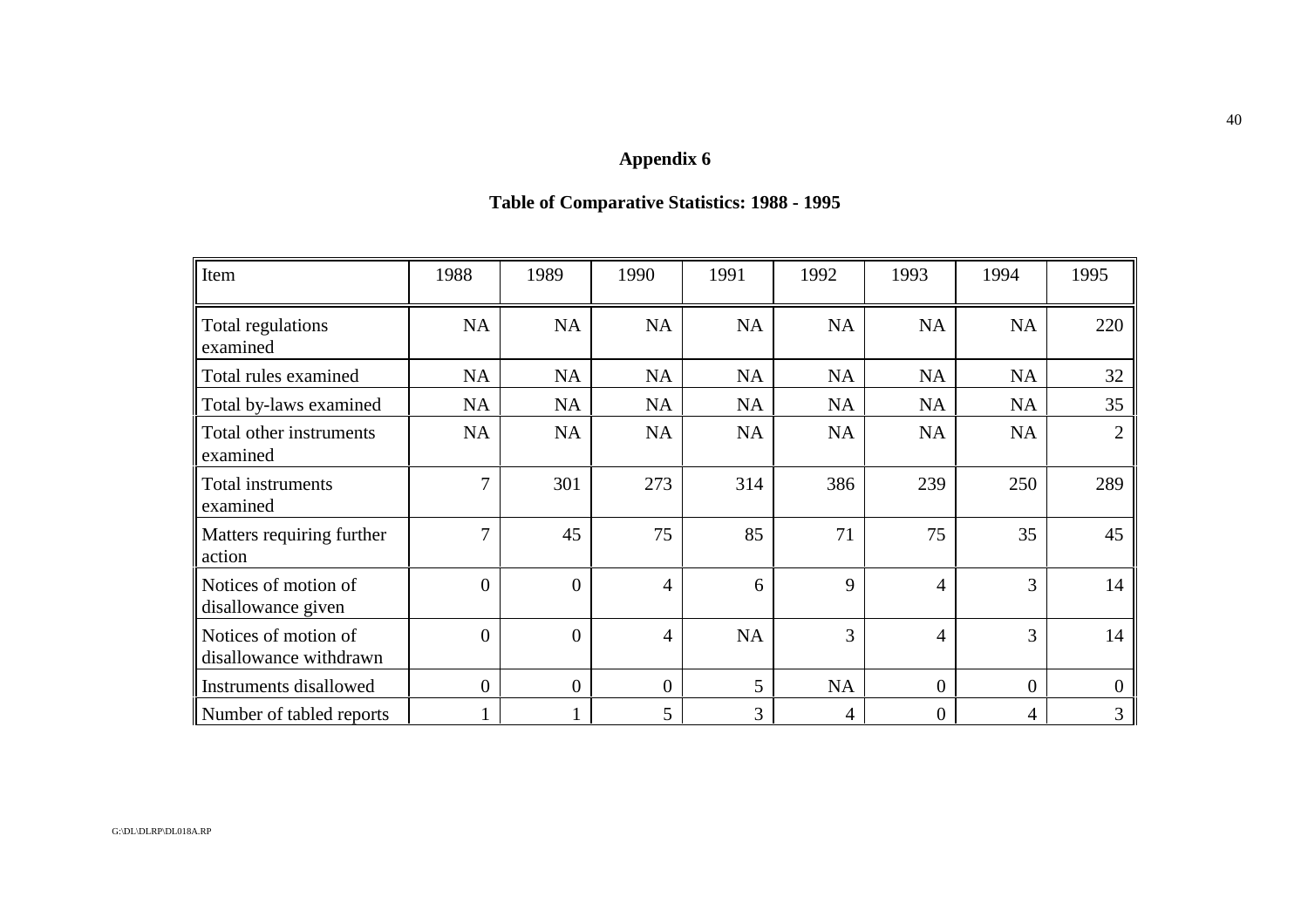## **Table of Comparative Statistics: 1988 - 1995**

| Item                                           | 1988           | 1989           | 1990           | 1991      | 1992      | 1993           | 1994           | 1995           |
|------------------------------------------------|----------------|----------------|----------------|-----------|-----------|----------------|----------------|----------------|
| Total regulations<br>examined                  | NA             | NA             | NA             | NA        | NA        | NA             | <b>NA</b>      | 220            |
| Total rules examined                           | <b>NA</b>      | NA             | NA             | <b>NA</b> | NA        | <b>NA</b>      | <b>NA</b>      | 32             |
| Total by-laws examined                         | <b>NA</b>      | NA             | <b>NA</b>      | <b>NA</b> | <b>NA</b> | <b>NA</b>      | <b>NA</b>      | 35             |
| Total other instruments<br>examined            | <b>NA</b>      | NA             | <b>NA</b>      | <b>NA</b> | <b>NA</b> | <b>NA</b>      | <b>NA</b>      | $\mathfrak{2}$ |
| Total instruments<br>examined                  | 7              | 301            | 273            | 314       | 386       | 239            | 250            | 289            |
| Matters requiring further<br>action            | 7              | 45             | 75             | 85        | 71        | 75             | 35             | 45             |
| Notices of motion of<br>disallowance given     | $\overline{0}$ | $\overline{0}$ | 4              | 6         | 9         | $\overline{4}$ | 3              | 14             |
| Notices of motion of<br>disallowance withdrawn | $\theta$       | $\overline{0}$ | 4              | <b>NA</b> | 3         | $\overline{4}$ | 3              | 14             |
| Instruments disallowed                         | $\overline{0}$ | $\overline{0}$ | $\overline{0}$ | 5         | NA        | $\overline{0}$ | $\overline{0}$ | $\Omega$       |
| Number of tabled reports                       |                |                | 5              | 3         | 4         | $\Omega$       | 4              | 3              |